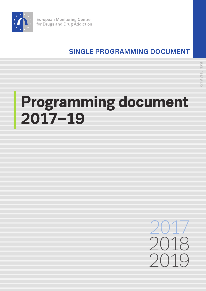

## SINGLE PROGRAMMING DOCUMENT

# **Programming document 2017–19**

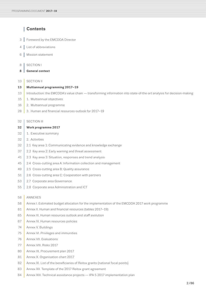## **Contents**

- 3 [Foreword by the EMCDDA Director](#page-2-0)
- 4 **[List of abbreviations](#page-3-0)**
- 6 [Mission statement](#page-5-0)

## 8 | SECTION |

**8 [General context](#page-7-0)**

## 13 | [SECTION II](#page-12-0)

- **13 [Multiannual programming 2017–19](#page-12-0)**
- 13 Introduction: the EMCDDA's value chain transforming information into state-of-the-art analysis for decision-making
- 15 1. [Multiannual objectives](#page-14-0)
- 16 2. [Multiannual programme](#page-15-0)
- 28 [3. Human and financial resources outlook for 2017–19](#page-27-0)

## 32 | [SECTION III](#page-31-0)

## **32 [Work programme 2017](#page-31-0)**

- 32 1. [Executive summary](#page-31-0)
- 32 2. [Activities](#page-31-0)
- 32 [2.1 Key area 1: Communicating evidence and knowledge exchange](#page-31-0)
- 37 2.2 [Key area 2: Early warning and threat assessment](#page-36-0)
- 41 [2.3 Key area 3: Situation, responses and trend analysis](#page-40-0)
- 45 [2.4 Cross-cutting area A: Information collection and management](#page-44-0)
- 49 2.5 [Cross-cutting area B: Quality assurance](#page-48-0)
- 51 2.6 [Cross-cutting area C: Cooperation with partners](#page-50-0)
- 53 2.7 [Corporate area Governance](#page-52-0)
- 55 2.8 [Corporate area Administration and ICT](#page-54-0)

## 58 [ANNEXES](#page-57-0)

- [58 Annex I. Estimated budget allocation for the implementation of the EMCDDA 2017 work programme](#page-57-0)
- [61 Annex II. Human and financial resources \(tables 2017–19\)](#page-60-0)
- [65 Annex III. Human resources outlook and staff evolution](#page-64-0)
- [67 Annex IV. Human resources policies](#page-66-0)
- [74 Annex V. Buildings](#page-73-0)
- 75 [Annex VI. Privileges and immunities](#page-74-0)
- 76 [Annex VII. Evaluations](#page-75-0)
- 77 [Annex VIII. Risks 2017](#page-76-0)
- 80 [Annex IX. Procurement plan 2017](#page-79-0)
- 81 [Annex X. Organisation chart 2017](#page-80-0)
- 82 [Annex XI. List of the beneficiaries of Reitox grants \(national focal points\)](#page-81-0)
- 83 [Annex XII. Template of the 2017 Reitox grant agreement](#page-82-0)
- 84 [Annex XIII. Technical assistance projects IPA 5 2017 implementation plan](#page-83-0)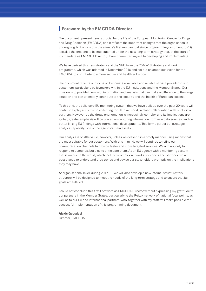## <span id="page-2-0"></span>**<sup>I</sup> Foreword by the EMCDDA Director**

The document I present here is crucial for the life of the European Monitoring Centre for Drugs and Drug Addiction (EMCDDA) and it reflects the important changes that the organisation is undergoing. Not only is this the agency's first multiannual single programming document (SPD), it is also the first one to be implemented under the new long-term strategy that, at the start of my mandate as EMCDDA Director, I have committed myself to developing and implementing.

We have derived this new strategy and the SPD from the 2016–18 strategy and work programme, which was adopted in December 2016 and set out an ambitious vision for the EMCDDA: to contribute to a more secure and healthier Europe.

The document reflects our focus on becoming a valuable and reliable service provider to our customers, particularly policymakers within the EU institutions and the Member States. Our mission is to provide them with information and analysis that can make a difference to the drugs situation and can ultimately contribute to the security and the health of European citizens.

To this end, the solid core EU monitoring system that we have built up over the past 20 years will continue to play a key role in collecting the data we need, in close collaboration with our Reitox partners. However, as the drugs phenomenon is increasingly complex and its implications are global, greater emphasis will be placed on capturing information from new data sources, and on better linking EU findings with international developments. This forms part of our strategic analysis capability, one of the agency's main assets.

Our analysis is of little value, however, unless we deliver it in a timely manner using means that are most suitable for our customers. With this in mind, we will continue to refine our communication channels to provide faster and more targeted services. We aim not only to respond to demands, but also to anticipate them. As an EU agency with a monitoring system that is unique in the world, which includes complex networks of experts and partners, we are best placed to understand drug trends and advise our stakeholders promptly on the implications they may have.

At organisational level, during 2017–19 we will also develop a new internal structure; this structure will be designed to meet the needs of the long-term strategy and to ensure that its goals are fulfilled.

I could not conclude this first Foreword as EMCDDA Director without expressing my gratitude to our partners in the Member States, particularly to the Reitox network of national focal points, as well as to our EU and international partners, who, together with my staff, will make possible the successful implementation of this programming document.

## **Alexis Goosdeel**

Director, EMCDDA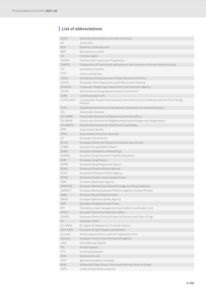## <span id="page-3-0"></span>**<sup>I</sup> List of abbreviations**

| AHCC              | authority authorised to conclude contracts                                                 |  |
|-------------------|--------------------------------------------------------------------------------------------|--|
| AP                |                                                                                            |  |
| BCP               | action plan<br>Business continuity plan                                                    |  |
| <b>BPP</b>        |                                                                                            |  |
|                   | Best practice portal                                                                       |  |
| СA                | Contract agent                                                                             |  |
| CADAP             | Central Asia Drug Action Programme                                                         |  |
| <b>CARDS</b>      | Programme of Community assistance to the countries of South-Eastern Europe                 |  |
| CС                | candidate countries                                                                        |  |
| <b>CCA</b>        | cross-cutting area                                                                         |  |
| <b>CEOS</b>       | Conditions of Employment of Other Servants of the EU                                       |  |
| CEPOL             | European Union Agency for Law Enforcement Training                                         |  |
| <b>CHAFEA</b>     | Consumer, Health, Agriculture and Food Executive Agency                                    |  |
| <b>CICAD</b>      | Inter-American Drug Abuse Control Commission                                               |  |
| <b>COM</b>        | Communication unit                                                                         |  |
| <b>COPOLAD II</b> | Cooperation Programme between Latin America, the Caribbean and the EU on Drugs<br>Policies |  |
| COSI              | Standing Committee on Operational Cooperation on Internal Security                         |  |
| DG                | Directorate-General                                                                        |  |
| <b>DG HOME</b>    | Directorate-General for Migration and Home Affairs                                         |  |
| DG NEAR           | Directorate-General for Neighbourhood and Enlargement Negotiations                         |  |
| DG SANTÉ          | Directorate-General for Health and Food Safety                                             |  |
| <b>DRD</b>        | drug-related deaths                                                                        |  |
| DRID              | drug-related infectious diseases                                                           |  |
| EC                | European Commission                                                                        |  |
| <b>ECDC</b>       | European Centre for Disease Prevention and Control                                         |  |
| <b>EDMR</b>       | European Drug Markets Report                                                               |  |
| <b>EDND</b>       | European Database on New Drugs                                                             |  |
| <b>EDPQS</b>      | European Drug Prevention Quality Standards                                                 |  |
| <b>EDR</b>        | European Drug Report                                                                       |  |
| <b>EDRR</b>       | European Drug Responses Report                                                             |  |
| <b>EEAS</b>       | European External Action Service                                                           |  |
| EFCA              | European Fisheries Control Agency                                                          |  |
| <b>EFSQ</b>       | European facility survey questionnaire                                                     |  |
| <b>EMA</b>        | European Medicines Agency                                                                  |  |
| <b>EMCDDA</b>     | European Monitoring Centre for Drugs and Drug Addiction                                    |  |
| <b>EMPACT</b>     | European Multidisciplinary Platform against Criminal Threats                               |  |
| EMQ               | European Model Questionnaire                                                               |  |
| <b>EMSA</b>       | European Maritime Safety Agency                                                            |  |
| ENP               | European Neighbourhood Policy                                                              |  |
| EPI               | Prevalence, data management and content coordination unit                                  |  |
| <b>EPSO</b>       | European Personnel Selection Office                                                        |  |
| <b>ESPAD</b>      | European School Survey Project on Alcohol and Other Drugs                                  |  |
| EU                | European Union                                                                             |  |
| EU-ANSA           | EU Agencies Network for Scientific Advice                                                  |  |
| Euro-DEN          | European Drug Emergencies Network                                                          |  |
| Eurojust          | the European Union's Judicial Cooperation Unit                                             |  |
|                   |                                                                                            |  |
| Europol<br>EWS    | European Union's law enforcement agency                                                    |  |
|                   | Early Warning System                                                                       |  |
| FG                | function group                                                                             |  |
| FTE.              | full-time equivalent                                                                       |  |
| GOV               | Governance unit                                                                            |  |
| GPS               | general population survey(s)                                                               |  |
| <b>HDG</b>        | Horizontal Drugs Group, Horizontal Working Party on Drugs                                  |  |
| <b>HFPs</b>       | heads of national focal points                                                             |  |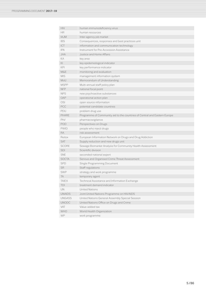| <b>HIV</b>    | human immunodeficiency virus                                              |
|---------------|---------------------------------------------------------------------------|
| <b>HR</b>     | human resources                                                           |
| IA.JM         | Inter-agency job market                                                   |
| <b>IBS</b>    | Consequences, responses and best practices unit                           |
| <b>ICT</b>    | information and communication technology                                  |
| <b>IPA</b>    | Instrument for Pre-Accession Assistance                                   |
| JHA           | Justice and Home Affairs                                                  |
| KA            | key area                                                                  |
| KI            | key epidemiological indicator                                             |
| KPI           | key performance indicator                                                 |
| M&E           | monitoring and evaluation                                                 |
| <b>MIS</b>    | management information system                                             |
| MoU           | Memorandum of Understanding                                               |
| <b>MSPP</b>   | Multi-annual staff policy plan                                            |
| <b>NFP</b>    | national focal point                                                      |
| <b>NPS</b>    | new psychoactive substances                                               |
| OAP           | operational action plan                                                   |
| <b>OSI</b>    | open source information                                                   |
| PCC           | potential candidate countries                                             |
| PDU           | problem drug use                                                          |
| PHARF         | Programme of Community aid to the countries of Central and Eastern Europe |
| PhV           | pharmacovigilance                                                         |
| POD           | Perspectives on Drugs                                                     |
| <b>PWID</b>   | people who inject drugs                                                   |
| RA            | risk assessment                                                           |
| Reitox        | European Information Network on Drugs and Drug Addiction                  |
| <b>SAT</b>    | Supply reduction and new drugs unit                                       |
| <b>SCORE</b>  | Sewage Biomarker Analysis for Community Health Assessment                 |
| <b>SDI</b>    | Scientific division                                                       |
| <b>SNE</b>    | seconded national expert                                                  |
| <b>SOCTA</b>  | Serious and Organised Crime Threat Assessment                             |
| <b>SPD</b>    | Single Programming Document                                               |
| <b>SR</b>     | Staff regulations                                                         |
| <b>SWP</b>    | strategy and work programme                                               |
| TA            | temporary agent                                                           |
| <b>TAIEX</b>  | Technical Assistance and Information Exchange                             |
| TDI           | treatment demand indicator                                                |
| UN            | <b>United Nations</b>                                                     |
| <b>UNAIDS</b> | Joint United Nations Programme on HIV/AIDS                                |
| <b>UNGASS</b> | United Nations General Assembly Special Session                           |
| <b>UNODC</b>  | United Nations Office on Drugs and Crime                                  |
| VAT           | Value-added tax                                                           |
| WHO           | World Health Organization                                                 |
| WP            | work programme                                                            |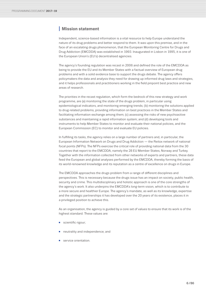## <span id="page-5-0"></span>**<sup>I</sup> Mission statement**

Independent, science-based information is a vital resource to help Europe understand the nature of its drug problems and better respond to them. It was upon this premise, and in the face of an escalating drugs phenomenon, that the European Monitoring Centre for Drugs and Drug Addiction (EMCDDA) was established in 1993. Inaugurated in Lisbon in 1995, it is one of the European Union's (EU's) decentralised agencies.

The agency's founding regulation was recast in 2006 and defined the role of the EMCDDA as being to provide the EU and its Member States with a factual overview of European drug problems and with a solid evidence base to support the drugs debate. The agency offers policymakers the data and analysis they need for drawing up informed drug laws and strategies, and it helps professionals and practitioners working in the field pinpoint best practice and new areas of research.

The priorities in the recast regulation, which form the bedrock of this new strategy and work programme, are (a) monitoring the state of the drugs problem, in particular using epidemiological indicators, and monitoring emerging trends; (b) monitoring the solutions applied to drug-related problems, providing information on best practices in the Member States and facilitating information exchange among them; (c) assessing the risks of new psychoactive substances and maintaining a rapid information system; and (d) developing tools and instruments to help Member States to monitor and evaluate their national policies, and the European Commission (EC) to monitor and evaluate EU policies.

In fulfilling its tasks, the agency relies on a large number of partners and, in particular, the European Information Network on Drugs and Drug Addiction — the Reitox network of national focal points (NFPs). The NFPs exercise the critical role of providing national data from the 30 countries that report to the EMCDDA, namely the 28 EU Member States, Norway and Turkey. Together with the information collected from other networks of experts and partners, these data feed the European and global analyses performed by the EMCDDA, thereby forming the basis of its world-renowned knowledge and its reputation as a centre of excellence on drugs in Europe.

The EMCDDA approaches the drugs problem from a range of different disciplines and perspectives. This is necessary because the drugs issue has an impact on society, public health, security and crime. This multidisciplinary and holistic approach is one of the core strengths of the agency's work. It also underpins the EMCDDA's long-term vision, which is to contribute to a more secure and healthier Europe. The agency's mandate, as well as its knowledge, expertise and the strategic partnerships it has developed over the 20 years of its existence, places it in a privileged position to achieve this.

As an organisation, the agency is guided by a core set of values to ensure that its work is of the highest standard. These values are:

- scientific rigour;
- neutrality and independence; and
- service orientation.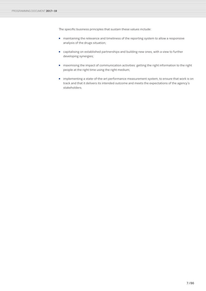The specific business principles that sustain these values include:

- maintaining the relevance and timeliness of the reporting system to allow a responsive analysis of the drugs situation;
- capitalising on established partnerships and building new ones, with a view to further developing synergies;
- maximising the impact of communication activities: getting the right information to the right people at the right time using the right medium;
- implementing a state-of-the-art performance measurement system, to ensure that work is on track and that it delivers its intended outcome and meets the expectations of the agency's stakeholders.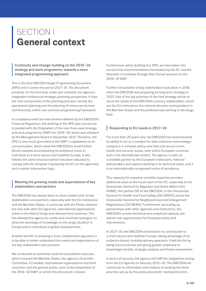## <span id="page-7-0"></span>SECTION I **General context**

**Example 18 Continuity and change: building on the 2016–18<br>
strategy and work programme, towards a more<br>
integrated programming approach** integrated programming approach

This is the first EMCDDA Single Programming Document (SPD) and it covers the period 2017–19. The document presents, for the first time under one umbrella, the agency's integrated multiannual strategic planning perspective. It links the core components of the planning process, namely the operational planning and the planning of resources (human and financial), within one common programming framework.

In compliance with the new timeline defined by the EMCDDA's Financial Regulation, the drafting of the SPD was carried out in parallel with the finalisation of the new three-year strategy and work programme (SWP) for 2016–18, which was adopted by the Management Board in December 2015. Therefore, the SPD is very much grounded in the SWP; it capitalises on its core principles, which allow the EMCDDA to build further blocks towards accomplishing its ambitious vision to contribute to a more secure and healthier Europe. It also follows the same structure (which has been adjusted to comply with the template imposed by the EC on the agencies) and a similar intervention logic.

## **<sup>|</sup>** Meeting the growing needs and expectations of key stakeholders and partners

The EMCDDA has always been in close contact with its key stakeholders and partners, especially with the EU institutions and the Member States, in particular with the Reitox network, but also with other EU agencies, international organisations active in the field of drugs and relevant third countries. This has allowed the agency to create and maximise synergies, to drive the exchange of knowledge on the drugs situation in Europe and to contribute to global developments.

Another benefit of pursuing a close collaborative approach is to be able to better understand the needs and expectations of our key stakeholders and partners.

We conducted an extensive external consultation exercise, which involved the Member States, the agency's Scientific Committee, EU bodies, international organisations and third countries, and the general public, prior to the preparation of the 2016–18 SWP, on which this document is based.

Furthermore, when drafting this SPD, we have taken into account the recommendations formulated by the EC and the Scientific Committee through their formal opinions on the 2016–18 SWP.

Further consultation of key stakeholders took place in 2016, when the EMCDDA was preparing its long-term strategy to 2025. One of the key priorities of the new strategy will be to serve the needs of the EMCDDA's primary stakeholders, which are the EU institutions, the national decision-/policymakers in the Member States and the professionals working in the drugs field.

## **|** Responding to EU needs in 2017–19

For more than 20 years now, the EMCDDA has demonstrated its ability to act as a catalyst for data collection and strategic analysis in a complex policy area that cuts across crime, health and security issues, both within European countries and in the international context. The agency is seen as a credible partner by the European institutions, national policymakers and experts working in its technical areas, and it is an internationally recognised centre of excellence.

This capacity for impartial scientific expertise provides additional value to the future work of the EC, especially to the Directorate-General for Migration and Home Affairs (DG HOME), the partner DG of the EMCDDA, to the Directorate-General for Health and Food Safety (DG SANTÉ) and to the Directorate-General for Neighbourhood and Enlargement Negotiations (DG NEAR). Furthermore, by scaling up partnerships with other agencies and institutions, the EMCDDA's proven technical and analytical capacity can deliver new opportunities for European policy and interventions.

In 2017–19, the EMCDDA will enhance its contribution to a more secure and healthier Europe, taking advantage of its evidence-based, multidisciplinary approach. It will do this by being more proactive and giving greater emphasis to knowledge transfer, strategic analysis and threat assessment.

In terms of security, the agency will fulfil the obligations arising from the EU Agenda on Security 2015–20. The EMCDDA will contribute its information and analysis to tackling the three priorities set up by the policy document, namely terrorism,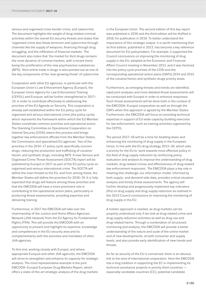serious and organised cross-border crime, and cybercrime. The document highlights the weight of drug-related criminal activities within the overall EU security threats and states that 'organised crime also feeds terrorism and cybercrime through channels like the supply of weapons, financing through drug smuggling, and the infiltration of financial markets'. The document also notes that 'the market for illicit drugs remains the most dynamic of criminal markets, with a recent trend being the proliferation of the new psychoactive substances (NPS)'. Illicit online trade in drugs is also pointed out as one of the key components of the 'ever-growing threat' of cybercrime.

Cooperation with other EU agencies, in particular with the European Union's Law Enforcement Agency (Europol), the European Union Agency for Law Enforcement Training (CEPOL) and Eurojust, will be further strengthened in 2017– 19, in order to contribute effectively to addressing the priorities of the EU Agenda on Security. This cooperation is already well established within the EU policy cycle for organised and serious international crime (the policy cycle), which represents the framework within which the EU Member States coordinate common priorities and operational action. The Standing Committee on Operational Cooperation on Internal Security (COSI) steers this process and brings together law enforcement officials from the Member States, the Commission and specialised EU agencies. Two of the priorities in the 2014–17 policy cycle specifically concern drugs: reducing the production and trafficking of cocaine/ heroin; and synthetic drugs, including NPS. A new Serious and Organised Crime Threat Assessment (SOCTA) report will be published by Europol in 2017 as part of the EU policy cycle on organised and serious international crime. The SOCTA will define the main threats to the EU, and from among these, the Member States will define the priorities for 2018–19. It is fully expected that drugs will feature among these priorities and that the EMCDDA will have a more prominent role in contributing to the operational action plans, particularly in producing threat assessments, providing expertise and delivering training.

Furthermore, in 2017 the EMCDDA will take over the chairmanship of the Justice and Home Affairs Agencies Network (JHA network) from the EU Agency for Fundamental Rights (FRA). This will provide the EMCDDA with an opportunity to present and highlight its expertise, knowledge and competences in the EU security area and its complementarity with the activities and mandates of other JHA agencies.

To this end, working closely with Europol, and where appropriate Eurojust and other JHA agencies, the EMCDDA will strive to strengthen and enhance its capacity for strategic analysis. The most representative example is the joint EMCDDA–Europol European Drug Markets Report, which offers a state-of-the-art strategic analysis of the drug markets

in the European Union. The second edition of this key report was published in 2016 and the third edition will be drafted in 2018, for publication in 2019. To better understand the importance of this strategic output, it is worth mentioning that its first edition, published in 2013, has become a key reference document for EU policymakers. For example, it supported the Council conclusions on improving the monitoring of drug supply in the EU, adopted at the Economic and Financial Affairs Council meeting in November 2013, and it was factored into the policy cycle priorities of the COSI and the corresponding operational action plans (OAPs) 2014 and 2015 of the cocaine/heroin and synthetic drugs priority areas.

Furthermore, as emerging threats and trends are identified, rapid joint analyses and more detailed threat assessments will be conducted with Europol in order to enhance responses. Such threat assessments will be done both in the context of the EMCDDA–Europol cooperation as well as through the OAPs when this approach is agreed by the Member States. Furthermore, the EMCDDA will focus on providing technical expertise in support of EU-wide capacity-building exercises for law enforcement, such as training activities organised by the CEPOL.

The period 2017–19 will be a time for bedding down and enhancing the monitoring of drug supply in the European Union, in line with the EU drug strategy 2013–20, which sets a priority for the EU to 'work towards more effective policy in the field of drug supply reduction by reinforcing policy evaluation and analysis to improve the understanding of drug markets, drug-related crimes and effectiveness of drug-related law enforcement responses'. The EMCDDA plays a key role in meeting this challenge; our information model, informed by both supply- and demand-side data, provides critical situation analysis and timely threat assessments. The agency will further develop and progressively implement key indicators (KIs) on drug supply and drug supply reduction as outlined in the 2013 Council conclusions on improving the monitoring of drug supply in the EU.

A holistic approach is needed, as drug markets can be properly understood only if we look at drug-related crime and drug supply reduction activities as well as drug use and drug-related harms. Through a combination of structured monitoring and analysis, the EMCDDA will provide a better understanding of the nature and scale of the online market and of new developments, at both consumer and supply levels, and also provide early identification of new trends and threats.

As far as security of the EU is concerned, there is an obvious link to the area of international cooperation. Here the EMCDDA has a long tradition in supporting the EC in implementing its technical assistance projects in priority third countries especially candidate countries (CC), potential candidate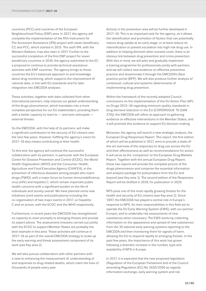countries (PCC) and countries of the European Neighbourhood Policy (ENP) area. In 2017, the agency will complete the implementation of the fifth Instrument for Pre-Accession Assistance (IPA) project with seven beneficiary CC and PCC, which started in 2015. The sixth IPA, with the Western Balkans, may also start in 2017. Further to the successful completion of the first ENP project for seven beneficiary countries in 2016, the agency submitted to the EC a proposal to continue to provide technical assistance activities with ENP countries. The agency brings to these countries the EU's balanced approach to and knowledge about drug monitoring, which supports the improvement of national data, in line with EU standards and for later integration into EMCDDA analyses.

These activities, together with data collected from other international partners, help improve our global understanding of the drugs phenomenon, which translates into a more complete perspective for our EU stakeholders, providing them with a better capacity to react to  $-$  and even anticipate  $$ external threats.

So the EMCDDA, with the help of its partners, will make a significant contribution to the security of EU citizens over the next few years. However, fulfilling the agency's vision for 2017–19 also means contributing to their health.

To this end, the agency will continue the successful collaboration with its partners, in particular with the European Centre for Disease Prevention and Control (ECDC), the World Health Organization (WHO) and the Consumer, Health, Agriculture and Food Executive Agency (CHAFEA), in the prevention of infectious diseases among people who inject drugs (PWID), with a major focus on human immunodeficiency virus (HIV) and hepatitis C, which remain important public health concerns with a significant burden on the life of individuals and society overall. We have planned some new initiatives (joint events and publications) including the co-organisation of two major events in 2017, on hepatitis C and on prison, with the ECDC and the WHO respectively.

Furthermore, in recent years the EMCDDA has strengthened its capacity to react promptly to emerging threats and provide its expert advice. The assessment missions carried out jointly with the ECDC to support Member States are probably the best example in this area. These activities will continue in 2017–19 as part of the overall EMCDDA strategy to scale up the early warning and threat assessment component of its work (see Key area 2).

We will also pursue collaboration with other partners with a view to enhancing the measurement of, understanding of and responses to drug-related deaths, which claim the lives of thousands of people every year.

Activity in the prevention area will be further developed in 2017–19. This is an important task for the agency, as it allows the identification and promotion of factors that can potentially reduce drug uptake at an early stage, or at least reduce its intensification or prevent escalation into high-risk drug use. In addition to helping diminish other societal costs, there is an obvious link between drug prevention and crime prevention. With this in mind, we will pilot and gradually implement a training programme for professionals jointly with partners and we will collect new evidence on effective prevention practice and disseminate it through the EMCDDA's Best practice portal (BPP). We will also produce further analysis of contextual, cultural and systemic determinants of implementing drug prevention.

Within the framework of the recently adopted Council conclusions on the implementation of the EU Action Plan (AP) on Drugs 2013–16 regarding minimum quality standards in drug demand reduction in the EU (CORDROGUE 70 (SAN 279)), the EMCDDA will refine its approach to gathering evidence on effective interventions in the Member States, and it will promote this evidence to support EU decision-making.

Moreover, the agency will launch a new strategic analysis, the European Drug Responses Report. This report, the first edition of which will be published in 2017, aims to provide a state-ofthe-art overview of the responses to drug use across the EU and their effectiveness as well as recommendations for action. It will serve as the 'companion' to the European Drug Markets Report. Together with the annual European Drug Report, these two reports will provide the complete picture of the drugs phenomenon and comprise the essential information and analysis package for policymakers from the EU and beyond (see Key area 1). The second edition of the Responses Report will be drafted in 2019, for publication in 2020.

NPS pose one of the most rapidly growing threats for the health and security of EU citizens (see Key area 2). Since 1997, the EMCDDA has played a central role in Europe's response to NPS. Its main responsibilities in this field are to operate the EU Early Warning System (EWS), with our partner Europol, and to undertake risk assessments of new substances when necessary. The EWS works by collecting information on the appearance and spread of new substances from the 30 national early warning systems reporting to the EMCDDA and then monitoring them for signals of harm, allowing the EU to respond rapidly to emerging threats. In the past few years, the importance of this work has grown following a dramatic increase in the number, type and availability of NPS in Europe.

In 2017, it is expected that the new proposed legislation (Regulation of the European Parliament and of the Council amending Regulation (EC) No 1920/2006 as regards information exchange, early warning system and risk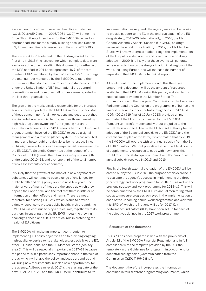assessment procedure on new psychoactive substances (COM/2016/0547 final — 2016/0261 (COD)) will enter into force. This will entail new tasks for the EMCDDA, as well as shorter deadlines for the already existing ones (see Section II.3, 'Human and financial resources outlook for 2017–19').

There were 98 NPS detected on the EU drug market for the first time in 2015 (the last year for which complete data were available at the time of drafting this document); together with the NPS notified in 2014, this represents 40 % of the total number of NPS monitored by the EWS since 1997. This brings the total number monitored by the EMCDDA to more than 600 — more than double the number of substances controlled under the United Nations (UN) international drug control conventions — and more than half of these were reported in the last three years alone.

The growth in the market is also responsible for the increase in serious harms reported to the EMCDDA in recent years. Most of these concern non-fatal intoxications and deaths, but they also include broader social harms, such as those caused by high-risk drug users switching from injecting heroin to synthetic cathinones. Since 2014, serious harms that required urgent attention have led the EMCDDA to set up a signal management and a toxicovigilance system. This has resulted in more and better public health alerts being issued. Since 2014, eight new substances have required risk assessment by the EMCDDA's Scientific Committee at the request of the Council of the EU (almost three times as many as during the entire period 2010–13, and over one third of the total number of risk assessments ever conducted).

It is likely that the growth of the market in new psychoactive substances will continue to pose a range of challenges for public health and drug policy over the next few years. The major drivers of many of these are the speed at which they appear, their open sale, and the fact that there is little or no information on their effects and harms. There is a need, therefore, for a strong EU EWS, which is able to provide a timely response to protect public health. In this regard, the EMCDDA will continue to play a critical role, together with its partners, in ensuring that the EU EWS meets the growing challenges ahead and fulfils its critical role in protecting the health of EU citizens.

The EMCDDA will make an important contribution to implementing EU policy objectives and to providing ongoing high-quality expertise to its stakeholders, especially to the EC, other EU institutions, and the EU Member States (see Key area 1). This will be especially important in 2017–19 because the period falls in a particularly important phase in the field of drugs, which will shape the policy landscape around us and will bring new requirements, but also new opportunities, for the agency. At European level, 2017 is the starting date of the new EU AP 2017–20, and the EMCDDA will contribute to its

implementation, as required. The agency may also be required to provide support to the EC in the final evaluation of the EU drug strategy 2013–20. Internationally, in 2016, the UN General Assembly Special Session (UNGASS) on drugs reviewed the world drug situation; in 2019, the UN Member States will review progress made through the implementation of the UN political declaration and plan of action on drugs adopted in 2009. It is likely that these events will generate increased attention on the drugs situation in all regions of the world, including Europe, and will increase the number of requests to the EMCDDA for technical support.

A key element for the implementation of this three-year programming document will be the amount of resources available to the EMCDDA during this period, and also to our national data providers in the Member States. The Communication of the European Commission to the European Parliament and the Council on the programming of human and financial resources for decentralised agencies for 2014–20 (COM (2013) 519 final of 10 July 2013) provided a first estimate of the EU subsidy planned for the EMCDDA. Pursuant to this information and without prejudice to the actual decision to be taken by the EU budget authority for the adoption of the EU annual subsidy to the EMCDDA and the establishment plan of the latter, it is estimated that by 2019 the EMCDDA will operate with an annual subsidy from the EU of EUR 15 *million*. Without prejudice to the possible allocation of supplementary resources to cope with new tasks, this would reflect the status quo compared with the amount of EU annual subsidy received in 2015 and 2016.

Finally, the fourth external evaluation of the EMCDDA will be carried out by the EC in 2018. The purpose of this exercise is to evaluate the agency's success in implementing the threeyear strategy and work programme for 2016–18, as well as the previous strategy and work programme for 2013–15. This will be complemented by the EMCDDA's annual monitoring effort set up to measure progress achieved in the implementation of each of the upcoming annual work programmes derived from this SPD, of which the first one will be for 2017. Key performance indicators (KPIs) have been set up for each of the objectives defined in the 2017 work programme.

## **|** Structure of the document

This SPD has been prepared in line with the provisions of Article 32 of the EMCDDA Financial Regulation and in full compliance with the template provided by the EC ('the template') in the Guidelines for programming document for decentralised agencies (Communication from the Commission C(2014) 9641 final).

The document therefore incorporates the information contained in four different programming documents, which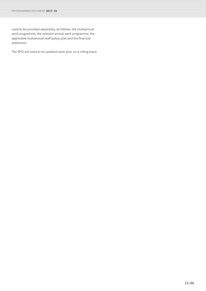used to be provided separately, as follows: the multiannual work programme, the relevant annual work programme, the applicable multiannual staff policy plan and the financial statement.

The SPD will need to be updated each year, on a rolling basis.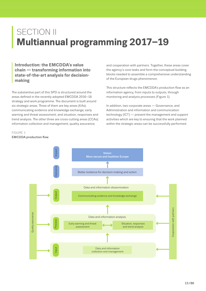## <span id="page-12-0"></span>**SECTION II Multiannual programming 2017–19**

**Introduction: the EMCDDA's value<br>chain — transforming information i<br>state-of-the-art analysis for decision<br>making chain ― transforming information into state-of-the-art analysis for decisionmaking**

The substantive part of this SPD is structured around the areas defined in the recently adopted EMCDDA 2016–18 strategy and work programme. The document is built around six strategic areas. Three of them are key areas (KAs): communicating evidence and knowledge exchange; early warning and threat assessment; and situation, responses and trend analysis. The other three are cross-cutting areas (CCAs): information collection and management; quality assurance;

and cooperation with partners. Together, these areas cover the agency's core tasks and form the conceptual building blocks needed to assemble a comprehensive understanding of the European drugs phenomenon.

This structure reflects the EMCDDA's production flow as an information agency, from inputs to outputs, through monitoring and analysis processes (Figure 1).

In addition, two corporate areas ― Governance, and Administration and information and communication technology (ICT) ― present the management and support activities which are key to ensuring that the work planned within the strategic areas can be successfully performed.

## FIGURE 1

EMCDDA production flow

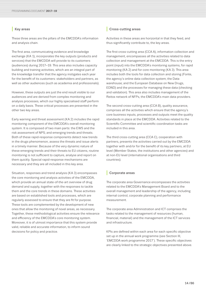## **|** Key areas

These three areas are the pillars of the EMCDDA's information and analysis chain.

The first area, communicating evidence and knowledge exchange (KA 1), incorporates the key outputs (products and services) that the EMCDDA will provide to its customers (audiences) during 2017–19. This area also includes capacity building and training activities, which are an integral part of the knowledge transfer that the agency instigates each year for the benefit of its customers: stakeholders and partners, as well as other audiences (such as academia and professionals).

However, these outputs are just the end result visible to our audiences and are derived from complex monitoring and analysis processes, which our highly specialised staff perform on a daily basis. These critical processes are presented in the other two key areas.

Early warning and threat assessment (KA 2) includes the rapid monitoring component of the EMCDDA's overall monitoring system. It is composed of two main parts: the EWS and the risk assessment of NPS; and emerging trends and threats. Both of these rapid-response components detect new trends in the drugs phenomenon, assess the threats and issue alerts in a timely manner. Because of the very dynamic nature of these emerging trends and their threats to EU citizens, routine monitoring is not sufficient to capture, analyse and report on them quickly. Special rapid-response mechanisms are necessary and they are all included in this key area.

Situation, responses and trend analysis (KA 3) encompasses the core monitoring and analysis activities of the EMCDDA, which provide an annual state-of-the-art overview of drug demand and supply, together with the responses to tackle them and the core trends in these domains. These activities are based on established tools and processes, which are regularly assessed to ensure that they are fit for purpose. These tools are complemented by the development of new ones that allow the monitoring of novel areas, as necessary. Together, these methodological activities ensure the relevance and efficiency of the EMCDDA's core monitoring system. Moreover, it is of utmost importance that this system provide valid, reliable and accurate information, to inform sound decisions for policy and practice.

## **|** Cross-cutting areas

Activities in these areas are horizontal in that they feed, and thus significantly contribute to, the key areas.

The first cross-cutting area (CCA A), information collection and management, encompasses all the activities related to data collection and management at the EMCDDA. This is the entry point (input) into the EMCDDA's monitoring systems, for rapid monitoring (KA 2) and for core monitoring (KA 3). This area includes both the tools for data collection and storing (Fonte, the agency's online data collection system; the Data warehouse; and the European Database on New Drugs, EDND) and the processes for managing these data (checking and validation). This area also includes management of the Reitox network of NFPs, the EMCDDA's main data providers.

The second cross-cutting area (CCA B), quality assurance, comprises all the activities which ensure that the agency's core business inputs, processes and outputs meet the quality standards in place at the EMCDDA. Activities related to the Scientific Committee and scientific coordination tasks are included in this area.

The third cross-cutting area (CCA C), cooperation with partners, presents the activities carried out by the EMCDDA together with and/or for the benefit of its key partners, at EU level (Member States, the institutions and other agencies) and at non-EU level (international organisations and third countries).

## **|** Corporate areas

The corporate area Governance encompasses the activities related to the EMCDDA's Management Board and to the overall management and leadership of the agency, including internal control, corporate planning and performance measurement.

The corporate area Administration and ICT comprises the tasks related to the management of resources (human, financial, material) and the management of the ICT services and infrastructure.

KPIs are defined within each area for each specific objective set up in the annual work programme (see Section III, 'EMCDDA work programme 2017'). These specific objectives are clearly linked to the strategic objectives presented above.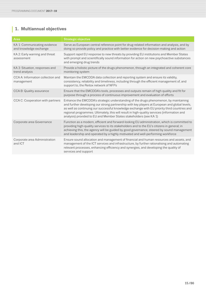## <span id="page-14-0"></span>**<sup>|</sup> 1. Multiannual objectives**

| Area                                                   | <b>Strategic objective</b>                                                                                                                                                                                                                                                                                                                                                                                                                                 |
|--------------------------------------------------------|------------------------------------------------------------------------------------------------------------------------------------------------------------------------------------------------------------------------------------------------------------------------------------------------------------------------------------------------------------------------------------------------------------------------------------------------------------|
| KA 1: Communicating evidence<br>and knowledge exchange | Serve as European central reference point for drug-related information and analysis, and by<br>doing so provide policy and practice with better evidence for decision-making and action                                                                                                                                                                                                                                                                    |
| KA 2: Early warning and threat<br>assessment           | Support rapid EU response to new threats by providing EU institutions and Member States<br>with prompt and scientifically sound information for action on new psychoactive substances<br>and emerging drug trends                                                                                                                                                                                                                                          |
| KA 3: Situation, responses and<br>trend analysis       | Provide a holistic picture of the drugs phenomenon, through an integrated and coherent core<br>monitoring system                                                                                                                                                                                                                                                                                                                                           |
| CCA A: Information collection and<br>management        | Maintain the EMCDDA data collection and reporting system and ensure its validity,<br>consistency, reliability and timeliness, including through the efficient management of, and<br>support to, the Reitox network of NFPs                                                                                                                                                                                                                                 |
| <b>CCA B: Quality assurance</b>                        | Ensure that the EMCDDA's tools, processes and outputs remain of high quality and fit for<br>purpose through a process of continuous improvement and evaluation of efforts                                                                                                                                                                                                                                                                                  |
| CCA C: Cooperation with partners                       | Enhance the EMCDDA's strategic understanding of the drugs phenomenon, by maintaining<br>and further developing our strong partnership with key players at European and global levels,<br>as well as continuing our successful knowledge exchange with EU priority third countries and<br>regional programmes. Ultimately, this will result in high-quality services (information and<br>analysis) provided to EU and Member States stakeholders (see KA 1) |
| Corporate area Governance                              | Function as a modern, efficient and forward-looking EU administration, which is committed to<br>providing high-quality services to its stakeholders and to the EU's citizens in general; in<br>achieving this, the agency will be guided by good governance, steered by sound management<br>and leadership and operated by a highly motivated and well-performing workforce                                                                                |
| Corporate area Administration<br>and ICT               | Ensure sound allocation and management of financial and human resources and assets, and<br>management of the ICT services and infrastructure, by further rationalising and automating<br>relevant processes, enhancing efficiency and synergies, and developing the quality of<br>services and support                                                                                                                                                     |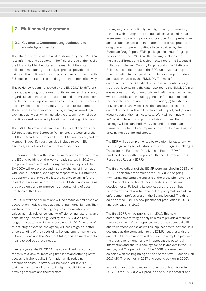## <span id="page-15-0"></span>**<sup>|</sup> 2. Multiannual programme**

## **<sup>|</sup>** 2.1 Key area 1: Communicating evidence and knowledge exchange

The ultimate purpose of the work performed by the EMCDDA is to inform sound decisions in the field of drugs at the level of the EU and its Member States. The results of the data collection, monitoring and analysis process provide the evidence that policymakers and professionals from across the EU need in order to tackle the drugs phenomenon effectively.

This evidence is communicated by the EMCDDA by different means, depending on the needs of its audiences. The agency regards its audiences as its customers and assimilates their needs. The most important means are the outputs ― products and services ― that the agency provides to its customers. These outputs are complemented by a range of knowledge exchange activities, which include the dissemination of best practice as well as capacity building and training initiatives.

The EMCDDA's main customers are its key stakeholders: the EU institutions (the European Parliament, the Council of the EU, the EC) and the European External Action Service, and the Member States. Key partners also include relevant EU agencies, as well as other international partners.

Furthermore, in line with the recommendations received from the EC and building on the work already started in 2015 with the publication of a report on drug policies at city level, the EMCDDA will explore expanding the exchange of information with local authorities, keeping the respective NFPs informed, as appropriate; this would allow the agency to gain a further insight into regional approaches to established and emerging drug problems and to improve its understanding of best practices at this level.

EMCDDA stakeholder relations will be proactive and based on cooperation models aimed at generating mutual benefit. They will have their roots in the agency's communication core values, namely relevance, quality, efficiency, transparency and consistency. This will be guided by the EMCDDA's new long-term strategy, which was developed in 2016. As part of this strategic exercise, the agency will seek to gain a better understanding of the needs of its key customers, namely the EU institutions and the Member States, and the most effective means to address these needs.

In recent years, the EMCDDA has streamlined its product range with a view to improving timeliness and offering better access to higher-quality information while reducing production costs. This work will be continued in 2017–19, taking on board developments in digital publishing when defining products and their formats.

The agency produces timely and high-quality information, together with strategic and situational analyses and threat assessments to inform policy and practice. A comprehensive annual situation assessment of trends and developments in drug use in Europe will continue to be provided by the European Drug Report (EDR) package, the annual flagship publication of the EMCDDA. The package includes the multilingual Trends and Developments report, the Statistical Bulletin and the new Country Drug Reports. The Statistical Bulletin, one of the pillars of the EDR, underwent a major transformation to distinguish better between reported data and data analysed by the EMCDDA. The main four components of the Statistical Bulletin were identified as (a) a data bank containing the data reported to the EMCDDA in an easy-access format; (b) methods and definitions, harmonised where possible, and including general information related to the indicator and country-level information; (c) factsheets, providing short analyses of the data and supporting the content of the Trends and Developments report; and (d) data visualisation of the main data sets. Work will continue within 2017–19 to develop and populate this structure. The EDR package will be launched every year and its content and format will continue to be improved to meet the changing and growing needs of its audiences.

The EDR will be complemented by two triennial state-of-theart strategic analyses of established and emerging challenges. These are the European Drug Markets Report (EDMR), produced jointly with Europol, and the new European Drug Responses Report (EDRR).

The first two editions of the EDMR were launched in 2013 and 2016. The document combines the EMCDDA's ongoing monitoring and strategic analysis of the drugs phenomenon with Europol's operational understanding of trends and developments. Following its publication, the report has become an essential reference tool for policymakers and law enforcement professionals in the EU and beyond. The third edition of the EDMR is now planned for production in 2018 and publication in 2019.

The first EDRR will be published in 2017. This new comprehensive strategic analysis aims to provide a state-ofthe-art overview of the responses to drug use across the EU and their effectiveness as well as implications for actions. It is designed as the companion to the EDMR; together with the annual EDR, these reports will provide the complete picture of the drugs phenomenon and will represent the essential information and analysis package for policymakers in the EU and beyond. The periodicity of the EDRR is planned to coincide with the beginning and end of the new EU action plan 2017–20 (first edition in 2017 and second edition in 2020).

In addition to the three major outputs described above, in 2017–19 the EMCDDA will produce and publish smaller and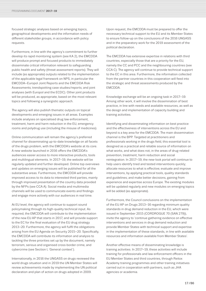focused strategic analyses based on emerging topics, geographical developments and the information needs of different stakeholder groups, in accordance with policy requests.

Furthermore, in line with the agency's commitment to further develop its rapid monitoring system (see KA 2), the EMCDDA will produce prompt and focused products to immediately disseminate critical information relevant to safeguarding public health and safety (threat assessment reports). They will include (as appropriate) outputs related to the implementation of the applicable legal framework on NPS, in particular the EMCDDA–Europol Joint Reports and the EMCDDA Risk Assessments; trendspotting case studies/reports; and joint analyses (with Europol and the ECDC). Other joint products will be produced, as appropriate, based on the most relevant topics and following a synergistic approach.

The agency will also publish thematic outputs on topical developments and emerging issues in all areas. Examples include analyses on specialised drug law enforcement, treatment, harm and harm reduction in the EU, emergency rooms and polydrug use (including the misuse of medicines).

Online communication will remain the agency's preferred channel for disseminating up-to-date knowledge on all facets of the drugs problem, with the EMCDDA's website at its core. A new website launched in 2016 offers the EMCDDA's audiences easier access to more interactive products, tools and multilingual elements. In 2017–19, the website will be regularly updated and further developed. Online top overviews and updates on emerging issues will be published for all the substantive areas. Furthermore, the EMCDDA will provide improved access to its data to interested third parties, mainly through improved presentation of the country data provided by the NFPs (see CCA A). Social media and multimedia channels will be used to communicate events and findings and engage more actively with our audiences in real time.

At EU level, the agency will continue to support sound policymaking through its high-quality technical input. As required, the EMCDDA will contribute to the implementation of the new EU AP that starts in 2017, and will provide support to the EC for the final evaluation of the EU drug strategy 2013–20. Furthermore, the agency will fulfil the obligations arising from the EU Agenda on Security 2015–20. Specifically, the EMCDDA will contribute its information and analysis to tackling the three priorities set up by the document, namely terrorism, serious and organised cross-border crime, and cybercrime (see Section I, 'General context').

Internationally, in 2016 the UNGASS on drugs reviewed the world drugs situation and in 2019 the UN Member States will review achievements made by implementing the UN political declaration and plan of action on drugs adopted in 2009.

Upon request, the EMCDDA must be prepared to offer the necessary technical support to the EU and its Member States to ensure follow-up on the conclusions of the 2016 UNGASS and in the preparatory work for the 2019 assessment of the political declaration.

The EMCDDA has extensive expertise in relations with third countries, especially those that are a priority for the EU, namely the CC and PCC and the neighbouring countries (see CCA C). The agency will continue to provide technical support to the EC in this area. Furthermore, the information collected from the partner countries in this cooperation will feed into the strategic and threat assessments produced by the EMCDDA.

Knowledge exchange will be an ongoing task in 2017–19. Among other work, it will involve the dissemination of best practice, in line with needs and available resources, as well as the design and implementation of capacity building and training activities.

Identifying and disseminating information on best practice and the effectiveness of interventions across the EU and beyond is a key area for the EMCDDA. The main dissemination channel is the BPP. Targeted at practitioners and professionals working in the drugs field, this essential tool is designed as a practical and reliable source of information on what works, and what does not, in the areas of drug-related prevention, treatment, harm reduction and social reintegration. In 2017–19, the new-look portal will continue to help users identify tried and tested interventions quickly; allocate resources to what is effective; evaluate and improve interventions, by applying practical tools, quality standards and guidelines; and make better decisions, gaining from experience and expertise across Europe. The existing modules will be updated regularly and new modules on emerging topics will be added (as appropriate).

Furthermore, the Council conclusions on the implementation of the EU AP on Drugs 2013–16 regarding minimum quality standards in drug demand reduction in the EU, which were issued in September 2015 (CORDROGUE 70 (SAN 279)), invite the agency to 'continue gathering evidence on effective interventions and services in drug demand reduction and provide Member States with technical support and expertise in the implementation of these standards, in line with available resources and information available from Member States'.

Another effective means of disseminating knowledge is training activities. In 2017–19, these activities will include training for professionals and law enforcement officers in the EU Member States and third countries, through Reitox Academy training programmes and other training initiatives carried out in cooperation with partners, such as JHA agencies or academia.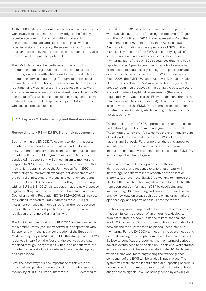As the EMCDDA is an information agency, a core aspect of its work involves disseminating its knowledge in the field by face-to-face communication at institutional events, conferences, seminars and expert meetings as well as receiving visits to the agency. These events allow focused messages to be delivered to a specialised audience; they also provide excellent multiplier potential.

The EMCDDA targets the media as a prime conduit of information to its target audiences and is committed to providing journalists with a high-quality, timely and balanced information service about drugs. Through its professional approach to media relations, the agency aims to increase its reputation and visibility, disseminate the results of its work and raise awareness among its key stakeholders. In 2017–19, continuous effort will be made to sustain strong and positive media relations with drug-specialised journalists in Europe, who act as effective multipliers.

## **|** 2.2 Key area 2: Early warning and threat assessment

## Responding to NPS ― EU EWS and risk assessment

Strengthening the EMCDDA's capacity to identify, assess, prioritise and respond to new threats as part of its core activity of monitoring emerging trends will continue as a top priority for the 2017–19 programming period. Activities conducted in support of the EU mechanism to monitor and respond to NPS represent a key component in this area. This mechanism, established by the Joint Action from 1997 concerning the information exchange, risk assessment and the control of new synthetic drugs, and currently operating under the Council Decision 2005/387/JHA, provides Europe with an EU EWS. In 2017, it is expected that the new proposed legislation (Regulation of the European Parliament and the Council amending Regulation EC No 1920/2006) will replace the Council Decision of 2005. Whereas the 2005 legal instrument entailed tight deadlines for all the tasks covered therein, the schedules stipulated by the proposed new regulation are no more than half as long.

The EWS is implemented by the EMCDDA and its partners in the Member States (the Reitox network) in cooperation with Europol, and with the active contribution of the European Medicines Agency (EMA) and the EC. The strength of the EWS is derived in part from the fact that the events-based data reported through the system sit within, and benefit from, the broader framework of indicator-based data that the agency has established.

Over the past few years, the importance of this work has grown following a dramatic increase in the number, type and availability of NPS in Europe. There were 98 NPS detected for the first time in 2015 (the last year for which complete data were available at the time of drafting this document). Together with the NPS notified in 2014, these represent 40 % of the total number of NPS monitored by the EWS since 1997. Alongside information on the appearance of NPS on the market, a key function of the EWS is to identify signals of serious harms and respond as necessary. This requires monitoring each of the over 600 substances that have been reported so far. A growing number of reports of serious harms, often related to acute toxicity leading to hospitalisation and deaths, have been processed by the EWS in recent years. Since 2005, the EMCDDA has issued over 130 public health alerts, of which close to 75 % were in the last six years. Of great concern in this respect is that during the past two years a record number of eight risk assessments (RAs) were requested by the Council of the EU (more than one third of the total number of RAs ever conducted). However, currently there is no provision for the EMCDDA to commission experimental (in vitro or in vivo) studies, which would greatly enhance the risk assessments.

The number and type of NPS reported each year is critical to understanding the development and growth of the market. These numbers, however, fail to convey the enormous amount of work undertaken in real time by the EWS network at national and EU levels. Furthermore, all the signs appear to indicate that future information needs in this area will increase; consequently, the demands placed on the EMCDDA in this respect are likely to grow.

It is clear from recent developments that the early identification of and response to emerging threats will increasingly benefit from more proactive data collection systems. As a result, the EMCDDA is working to improve the ability of the EWS to detect signals relevant to public health from open source information (OSI) by developing and implementing OSI monitoring and analysis systems that can provide new data on areas such as the online drug markets, epidemiology and reports of serious adverse events.

The toxicovigilance component of the EWS is the mechanism that permits early detection of an emerging toxicological problem related to a new substance at both national and EU levels. This allows public health alerts to be issued to the EWS network and the substance to be placed under intensive monitoring. For the EMCDDA to meet the increased needs and demands arising from the phenomenon at both national and EU levels, identification, reporting and monitoring of serious adverse events need to be scaled up. To this end, work started in previous years will be enhanced during the 2017–19 period, when a framework for strengthening the toxicovigilance component of the EWS will be gradually put in place. The system will facilitate the identification and reporting of serious events as well as optimise the reported data in order to best analyse these signals. It will be strengthened by drawing on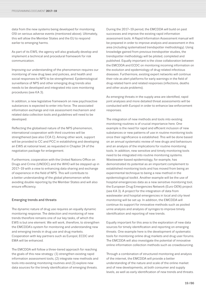data from the new systems being developed for monitoring OSI on serious adverse events (mentioned above). Ultimately, this will allow the Member States and the EU to respond earlier to emerging harms.

As part of its EWS, the agency will also gradually develop and implement a technical and procedural framework for risk communication.

Improving our understanding of the phenomenon requires our monitoring of new drug laws and policies, and health and social responses to NPS to be strengthened. Epidemiological surveillance of NPS and other emerging drug trends also needs to be developed and integrated into core monitoring procedures (see KA 3).

In addition, a new legislative framework on new psychoactive substances is expected to enter into force. The associated information exchange and risk assessment mechanism and related data collection tools and guidelines will need to be developed.

Reflecting the globalised nature of the NPS phenomenon, international cooperation with third countries will be strengthened (see also CCA C). Among other work, support will be provided to CC and PCC in establishing and developing an EWS at national level, as requested in Chapter 24 of the negotiation package for enlargement.

Furthermore, cooperation with the United Nations Office on Drugs and Crime (UNODC) and the WHO will be stepped up in 2017–19 with a view to enhancing data sharing and exchange of experience in the field of NPS. This will contribute to a better understanding of the global phenomenon while avoiding double reporting by the Member States and will also ensure efficiency.

## Emerging trends and threats

The dynamic nature of drug use requires an equally dynamic monitoring response. The detection and monitoring of new trends therefore remains one of our key tasks, of which the EWS is but one element. We will work, therefore, to strengthen the EMCDDA's system for monitoring and understanding new and emerging trends in drug use and drug markets. Cooperation with key partners such as Europol, ECDC and EMA will be enhanced.

The EMCDDA will follow a three-tiered approach for reaching the goals of this new strategy: (1) strengthen existing rapid information assessment tools, (2) integrate new methods and tools into existing monitoring routines and (3) explore new data sources for the timely identification of emerging threats.

During the 2017–19 period, the EMCDDA will build on past successes and improve the existing rapid information assessment tools. A Rapid Information Assessment manual will be prepared in order to improve analysis and assessment in this area (including systematised trendspotter methodology). Using knowledge gained from previous trendspotter studies, the trendspotter methodology will be piloted, completed and published. Equally important is the close collaboration between the EMCDDA and ECDC on monitoring incoming information on the evolution and epidemiology of drug-related infectious diseases. Furthermore, existing expert networks will continue their role as alert platforms for early warnings in the field of drug-related harm and related responses (infections, deaths and other acute problems).

As emerging threats in the supply area are identified, rapid joint analyses and more detailed threat assessments will be conducted with Europol in order to enhance law enforcement responses.

The integration of new methods and tools into existing monitoring routines is of crucial importance here. One example is the need for rapid and efficient inclusion of new substances or new patterns of use in routine monitoring tools once their significance is established. This will be done based on an annual systematic review of new drugs and behaviours and an analysis of the implications for routine monitoring tools. In addition, new sensitive and timely monitoring tools need to be integrated into routine monitoring systems. Wastewater-based epidemiology, for example, has demonstrated its potential as an important complement to established monitoring tools and has moved from being an experimental technique to being a new method in the epidemiological toolkit. Another example will be the use of hospital emergencies data as a new sensitive monitoring tool, the European Drug Emergencies Network (Euro-DEN) project (see KA 3). A project for the integration of data from wastewater and hospital emergencies in local and city-level monitoring will be set up. In addition, the EMCDDA will continue its support for innovative methods such as pooled urine analysis and analysis of syringes to improve timely identification and reporting of new trends.

Equally important for this area is the exploration of new data sources for timely identification and reporting on emerging threats. One example here is the development of systematic tools for monitoring online drug markets and drug user forums. The EMCDDA will also investigate the potential of innovative online information collection methods such as crowdsourcing.

Through a combination of structured monitoring and analysis of the internet, the EMCDDA will provide a better understanding of the nature and scale of the online market and of new developments, at both consumer and supply levels, as well as early identification of new trends and threats.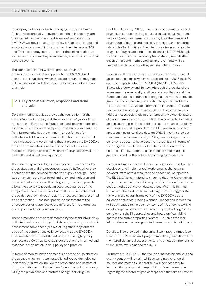Identifying and responding to emerging trends in a timely fashion relies critically on event-based data. In recent years, the internet has become a vast source of such data. The EMCDDA will develop tools that allow OSI to be collected and analysed on a range of indicators from the internet on NPS use. This includes systems to monitor the online market, as well as other epidemiological indicators, and reports of serious adverse events.

The identification of new developments requires an appropriate dissemination approach. The EMCDDA will continue to issue alerts when these are required through the EU EWS network and other expert information networks and channels.

## **<sup>|</sup>** 2.3 Key area 3: Situation, responses and trend analysis

Core monitoring activities provide the foundation for the EMCDDA's work. Throughout the more than 20 years of drug monitoring in Europe, this foundation has become more solid, as the number of tools developed by the agency with support from its networks has grown and their usefulness for collecting reliable and comparable data from across the EU has increased. It is worth noting that at present the EMCDDA's data on core monitoring accounts for most of the data available in Europe on the prevalence of drug use as well as on its health and social consequences.

The monitoring work is focused on two core dimensions: the drugs situation and the responses to tackle it. Together they address both the demand for and the supply of drugs. These two dimensions are interlinked and they feed multiarea and cross-indicator analyses. This integrated, holistic approach allows the agency to provide an accurate diagnosis of the drugs phenomenon at EU level, as well as — on the basis of the evidence drawn through scientific research and presented as best practice — the best possible assessment of the effectiveness of responses to the different forms of drug use and supply, and their consequences.

These dimensions are complemented by the rapid information collected and analysed as part of the early warning and threat assessment component (see KA 2). Together they form the basis of the comprehensive knowledge that the EMCDDA disseminates via state-of-the art outputs and high-quality services (see KA 1), as its critical contribution to informed and evidence-based action in drug policy and practice.

In terms of monitoring the demand side of the drugs situation, the agency relies on its well-established key epidemiological indicators (KIs), which include the prevalence and pattern of drug use in the general population (general population survey, GPS); the prevalence and patterns of high-risk drug use

(problem drug use, PDU); the number and characteristics of drug users contacting drug services, in particular treatment services (treatment demand indicator, TDI); the number of drug-induced deaths and mortality among drug users (drugrelated deaths, DRD); and the infectious diseases related to drug use (drug-related infectious diseases, DRID). Although these indicators are now conceptually stable, some further development and methodological improvements will be needed in order to ensure they remain fit for purpose.

This work will be steered by the findings of the last triennial assessment exercise, which was carried out in 2015 in all 30 countries reporting to the EMCDDA (the 28 EU Member States plus Norway and Turkey). Although the results of the assessment are generally positive and show that overall the European data set continues to progress, they do not provide grounds for complacency. In addition to specific problems related to the data available from some countries, the overall timeliness of reporting remains a general issue that needs addressing, especially given the increasingly dynamic nature of the contemporary drugs problem. The compatibility of data across countries is also a problem in some areas, particularly in the assessment of prevalence of PDU and in some other areas, such as parts of the data on DRD. Since the previous assessment was carried out (in 2012), worsening economic conditions appear to have become more evident in terms of their negative knock-on effect on data collection in some countries. Finally, there is a clear ongoing need to adjust guidelines and methods to reflect changing conditions.

To this end, measures to address the issues identified will be developed and implemented; work remains challenging, however, from both a resource and a technical perspective. The EMCDDA is committed to ensuring that the KIs remain fit for purpose, and at times this requires the introduction of new codes, methods and even data sources. With this in mind, a review of the medium-term and long-term strategy for the KIs within the overall framework of the EMCDDA's data collection activities is being planned. Reflections in this area will be extended to include how some of the ongoing work to develop rapid assessment and reporting methodologies can complement the KI approaches and how significant blind spots in the current reporting system — such as the lack information on acute drug-related harms — can be addressed.

Details will be provided in the annual work programmes (see Section III, 'EMCDDA work programme 2017'). Results will be monitored via annual assessments, and a new comprehensive triennial review is planned for 2018.

Furthermore, in 2017–19 the focus on increasing analysis and quality control will remain, while expanding the range of sources and methods. In parallel, it will be necessary to increase the quality and comparability of our information regarding the different types of responses that aim to prevent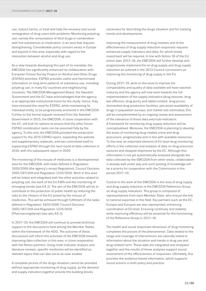use, reduce harms, or treat and help the recovery and social reintegration of drug users with problems. Monitoring polydrug use, namely the consumption of illicit drugs in combination with licit substances or medication, is an area that requires strengthening. Considerable policy concern exists in Europe and beyond in this area, especially with regard to the interaction between alcohol and drug use.

As a step towards developing this part of its mandate, the EMCDDA has significantly enhanced its collaboration with European School Survey Project on Alcohol and Other Drugs (ESPAD) activities. ESPAD provides useful and harmonised information on long-term patterns of substance use, including polydrug use, in many EU countries and neighbouring countries. The EMCDDA Management Board, the Swedish Government and the EC have acknowledged that the agency is an appropriate institutional home for the study; hence, they have stressed the need for ESPAD, while maintaining its individual entity, to be progressively anchored in the EMCDDA. Further to the formal request received from the Swedish Government in 2015, the EMCDDA, in close cooperation with the EC, will look for options to ensure that the other future ESPAD coordination tasks can be assumed fully by the agency. To this end, the EMCDDA provided the production support for the 2015 ESPAD report, expanding the website and supplementary materials, and has committed itself to supporting ESPAD through the next round of data collection in 2019, with the subsequent report in 2020.

The monitoring of the misuse of medicines is a developmental area for the EMCDDA, with tasks defined in Regulation 1920/2006 (the agency's recast Regulation), Council Decision 2005/387/JHA and Regulation 1235/2010. Work in this area will be linked and integrated with the other activities related to polydrug use, the work of the EU EWS and the monitoring of emerging trends (see KA 2). The aim of the EMCDDA will be to contribute to the protection of public health by reducing the risks to the citizens of the EU posed by the misuse of medicines. This will be achieved through fulfilment of the tasks defined in Regulation 1920/2006, Council Decision 2005/387/JHA and Regulation 1235/2010 (Pharmacovigilance) (see also KA 2).

In 2017–19, the EMCDDA will continue to provide technical support to the discussions held among the Member States within the framework of the HDG. The outcome of these discussions will inform the activities of the EMCDDA towards improving data collection in this area, in close cooperation with the Reitox partners. Using multi-indicator analysis and literature reviews, specific medicines will be identified as relevant topics that can also serve as case studies.

A complete picture of the drugs situation cannot be provided without appropriate monitoring of drug supply, as the demand and supply indicators together provide the building blocks

necessary for describing the drugs situation and for tracking trends and developments.

Improving the measurement of drug markets and of the effectiveness of drug supply reduction responses requires enhanced supply indicators and data, for which timely investment will be required. In line with Action 16 of the EU action plan 2013–16, the EMCDDA will further develop and progressively implement KIs on drug supply and drug supply reduction as outlined in the 2013 Council conclusions on improving the monitoring of drug supply in the EU.

During 2017–19, work on the tools to improve the comparability and quality of data available will have reached maturity and the agency will now work towards the full implementation of the supply indicators (drug seizures, drug law offences, drug purity and tablet content, drug prices, dismantled drug production facilities, perceived availability of drugs in population surveys, and market size estimates); this will be complemented by an ongoing review and assessment of the relevance of these data sets/sub-indicators. A framework for monitoring drug supply reduction will be conceptualised. Moreover, the EMCDDA is planning to develop the areas of monitoring drug-related crime and drug precursors, progressively and in line with available resources. To this end, an important element of EU-level drug-monitoring efforts is the collection and analysis of data on drug precursor seizures and stopped shipments by the EC. Although this information is not yet systematically analysed alongside the data collected by the EMCDDA from other areas, collaboration is already well under way and such pooling of knowledge will be a priority for cooperation with the Commission in the period 2017–19.

Central to the work of the EMCDDA in the area of drug supply and drug supply reduction is the EMCDDA Reference Group on drug supply indicators. This group is composed of representatives from each Member State, who ensure the link to national expertise in this field. Key partners such as the EC, Europol and Eurojust are also represented, enhancing coordination at EU level. Ensuring continuity and stability while improving efficiency will be essential for the functioning of the Reference Group in 2017–19.

The health and social responses dimension of drug monitoring completes the picture of the phenomenon. Data related to the range and coverage of interventions are naturally linked to information about the situation and trends in drug use and drug-related harm. These data are integrated and analysed together and the results of these analyses support sound assessment of the effectiveness of responses. Ultimately, this provides the evidence-based information, which supports sound actions in both policy and practice.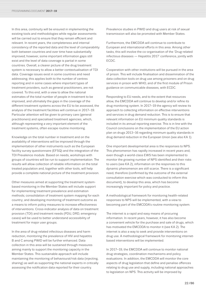In this area, continuity will be ensured in implementing the existing tools and methodologies while regular assessments will be carried out to ensure that they remain efficient and relevant. In recent years, the completeness and internal consistency of the reported data and the level of comparability both between countries and over time have substantially improved; however, some important information gaps still exist and the level of data coverage is partial in some countries. Overall, a clearer picture of the drug treatment system is necessary to allow a better contextualisation of TDI data. Coverage issues exist in some countries and need addressing; this applies both to the number of centres reporting and in some cases where important types of treatment providers, such as general practitioners, are not covered. To this end, with a view to allow the national estimates of the total number of people in treatment to be improved, and ultimately the gaps in the coverage of the different treatment systems across the EU to be assessed, the analysis of the treatment facilities will continue in 2017–19. Particular attention will be given to primary care (general practitioners) and specialised treatment agencies, which, although representing a very important element of the treatment systems, often escape routine monitoring.

Knowledge on the total number in treatment and on the availability of interventions will be improved through the implementation of other instruments such as the European facility survey questionnaire (EFSQ) and the integration of the TDI Prevalence module. Based on needs, workshops with groups of countries will be run to support implementation. The results will allow collection of reliable information on the total treated population and, together with other tools, will help provide a complete national picture of the treatment provision.

Other measures aimed at supporting the treatment systembased monitoring in the Member States will include support for implementing treatment prevalence and estimation methods; consolidation of treatment system mapping for each country; and developing monitoring of treatment outcome as a means to inform policy measures to increase effectiveness of interventions. Cross-indicator analysis of data on treatment provision (TDI) and treatment needs (PDU, DRD, emergency cases) will be used to better understand accessibility of treatment for major user groups.

In the area of drug-related infectious diseases and harm reduction, monitoring the prevalence of HIV and hepatitis B and C among PWID will be further enhanced. Data collection in this area will be sustained through measures aiming mainly to support the monitoring capacity in the Member States. This sustainable approach will include maintaining the monitoring of behavioural/risk data (injecting, sharing) as well as supporting the national experts in critically assessing the notification data reported for their country.

Prevalence studies in PWID and drug users at risk of sexual transmission will also be promoted with Member States.

Furthermore, the EMCDDA will continue to contribute to European and international efforts in this area. Among other tasks, this will involve the co-organisation of the 'Drug-related infectious diseases — Hepatitis 2017' conference, jointly with ECDC.

Cooperation with other institutions will be pursued in the area of prison. This will include finalisation and dissemination of the data collection tools on drug use among prisoners and on drug services in prison with WHO, and of the first module of Prison guidance on communicable diseases, with ECDC.

Responding to EU needs, and to the extent that resources allow, the EMCDDA will continue to develop and/or refine its drug monitoring system. In 2017–19 the agency will review its approach to collecting information on effective interventions and services in drug demand reduction. This is to ensure that relevant information on EU minimum quality standards is included in its annual reporting exercise. This is in line with the Council conclusions on the implementation of the EU action plan on drugs 2013–16 regarding minimum quality standards in drug demand reduction in the European Union (see also KA 1).

One important developmental area is the responses to NPS. This phenomenon has rapidly increased in recent years and, even though a world-class EWS has been implemented to monitor the growing number of NPS identified and their risks to users (see KA 2), information on the responses to this dynamic phenomenon are still scarce. There is a significant need, therefore (confirmed by the outcome of the external consultation exercise which was conducted to inform this document), to develop this area, which has become increasingly important for policy and practice.

A methodological framework for monitoring health-related responses to NPS will be implemented, with a view to becoming part of the EMCDDA's routine monitoring system.

The internet is a rapid and easy means of procuring information. In recent years, however, it has also become a convenient vehicle for the purchase and sale of drugs, which has motivated the EMCDDA to monitor it (see KA 2). The internet is also a way to seek and provide interventions on drug use. A methodological framework for monitoring internetbased interventions will be implemented.

In 2017–19, the EMCDDA will continue to monitor national drug strategies, coordination mechanisms and policy evaluations. In addition, the EMCDDA will monitor the core aspects of drug legislation that define and penalise offences relating to drug use and supply, including national approaches to legislation on NPS. This activity will be improved by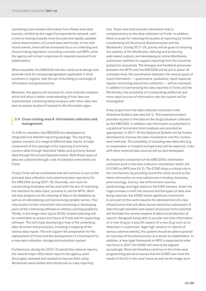combining more closely information from Reitox and other sources, verified by the Legal Correspondents network, with a view to moving towards more focused and rapidly updated online dissemination of current laws and trends. In line with recent events, there will be increased focus on collecting and disseminating legislation controlling cannabis and NPS, while the agency will remain responsive to requests received from stakeholders.

Where possible, the EMCDDA will also continue to design and promote tools for comparing legislation applicable in third countries or regions, with the aim of building on exchange of information and good practice.

Moreover, the agency will increase its cross-indicator analysis, which will allow a better understanding of how laws are implemented, combining these analyses with other data sets and innovative studies if required to fill information gaps.

## **<sup>|</sup>** 2.4 Cross-cutting area A: Information collection and management

To fulfil its mandate, the EMCDDA has developed an integrated and detailed reporting package. The reporting system consists of a range of different data inputs. A major component of this package is the reporting of primarily numeric data through Standard Tables and primarily textual data through Structured Questionnaires. Both these types of data are collected through a set of standard instruments via Fonte.

Firstly, Fonte will be maintained and will continue to act as the principal data collection instrument and data repository for the EMCDDA during 2017–19. Secondly, new tools for constructing templates will be used with the aim of improving the interface for data input, primarily to aid the NFPs. Work will also progress on the cleaning of data in the database as well as on rationalising and harmonising variable names. This may involve further investment into correcting or developing parts of the underlying software to redress existing problems. Thirdly, in the longer term (up to 2019), forward planning will be undertaken to assess the future of Fonte and its supporting software. This will imply developing a map of the underlying data structure and processes, including a mapping of the various data inputs. This will support the preparation for the replacement of Fonte and the development of a framework for a new data collection, storage and extraction system.

Furthermore, during the 2013–15 period the national reports, the second major information input to the agency, were thoroughly reviewed and revised to improve their utility. Workbooks were piloted and introduced as a key reporting

tool. These new tools provide information that is complementary to the data collected via Fonte. In addition, there is scope for reducing the burden of reporting by further coordinating the Structured Questionnaires and the Workbooks. During 2017–19, priority will be given to ensuring the stability of the Workbooks, defining and producing web-based outputs, and developing an online Workbooks submission platform to support reporting from the countries (subject to resources). The dialogue and feedback processes between the NFPs and the EMCDDA will be put in place. At a broader level, the coordination between the various types of input information ― quantitative, qualitative, rapid response, regular monitoring and ad hoc collection ― will be improved. In addition to harmonising the data reported in Fonte and the Workbooks, the possibility of incorporating additional and more rapid sources of information into the system will be investigated.

A key output from the data collection activities is the Statistical Bulletin (see also KA 1). This essential product provides access to the data on the drugs situation collected by the EMCDDA. In addition, key information is presented in a graphical format and short analyses are provided as appropriate. In 2017–19 the Statistical Bulletin will be further developed to improve the data visualisation and the countrylevel methods. The possibility of including new data sets (e.g. on wastewater or hospital emergencies) will be explored. Links with other external data sources will be also developed.

An important component of the EMCDDA's information collection work is the data collection mechanism within the EU EWS on NPS (see KA 2). The EDND plays a critical role in this mechanism, by providing round-the-clock access to the latest information on new substances including chemistry, pharmacology, toxicity, law enforcement seizures, epidemiology and legal status to the EWS network. Given the huge increase in both the amount and the types of data now being reported, the EDND needs significant investment. A core part of this work requires the development of a new infrastructure that will allow secure electronic submission of data through standard web-based structured forms and that will facilitate the central analysis of data and production of reports. Alongside being able to provide real-time information on a new drug (or a specific aspect of a new drug such as its detection in a particular 'legal high' product or reports of serious adverse events), the system should be able to provide an overview of the phenomenon as a whole to stakeholders. In addition, a new legal framework on NPS is expected to enter into force in 2017; the EDND will need to be aligned accordingly. Work will therefore continue in this three-year programming period to ensure that the EDND can meet the needs of the EU in the near future as well as the longer term.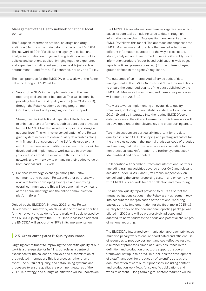## Management of the Reitox network of national focal points

The European information network on drugs and drug addiction (Reitox) is the main data provider of the EMCDDA. This network of 30 NFPs allows the agency to collect and analyse information on drugs and drug addiction, as well as on policies and solutions applied, bringing together experience and expertise from different sectors — health, justice, law enforcement — and from all EU countries, Norway and Turkey.

The main priorities for the EMCDDA in its work with the Reitox network during 2017–19 will be to:

- a) Support the NFPs in the implementation of the new reporting package described above. This will be done by providing feedback and quality reports (see CCA area B), through the Reitox Academy training programme (see KA 1), as well as by ongoing technical support.
- b) Strengthen the institutional capacity of the NFPs, in order to enhance their performance, both as core data providers for the EMCDDA but also as reference points on drugs at national level. This will involve consolidation of the Reitox grant system in order to ensure quality deliverables along with financial transparency of the EU funds used to that end. Furthermore, an accreditation system for NFPs will be developed and implemented; work started in previous years will be carried out in line with the needs of the network, and with a view to enhancing their added value at both national and EU levels.
- c) Enhance knowledge exchange among the Reitox community and between Reitox and other partners, with a view to further developing synergies and improving overall communication. This will be done mainly by means of the annual meetings and the online communication platform (forum).

Guided by the EMCDDA Strategy 2025, a new Reitox Development Framework, which will define the main priorities for the network and guide its future work, will be developed by the EMCDDA jointly with the NFPs. Once it has been adopted, the EMCDDA will support the NFPs in its implementation.

## **|** 2.5 Cross-cutting area B: Quality assurance

Ongoing commitment to improving the scientific quality of our work is a prerequisite for fulfilling our role as a centre of excellence for the collection, analysis and dissemination of drug-related information. This is a process rather than an event. The pursuit of quality, and establishing systems and processes to ensure quality, are prominent features of the 2017–19 strategy, and a range of initiatives will be undertaken.

The EMCDDA is an information-intensive organisation, which bases its core tasks on adding value to data through an information value chain. Data quality management at the EMCDDA follows this model. The approach encompasses the EMCDDA's raw material (the data that are collected from different information sources) and the way it is collected, stored, analysed and transformed for use in different types of information products (paper-based publications, web pages, reports, articles, presentations, etc.) for the different target groups defined in the agency's regulation.

The outcomes of an Internal Audit Service audit of data management at the EMCDDA in early 2017 will inform actions to ensure the continued quality of the data published by the EMCDDA. Measures to document and harmonise processes will continue in 2017–19.

The work towards implementing an overall data quality framework, including for non-statistical data, will continue in 2017–19 and be integrated into the routine EMCDDA core data processes. The different elements of this framework will be developed under the relevant key and cross-cutting areas.

Two main aspects are particularly important for the data quality assurance CCA: developing and piloting indicators for the principles set out in the Internal statistical code of practice and ensuring that data flow core processes, including for non-statistical data/information, are further systematised/ standardised and documented.

Collaboration with Member States and international partners (including training activities covered under KA 1 and relevant activities under CCAs A and C) will focus, respectively, on consolidating the current reporting system and on complying with EMCDDA standards for data collection and monitoring.

The national quality report provided to NFPs as part of the mutual obligations set out in the Reitox grant agreement took into account the reorganisation of the national reporting package and its implementation for the first time in 2015–16. Quality feedback on the new national reporting package was piloted in 2016 and will be progressively adjusted and adapted, to better address the needs and potential challenges of national reporting.

The EMCDDA's integrated communication approach privileges multidisciplinary work to ensure coordinated and efficient use of resources to produce pertinent and cost-effective results. A number of processes aimed at quality assurance in the definition and production of outputs support the overall framework set up in this area. This includes the development of a staff handbook for production of scientific output, the documentation of core output processes, including content and production workflows for scientific publications and website content. A long-term digital content roadmap will be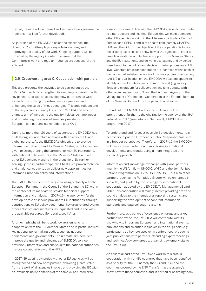drafted, training will be offered and an overall web governance mechanism will be further developed.

As guardian of the EMCDDA's scientific excellence, the Scientific Committee plays a key role in assuring and improving the quality of our work. Ongoing support will be provided by the agency in order to ensure that the Committee's work and regular meetings are successful and efficient.

## **|** 2.6 Cross-cutting area C: Cooperation with partners

This area presents the activities to be carried out by the EMCDDA in order to strengthen its ongoing cooperation with key partners, as well as to develop new partnerships with a view to maximising opportunities for synergies and enhancing the value of these synergies. This area reflects one of the key business principles of the EMCDDA and has the ultimate aim of increasing the quality (relevance, timeliness) and broadening the scope of services provided to our European and national stakeholders (see KA 1).

During its more than 20 years of existence, the EMCDDA has built strong, collaborative relations with an array of EU and global partners. As the EMCDDA's objective is to provide information to the EU and its Member States, priority has been given to strengthening the partnership with EU institutions, with national policymakers in the Member States and with other EU agencies working in the drugs field. By further scaling up these partnerships, the EMCDDA's proven technical and analytical capacity can deliver new opportunities for informed European policy and interventions.

The EMCDDA has been working increasingly closely with the European Parliament, the Council of the EU and the EC within the context of its mandate to provide technical support, information and analysis. In 2017–19 the agency will further develop its role of service provider to EU institutions, through contributions to EU policy documents, key drug-related events, other activities and initiatives, as requested and in line with the available resources (for details, see KA 1).

Another highlight will be to work towards enhancing cooperation with the EU Member States and in particular with key national policymaking bodies, such as national parliaments and governments. The ultimate aim here is to improve the quality and relevance of EMCDDA service provision (information and analysis) to the national authorities, in close collaboration with the NFPs.

In 2017–19 existing synergies with other EU agencies will be strengthened and new ones pursued, delivering greater value from the work of all agencies involved and providing the EC with an invaluable holistic analysis of the complex and interlinked

issues in this area. In line with the EMCDDA's vision to contribute to a more secure and healthier Europe, this will mainly concern other EU agencies working in the JHA area (particularly Europol, Eurojust and CEPOL) and in the health field (namely CHAFEA, EMA and the ECDC). The objective of the cooperation is to use the existing expertise and know-how of the agencies in order to provide operational and technical support to the Member States and the EU institutions, and deliver cross-agency and evidencebased input to the policy- and decision-making processes at EU level. Concrete areas for cooperation are identified within each of the concerned substantive areas of the work programme (namely KAs 1, 2 and 3). In addition, the EMCDDA will explore options to identify areas of strategic and common interest (e.g. money flows and migration) for collaboration and joint outputs with other agencies, such as FRA and the European Agency for the Management of Operational Cooperation at the External Borders of the Member States of the European Union (Frontex).

The role of the EMCDDA within the JHA area will be strengthened, further to the chairing by the agency of the JHA network in 2017 (see details in Section III, 'EMCDDA work programme 2017').

To understand and forecast possible EU developments, it is necessary to put the European situation/responses/markets in a broader perspective. Therefore, in 2017–19 the EMCDDA will pay increased attention to monitoring international developments and trends, using a more integrated and focused approach.

Information and knowledge exchange with global partners (mainly the UN family — UNODC, WHO and the Joint United Nations Programme on HIV/AIDS, UNAIDS — but also other partners, such as the Pompidou Group) will be enhanced in line with, and guided by, the strategy for international cooperation adopted by the EMCDDA's Management Board in 2007. This cooperation will mainly involve providing data and sound analysis to the international reporting systems, and supporting the development of coherent information standards and data collection systems.

Furthermore, as a centre of excellence on drugs and a key partner worldwide, the EMCDDA will contribute with its know-how to important European and international events, publications and scientific initiatives in the drugs field (e.g. participating as keynote speaker in conferences, producing joint publications with partners, attending expert meetings and technical/advisory groups, organising external visits to the EMCDDA).

An essential part of the EMCDDA's work in this area is cooperation with non-EU countries that have been identified as a priority for the EU, namely the CC and PCC and the countries covered by the ENP. Transferring the agency's know-how to these countries, and in particular assisting them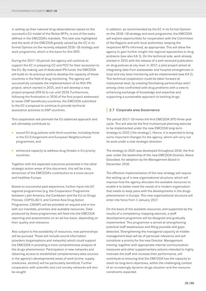in setting up their national drug observatories based on the successful EU model of the Reitox NFPs, is one of the tasks defined in the EMCDDA's mandate. This task was highlighted and the work of the EMCDDA greatly valued by the EC in its formal Opinion on the recently adopted 2016–18 strategy and work programme, which is the basis for this SPD.

During the 2017–19 period, the agency will continue to support the EC in preparing CC and PCC for their accession to the EU. By making use of dedicated IPA funds, the EMCDDA will build on its previous work to develop the capacity of these countries in the field of drug monitoring. The agency will successfully complete the implementation of its fifth IPA project, which started in 2015, and it will develop a new project proposal (IPA 6) to run until 2019. Furthermore, following the finalisation in 2016 of the first project addressed to seven ENP beneficiary countries, the EMCDDA submitted to the EC a proposal to continue to provide technical assistance activities to ENP countries.

This cooperation will promote the EU balanced approach and will ultimately contribute to:

- sound EU drug policies with third countries, including those in the EU Enlargement and European Neighbourhood programmes; and
- enhanced capacity to address drug threats in EU priority countries.

Together with the expected outcomes presented in the other strategic action areas of this document, this will be a key dimension of the EMCDDA's contribution to a more secure and healthier Europe.

Based on successful past experience, further input into EC regional programmes (e.g. the Cooperation Programme between Latin America, the Caribbean and the EU on Drugs Policies, COPOLAD II, and Central Asia Drug Action Programme, CADAP) will be provided on request and in line with our mandate, priorities and available resources. Data produced by these programmes will feed into the EMCDDA reporting and assessments on an ad hoc basis, depending on their quality and relevance.

Also subject to the availability of resources, new partnerships will be pursued. These will include sound information providers (organisations and networks) which could support the EMCDDA in providing a more comprehensive analysis of the drugs phenomenon. Participation in new networks and obtaining access to established complementary data sources in the agency's developmental areas of work (crime, supply, medicines, alcohol) will be particularly beneficial. Further cooperation with scientific and civil society networks will also be sought.

In addition, as recommended by the EC in its formal Opinion on the 2016–18 strategy and work programme, the EMCDDA will explore opportunities for cooperation with the Committee of the Regions and with local authorities, keeping the respective NFPs informed, as appropriate. This will allow the agency to gain further insight into regional approaches to drug problems (see also KA 1). On the technical side, work already started in 2015 with the release of a well-received publication on drug policies at city level. In 2017, a pilot project aimed at integrating data from wastewater and hospital emergencies in local and city-level monitoring will be implemented (see KA 2). This technical cooperation could be taken forward at institutional level, by creating/facilitating partnerships with/ among cities confronted with drug problems with a view to enhancing exchange of knowledge and expertise and supporting a sustainable approach to tackling drugs.

## **|** 2.7 Corporate area Governance

The period 2017–19 marks the first EMCDDA SPD three-year cycle. This will also be the first multiannual planning exercise to be implemented under the new EMCDDA long-term strategy to 2025 ('the strategy'). Hence, it is expected to bring some important changes for the agency, which will carry out its work under a new strategic direction.

The strategy to 2025 was developed throughout 2016, the first year under the leadership of the new EMCDDA Director, Alexis Goosdeel, for adoption by the Management Board in December 2016.

The effective implementation of the new strategy will require the setting up of a new organisational structure, which will improve how the agency allocates the available resources to enable it to better meet the needs of a modern organisation that needs to keep pace with the developments in the drugs phenomenon in Europe. This new organisational structure will enter into force from 1 January 2017.

On the basis of the available resources, and supported by the results of a competency-mapping exercise, a staff development programme will be designed and gradually implemented. This programme is aimed at strengthening potential staff weaknesses and filling possible skill gaps detected. Strengthening the managerial capacity at middlemanagement level will be of particular relevance and will constitute a priority for the new Director. Management training, together with appropriate internal communication measures and other supplementary actions intended to highly motivate the staff and increase their performance, will contribute to ensuring that the EMCDDA has the capacity to reach its long-term objectives, within the challenging context of an increasingly dynamic drugs situation and the resource constraints expected.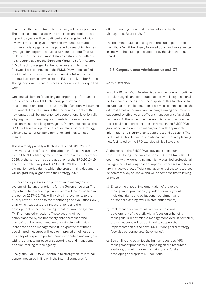In addition, the commitment to efficiency will be stepped up. The process to rationalise work processes and tools initiated in previous years will be continued and strengthened with a view to maximising value from the investments made. Further efficiency gains will be pursued by searching for new synergies for corporate services with our partners. This will build on the successful model already established with our neighbouring agency the European Maritime Safety Agency (EMSA), acknowledged by the EC as an example to be followed. Last, but not least, the EMCDDA will seek to find additional resources with a view to making full use of its potential to provide services to the EU and its Member States. The agency's values and business principles will underpin this work.

One crucial element for scaling up corporate performance is the existence of a reliable planning, performance measurement and reporting system. This function will play the fundamental role of ensuring that the core elements of the new strategy will be implemented at operational level by fully aligning the programming documents to the new vision, mission, values and long-term goals. Documents such as the SPDs will serve as operational action plans for the strategy, allowing its concrete implementation and monitoring of results.

This is already partially reflected in this first SPD 2017–19; however, given the fact that the adoption of the new strategy by the EMCDDA Management Board took place in December 2016, at the same time as the adoption of the SPD 2017–19 and of the preliminary draft SPD 2018–20, there will be a transition period during which the programming documents will be gradually aligned with the Strategy 2025.

Further developing a sound performance management system will be another priority for the Governance area. The important steps made in previous years will be intensified in the period 2017–19. This will involve improvements to the quality of the KPIs and to the monitoring and evaluation (M&E) plan, which supports their measurement, and the development of the new management information system (MIS), among other actions. These actions will be complemented by the necessary enhancement of the agency's staff project management skills, including risk identification and management. It is expected that these coordinated measures will lead to improved timeliness and reliability of corporate performance information and analysis, with the ultimate purpose of supporting sound management decision-making for the agency.

Finally, the EMCDDA will continue to strengthen its internal control measures in line with the internal standards for

effective management and control adopted by the Management Board in 2010.

The recommendations arising from the audits performed at the EMCDDA will be closely followed up on and implemented in line with the action plans adopted by the Management Board.

## **|** 2.8 Corporate area Administration and ICT

## **Administration**

In 2017–19 the EMCDDA administration function will continue to make a significant contribution to the overall organisational performance of the agency. The purpose of this function is to ensure that the implementation of activities planned across the different areas of this multiannual programming document is supported by effective and efficient management of available resources. At the same time, the administration function has the critical role of providing those involved in the EMCDDA's governance and executive management with appropriate information and instruments to support sound decisions. The better integration between operational and resource planning now facilitated by the SPD exercise will facilitate this.

At the heart of the EMCDDA's activities are its human resources. The agency employs some 100 staff from 16 EU countries with wide-ranging and highly qualified professional backgrounds. Ensuring that appropriate processes and tools are in place to allow efficient management of these resources is therefore a key objective and will encompass the following priorities:

- a) Ensure the smooth implementation of the relevant management processes (e.g. rules of employment, individual rights and obligations, recruitment and personnel planning, work-related entitlements).
- b) Implement effective measures for professional development of the staff, with a focus on enhancing managerial skills at middle-management level. In particular, these measures will be designed to support the implementation of the new EMCDDA long-term strategy (see also corporate area Governance).
- c) Streamline and optimise the human resources (HR) management processes. Depending on the resources available, this will involve maintaining and further developing appropriate ICT solutions.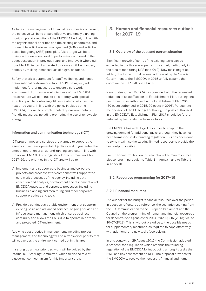<span id="page-27-0"></span>As far as the management of financial resources is concerned, the objective will be to ensure effective and timely planning, monitoring and execution of the EMCDDA budget, in line with the organisational priorities and the existing constraints, and pursuant to activity-based management (ABM) and activitybased budgeting (ABB) principles. A key target will be to maintain the excellent level of performance achieved in the budget execution in previous years, and improve it where still possible. Efficiency of all related processes will be pursued, namely by making increased use of digital solutions.

Safety at work is paramount for staff wellbeing, and hence organisational performance. In 2017–19 the agency will implement further measures to ensure a safe work environment. Furthermore, efficient use of the EMCDDA infrastructure will continue to be a priority, with special attention paid to controlling utilities-related costs over the next three years. In line with the policy in place at the EMCDDA, this will be complemented by environmentally friendly measures, including promoting the use of renewable energy.

## Information and communication technology (ICT)

ICT programmes and services are planned to support the agency's core developmental objectives and to guarantee the smooth operation of all up-and-running services. In line with the overall EMCDDA strategic development framework for 2017–19, the priorities in the ICT area will be to:

- a) Implement and support core business and corporate projects and processes: this component will support the core work processes of the agency, including data collection and analysis, development and dissemination of EMCDDA outputs, and corporate processes, including business planning and monitoring and other corporate support practices and tools.
- b) Provide a continuously stable environment that supports existing basic and advanced services: ongoing service and infrastructure management which ensures business continuity and allows the EMCDDA to operate in a stable and protected ICT environment.

Applying best practice in management, including project management, and technology will be a transversal priority that will cut across the entire work carried out in this area.

In setting up annual priorities, work will be guided by the internal ICT Steering Committee, which fulfils the role of a governance mechanism for this important area.

## **<sup>|</sup> 3. Human and financial resources outlook for 2017–19**

## **3.1 Overview of the past and current situation**

Significant growth of some of the existing tasks can be expected in the three-year period concerned, particularly in the area of monitoring NPS (see KA 2). New tasks might be added, due to the formal request addressed by the Swedish Government to the EMCDDA in 2015 to fully assume the coordination of ESPAD (see KA 3).

Nevertheless, the EMCDDA has complied with the requested reduction of its staff as per its Establishment Plan, cutting one post from those authorised in the Establishment Plan 2016 (80 posts authorised in 2015, 79 posts in 2016). Pursuant to the decision of the EU budget authority, the posts authorised in the EMCDDA's Establishment Plan 2017 should be further reduced by two posts (i.e. from 79 to 77).

The EMCDDA has redeployed resources to adapt to the growing demand for additional tasks, although they have not been formalised in its founding regulation. This has been done to try to maximise the existing limited resources to provide the best output possible.

For further information on the allocation of human resources, please refer in particular to Table 1 in Annex II and to Table 1 in Annex III.

## **|** 3.2 Resources programming for 2017–19

## 3.2.1 Financial resources

The outlook for the budget/financial resources over the period in question reflects, as a reference, the scenario resulting from the EC Communication to the European Parliament and the Council on the programming of human and financial resources for decentralised agencies for 2014–2020 (COM(2013) 519 of 10/07/2013). This is without prejudice to the possible needs for supplementary resources, as required to cope effectively with additional and new tasks (see below).

In this context, on 29 August 2016 the Commission adopted a proposal for a regulation which amends the founding regulation of the EMCDDA by introducing among its tasks the EWS and risk assessment on NPS. The proposal provides for the EMCDDA to receive the necessary financial and human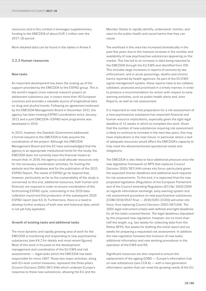resources and in this context it envisages supplementary funding to the EMCDDA of about EUR 1 million over the 2017–20 period.

More detailed data can be found in the tables in Annex II.

## 3.2.2 Human resources

## New tasks

An important development has been the scaling up of the support provided by the EMCDDA to the ESPAD group. This is the world's largest cross-national research project on adolescent substance use; it covers more than 40 European countries and provides a valuable source of longitudinal data on drug and alcohol trends. Following an agreement endorsed by the EMCDDA Management Board in December 2011, the agency has been hosting ESPAD coordination since January 2013 and a joint EMCDDA–ESPAD work programme was developed in 2014.

In 2015, however, the Swedish Government addressed a formal request to the EMCDDA to fully assume the coordination of the project. Although the EMCDDA Management Board and the EC have acknowledged that the agency is an appropriate institutional home for the study, the EMCDDA does not currently have the financial means to ensure that. In 2016, the agency could allocate resources only for the necessary coordination activities, for hosting the website and the database and for the publication of the 2015 ESPAD Report. The needs of ESPAD go far beyond that, however, particularly as far as the sustainability of the study is concerned; to this end, additional resources, both human and financial, are required in order to ensure coordination of the forthcoming ESPAD cycle, culminating in the 2019 data collection round and the production of the subsequent 2020 ESPAD report (see KA 3). Furthermore, there is a need to develop further analysis of both new and historical data, which is not yet fully exploited.

## Growth of existing tasks and additional tasks

The most dynamic and rapidly growing area of work for the EMCDDA is monitoring and responding to new psychoactive substances (see KA 2 for details and most recent figures). Most of this work is focused on the development, management and coordination of the EU EWS and risk assessments — legal tasks which the EMCDDA has been responsible for since 1997. These two major activities, along with EU-level control measures, represent the three pillars (Council Decision 2005/387/JHA) which underpin Europe's response to these new substances, allowing the EU and the

Member States to rapidly identify, understand, monitor, and react to the public health and social harms that they can cause.

The workload in this area has increased dramatically in the past few years due to the massive increase in the number and availability of new psychoactive substances appearing on the market. This has led to an increase in data being reported to the EMCDDA through the EU EWS and identified from OSI. This includes large increases in reports of seizures by law enforcement, and in acute poisonings, deaths and chronic harms reported by health agencies. As part of the EU EWS signal management system, these reports have to be collated, validated, assessed and prioritised in a timely manner, in order to produce a recommendation for action with respect to early warning activities, such as public health alerts and Joint Reports, as well as risk assessment.

It is important to note that preparation for a risk assessment of a new psychoactive substance has important financial and human resource implications, especially given the tight legal deadline of 12 weeks in which to complete this work. Given that the number of new substances requiring risk assessment is likely to continue to increase in the next few years, this may have implications in the near future, in particular where a lack of adequate resources would affect the EMCDDA's capacity to fully meet the abovementioned operational needs and obligations.

The EMCDDA is also likely to face additional pressure once the new legislative framework on NPS that replaces Council Decision 2005/387/JHA comes into force, particularly given the expected shorter deadlines and additional work required for risk assessments. To this end, it is expected that the new proposed legislation (Regulation of the European Parliament and of the Council amending Regulation (EC) No 1920/2006 as regards information exchange, early warning system and risk assessment procedure on new psychoactive substances (COM/2016/0547 final — 2016/0261 (COD)) will enter into force, thus replacing Council Decision 2005/387/JHA. The 2005 legal instrument entails well-defined and tight deadlines for all the tasks covered therein. The legal deadlines stipulated by the proposed new regulation, however, are no more than half the length, e.g. two weeks for collecting data from the Reitox NFPs, five weeks for drafting the initial report and six weeks for preparing a requested risk assessment. In addition, the new regulation foresees the inclusion of new tasks, additional information and new working procedures in the operation of the EWS and RA.

Significant resources are also required to ensure the replacement of the ageing EDND — Europe's information hub on new substances (see CCA A) — with a next-generation information system that can meet the growing needs of the EU.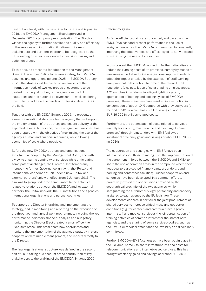Last but not least, with the new Director taking up his post in 2016, the EMCDDA Management Board approved in December 2015 a temporary reorganisation. The Director wishes the agency to further develop the quality and efficiency of the services and information it delivers to its main stakeholders and partners, in order to be recognised as the 'EU's leading provider of evidence for decision-making and action on drugs'.

To this end, he presented for adoption to the Management Board in December 2016 a long-term strategy for EMCDDA activities and operations up until 2025 — EMCDDA Strategy 2025. The strategy will be based on an analysis of the information needs of two key groups of customers to be treated on an equal footing by the agency — the EU institutions and the national policymakers — while exploring how to better address the needs of professionals working in the field.

Together with the EMCDDA Strategy 2025, he presented a new organisational structure for the agency that will support the implementation of the strategy and ensure delivery of the expected results. To this end, the new organisational chart has been prepared with the objective of maximising the use of the agency's human and financial resources, while allowing economies of scale where possible.

Before the new EMCDDA strategy and organisational structure are adopted by the Management Board, and with a view to ensuring continuity of services while anticipating some potential changes, the Director Elect temporarily merged the former 'Governance' unit with the 'Reitox and international cooperation' unit under a new 'Reitox and external partners' unit with effect from 1 January 2016. The aim was to group under the same umbrella the activities related to relations between the EMCDDA and its external partners: the Reitox network, the EU institutions and agencies, international organisations and partner countries.

To support the Director in drafting and implementing the strategy, and in monitoring and reporting on the execution of the three-year and annual work programmes, including the key performance indicators, financial analysis and budgetary monitoring, the Director Elect created a small office, the 'Executive office'. This small team now coordinates and monitors the implementation of the agency's strategy in close cooperation with middle management, and reports directly to the Director.

The final organisational structure was defined in the second half of 2016 taking due account of the contribution of key stakeholders to the drafting of the EMCDDA Strategy 2025.

## Efficiency gains

As far as efficiency gains are concerned, and based on the EMCDDA's past and present performance in the use of assigned resources, the EMCDDA is committed to constantly improving the effectiveness and efficiency of its activities and to maximising the use of its resources.

In this context the EMCDDA worked to further rationalise and reduce the running costs of its premises, namely by means of measures aimed at reducing energy consumption in order to offset the impact entailed by the extension of staff working time pursuant to the entry into force of the revised Staff regulations (e.g. installation of solar shading on glass areas; A/C switches in windows; intelligent lighting system; optimisation of heating and cooling cycles of EMCDDA premises). These measures have resulted in a reduction in consumption of about 10 % compared with previous years (at the end of 2015), which has entailed savings of about EUR 16 000 in utilities-related costs.

Furthermore, the optimisation of costs related to services (namely for security, maintenance and cleaning of shared premises) through joint tenders with EMSA allowed substantial efficiency gains and savings of about EUR 70 000 (in 2014).

The cooperation and synergies with EMSA have been intensified beyond those resulting from the implementation of the agreement in force between the EMCDDA and EMSA to share the use of common areas in the compound where their headquarters are seated (namely canteen, underground parking and conference facilities). Further cooperation and synergies have been developed, in a common effort to proactively exploit the opportunities provided by the geographical proximity of the two agencies, while safeguarding the autonomous legal personality and capacity assigned to each agency by the EU legislator. These developments concern in particular the joint procurement of shared services to increase critical mass and get better conditions (e.g. for canteen and cafeteria, travel agency, interim staff and medical services), the joint organisation of training activities of common interest for the staff of both agencies, and the sharing of some services/bodies, such as the EMCDDA medical officer and the invalidity and disciplinary committees.

Further EMCDDA–EMSA synergies have been put in place in the ICT area, namely to share infrastructures and costs for telecommunications and internet-based services. This has brought efficiency gains and savings of around EUR 35 000.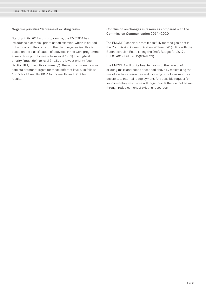## Negative priorities/decrease of existing tasks

Starting in its 2014 work programme, the EMCDDA has introduced a complex prioritisation exercise, which is carried out annually in the context of the planning exercise. This is based on the classification of activities in the work programme across three priority levels, from level 1 (L1), the highest priority ('must do'), to level 3 (L3), the lowest priority (see Section III.1, 'Executive summary'). The work programme also sets out different targets for these different levels, as follows: 100 % for L1 results, 80 % for L2 results and 50 % for L3 results.

## Conclusion on changes in resources compared with the Commission Communication 2014–2020

The EMCDDA considers that it has fully met the goals set in the Commission Communication 2014–2020 (in line with the Budget circular 'Establishing the Draft Budget for 2017', BUDG A01/JB/D(2015)6341893).

The EMCDDA will do its best to deal with the growth of existing tasks and needs described above by maximising the use of available resources and by giving priority, as much as possible, to internal redeployment. Any possible request for supplementary resources will target needs that cannot be met through redeployment of existing resources.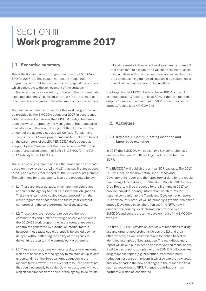## <span id="page-31-0"></span>SECTION III **Work programme 2017**

## **<sup>|</sup> 1. Executive summary**

This is the first annual work programme from the EMCDDA's SPD for 2017–19. This section mirrors the multiannual programme 2017–19; for each area of work, specific objectives which contribute to the achievement of the strategic multiannual objectives are set up; in line with the SPD template, expected outcomes/results, outputs and KPIs are defined to reflect and track progress in the attainment of these objectives.

The financial resources required for this work programme will be provided by the EMCDDA budget for 2017. In accordance with the relevant provisions the EMCDDA budget becomes definitive when adopted by the Management Board and after final adoption of the general budget of the EU, in which the amount of the agency's subsidy will be fixed. For planning purposes, the 2017 work programme has been drafted based on the parameters of the 2017 EMCDDA draft budget, as adopted by the Management Board in December 2016. This budget foresees an amount of EUR 15 135 600 for the EU 2017 subsidy to the EMCDDA.

The 2017 work programme applies the prioritisation approach based on three levels (L1, L2 and L3) that was first introduced in 2014 and was further refined for the 2016 work programme. The definitions for these priority levels are presented below:

- L1: These are 'must do' tasks which are time bound and critical for the agency to fulfil its institutional obligations. These tasks cannot be scaled down, removed from the work programme or postponed to future years without compromising the core performance of the agency.
- L2: These tasks are necessary to achieve the key commitments and fulfil the strategic objectives set out in the 2016–18 work programme. In the event of resources constraints generated by external or internal factors, however, these tasks could potentially be scaled down or delayed without affecting the ability of the agency to deliver its L1 results in the current work programme.
- L3: These are mostly developmental tasks, or new analyses, which are necessary for the agency to maintain an up-to date understanding of the European drugs situation in the medium term; however, in the event of resources constraints, they could potentially be scaled down or postponed without a significant impact on the ability of the agency to deliver its

L1 and L2 results in the current work programme. Some L3 tasks also refer to desirable and valuable activities such as joint initiatives with third parties; these appear viable within the current planning framework, but could be postponed or cancelled if resources prove to be insufficient.

The target for the EMCDDA is to achieve 100 % of the L1 expected outputs/results, at least 80 % of the L2 expected outputs/results and a minimum of 50 % of the L3 expected outputs/results (see KPI GOV.2.1).

## **<sup>|</sup> 2. Activities**

## **<sup>|</sup>** 2.1 Key area 1: Communicating evidence and knowledge exchange

In 2017, the EMCDDA will publish two key comprehensive analyses, the annual EDR package and the first triennial EDRR.

The EMCDDA will publish the annual EDR package. The 2017 EDR will include the now established Trends and Developments report and the repository of data for the regular monitoring of illicit drugs, the Statistical Bulletin. 30 Country Drug Reports will be produced for the first time in 2017, to provide individual country information which forms the national companion to the Trends and Developments report. This new country product will be primarily a graphic-rich online output. Developed in collaboration with the NFPs, it will enhance the country-level information provided by the EMCDDA and contribute to the development of the EMCDDA website.

The first EDRR will provide an overview of responses to drug use and drug-related problems across the EU and their effectiveness, as well as implications for action based on identified examples of best practice. The multidisciplinary report will have a public health and intervention focus; hence it will be designed to complement the EDMR. It will cover key drug response topics (e.g. prevention, treatment, harm reduction, responses in prison); it will also explore new areas and look ahead to the new challenges in the responses field, such as responses to NPS. Potential contributions from partners will also be considered.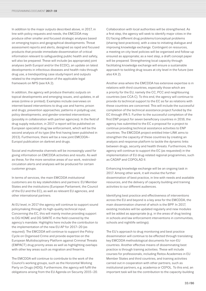In addition to the major outputs described above, in 2017, in line with policy requests and needs, the EMCDDA may produce other smaller and focused strategic analyses based on emerging topics and geographical developments. Threat assessment reports and alerts, designed as rapid and focused products that provide immediate dissemination of critical information relevant to safeguarding public health and safety, will also be prepared. These will include (as appropriate) joint analyses (with Europol and/or the ECDC), an update on latest developments in infectious diseases and health risks through drug use, a trendspotting case study/report and outputs related to the implementation of the applicable legal framework on NPS (see KA 2).

In addition, the agency will produce thematic outputs on topical developments and emerging issues, and updates, in all areas (online or printed). Examples include overviews on internet-based interventions to drug use and harms; prison and drugs; prevention approaches; patterns in polydrug use; policy developments; and gender-oriented interventions (possibly in collaboration with partner agencies). In the field of drug supply reduction, in 2017 a report will be published on European specialist drug law enforcement, which will be the second analysis of its type (the first having been published in 2013). Furthermore, there will be a new joint EMCDDA– Europol publication on darknet and drugs.

Social and multimedia channels will be increasingly used for giving information on EMCDDA activities and results. As well as these, for the more sensitive areas of our work, restrictedcirculation alerts and analyses will be produced for certain customer groups.

In terms of services, the main EMCDDA institutional customers are its key stakeholders and partners: EU Member States and the institutions (European Parliament, the Council of the EU and the EC), as well as relevant EU agencies, and other international partners.

At EU level, in 2017 the agency will continue to support sound policymaking through its high-quality technical input. Concerning the EC, this will mainly involve providing support to DG HOME and DG SANTÉ in the field covered by the agency's mandate. Highlights here include the contribution to the implementation of the new EU AP for 2017–20 (as required). The EMCDDA will continue to support the Policy Cycle on Organised Crime and provide expertise on the European Multidisciplinary Platform against Criminal Threats (EMPACT) drug priority areas as well as highlighting overlaps with other key areas such as migration and firearms.

The EMCDDA will continue to contribute to the work of the Council's working groups, such as the Horizontal Working Party on Drugs (HDG). Furthermore, the agency will fulfil the obligations arising from the EU Agenda on Security 2015–20.

Collaboration with local authorities will be strengthened. As a first step, the agency will seek to identify major cities in the EU facing different drug problems/conceptual problems (sharing best practices), with a view to initiating dialogue and improving knowledge exchange. Contingent on resources, a meeting on city-level policies will be organised and follow-up ensured as appropriate; as a next step, a draft concept paper will be prepared. Strengthening local capacity through facilitating knowledge exchange will ensure a sustainable approach to tackling drug issues at city level in the future (see also KA 2).

Another area where the EMCDDA has extensive expertise is in relations with third countries, especially those which are a priority for the EU, namely the CC, PCC and neighbouring countries (see CCA C). To this end, the agency will continue to provide its technical support to the EC as far as relations with these countries are concerned. This will include the successful completion of the technical assistance project funded by the EC through IPA 5. Further to the successful completion of the first ENP project for seven beneficiary countries in 2016, the agency has submitted to the EC a proposal for a project to continue providing technical assistance activities to ENP countries. The EMCDDA project entitled Inter-LINK aims to strengthen the capacity of these countries by creating an analysis and response platform to tackle the dynamic links between drugs, security and health threats. Furthermore, the agency will continue to support the EC (as requested) in the implementation of EU drug-related regional programmes, such as CADAP and COPOLAD II.

Enhancing knowledge exchange will be an ongoing task in 2017. Among other work, it will involve the further dissemination of best practice, in line with needs and available resources, and the delivery of capacity building and training activities to our different audiences.

Identifying best practice and effectiveness of interventions across the EU and beyond is a key area for the EMCDDA, the main dissemination channel of which is the BPP. In 2017, existing modules will be updated regularly and new modules will be added as appropriate (e.g. in the areas of drug testing in schools and law enforcement interventions in communities, schools and nightlife settings).

The EU's approach to drug monitoring and best practice dissemination will continue to be effected through translating key EMCDDA methodological documents for non-EU countries. Another effective means of disseminating best practice is through training activities. These will include courses for professionals, including Reitox Academies in EU Member States and third countries, and training activities carried out in cooperation with other partners, such as institutional partners, e.g. academia or CEPOL. To this end, an important task will be the contribution to the capacity-building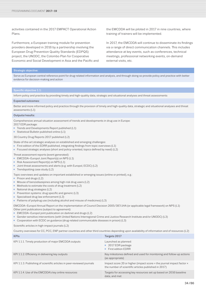activities contained in the 2017 EMPACT Operational Action Plans.

Furthermore, a European training module for prevention providers developed in 2016 by a partnership involving the European Drug Prevention Quality Standards (EDPQS) project, the UNODC, the Colombo Plan for Cooperative Economic and Social Development in Asia and the Pacific and the EMCDDA will be piloted in 2017 in nine countries, where training of trainers will be implemented.

In 2017, the EMCDDA will continue to disseminate its findings via a range of direct communication channels. This includes attendance at key events, such as conferences, technical meetings, professional networking events, on-demand external visits, etc.

#### Strategic objective:

Serve as European central reference point for drug-related information and analysis, and through doing so provide policy and practice with better evidence for decision-making and action

## Specific objective 1.1:

Inform policy and practice by providing timely and high-quality data, strategic and situational analyses and threat assessments

#### Expected outcomes:

Better and more informed policy and practice through the provision of timely and high-quality data, strategic and situational analyses and threat assessments (L1)

### Outputs/results:

Comprehensive annual situation assessment of trends and developments in drug use in Europe:

- 2017 EDR package:
- Trends and Developments Report published (L1)
- Statistical Bulletin published online (L1)

30 Country Drug Reports 2017 published (L2)

State-of-the-art strategic analyses on established and emerging challenges:

- First edition of the EDRR published, integrating findings from topic overviews (L1)
- Focused strategic analyses (short and policy-oriented, topics defined by need) (L2)

Threat assessment reports (event generated):

- EMCDDA–Europol Joint Report(s) on NPS (L1)
- Risk Assessment Report(s) on NPS (L1)
- Joint threat assessments and alerts (e.g. with Europol, ECDC) (L2)
- Trendspotting case study (L2)
- Topic overviews and updates on important established or emerging issues (online or printed), e.g.:
- Prison and drugs (L2)
- Misuse of benzodiazepines among high-risk drug users (L2)
- Methods to estimate the costs of drug treatment (L2)
- National drug strategies (L2)
- Prevention systems: drug specific and generic (L3)
- Specialised drug law enforcement (L3)
- Patterns of polydrug use (including alcohol and misuse of medicines) (L3)
- EMCDDA–Europol Annual Report on the implementation of Council Decision 2005/387/JHA (or applicable legal framework) on NPS (L1)

Other joint publications (subject to agreement):

- EMCDDA–Europol joint publication on darknet and drugs (L2)
- Gender-sensitive interventions (with United Nations Interregional Crime and Justice Research Institute and/or UNODC) (L3)
- Cooperation with ECDC on guidance (drug-related communicable diseases in prison) (L3)

Scientific articles in high-impact journals (L2)

Country overviews for CC, PCC, ENP partner countries and other third countries depending upon availability of information and of resources (L2)

| <b>KPIs</b>                                                            | Targets 2017                                                                                                                           |
|------------------------------------------------------------------------|----------------------------------------------------------------------------------------------------------------------------------------|
| KPI 1.1.1. Timely production of major EMCDDA outputs                   | Launched as planned:<br>■ 2017 EDR package<br>■ First edition EDRR                                                                     |
| KPI 1.1.2. Efficiency in delivering key outputs                        | Key milestones defined and used for monitoring and follow-up actions<br>(as appropriate)                                               |
| KPI 1.1.3. Publishing of scientific articles in peer-reviewed journals | Impact score 20 or higher (impact score $=$ the journal impact factor $\times$<br>the number of scientific articles published in 2017) |
| KPI 1.1.4. Use of the EMCDDA's key online resources                    | Targets for accessing key resources set up based on 2016 baseline<br>data, and met                                                     |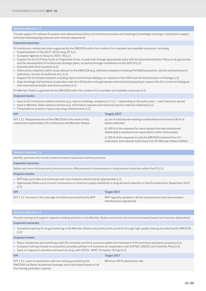Provide support for relevant European and national-level policy and technical activities and meetings (knowledge exchange, institutional support, technical backstopping) (request and resource dependent)

#### Expected outcomes:

EU institutions-related activities supported by the EMCDDA within the context of its mandate and available resources, including:

- Implementation of the 2017–20 EU drug AP (L1)
- European Agenda on Security 2015-20 (L1)
- Support for the EU Policy Cycle on Organised Crime, in particular through appropriate tasks with the Operational Action Plans on drug priorities and the development of multiannual strategic plans, as well as through contribution to the SOCTA (L2)
- Activities with third countries (L2)
- Other policy initiatives within areas relevant to the EMCDDA (e.g. infectious diseases including HIV/AIDS prevention, alcohol and behavioural addictions, misuse of medicines etc.) (L2)
- Support for EU-funded research including input to the Annual dialogue on research of the HDG and the dissemination of findings (L2)
- Data exchange and technical cooperation with the UN System and appropriate technical backstopping to support the EU in external dialogues with international bodies and third countries (L2)

EU Member States supported by the EMCDDA within the context of its mandate and available resources (L1)

#### Outputs/results:

- Input to EU institutions-related activities (e.g. reports, briefings, analyses) (L1/L2 depending on the policy area see Outcomes above)
- Input to Member State-related activities (e.g. information requests and technical input to national initiatives) (L1)
- Presentations at and/or input to key drug-related events (L2) KPI Targets 2017 KPI 1.2.1. Responsiveness of the EMCDDA to the needs of key institutional stakeholders (EU institutions and Member States) a) List of institutional meetings established and minimum 90 % of events attended b) 100 % of the requests for input/advice from key institutional stakeholders assessed and responded to within three weeks c) 100 % of the requests to visit the EMCDDA received from EU institutions and national authorities from EU Member States fulfilled

## Specific objective 1.3:

Identify, promote and monitor evidence-based responses and best practice

### Expected outcomes:

Better and more informed policy and practice on effectiveness of interventions in drug demand reduction within the EU (L1)

#### Outputs/results:

- BPP kept up to date and enhanced with new modules introduced (as appropriate) (L1)
- Appropriate follow-up to Council conclusions on minimum quality standards in drug demand reduction in the EU endorsed in September 2015  $(L2)$

| <b>KPI</b>                                                          | Target 2017                                                                                  |
|---------------------------------------------------------------------|----------------------------------------------------------------------------------------------|
| KPI 1.3.1. Increase in the coverage of evidence provided by the BPP | BPP regularly updated in all the required areas and new modules<br>introduced as appropriate |

#### Specific objective 1.4:

Provide training and support capacity-building activities in the Member States and priority third countries (needs based and resource dependent)

#### Expected outcomes:

■ Increased capacity for drug monitoring in the Member States and priority third countries through high-quality training provided by the EMCDDA  $(1, 2)$ 

#### Outputs/results:

- Reitox Academies and workshops with EU countries and third countries (within the framework of the technical assistance projects) (L2)
- European training module for prevention providers piloted in 9 countries (in cooperation with EDPQS, UNODC and Colombo Plan) (L3)
- Input on request to activities with partners (e.g. with CEPOL, WHO, Pompidou Group) (L3)

| <b>KPI</b>                                                                                                                                                                   | Target 2017                    |
|------------------------------------------------------------------------------------------------------------------------------------------------------------------------------|--------------------------------|
| KPI 1.4.1. Level of satisfaction with the training provided by the<br>EMCDDA via Reitox Academies (average score calculated based on all<br>the training evaluation reports) | Minimum 80 % satisfaction rate |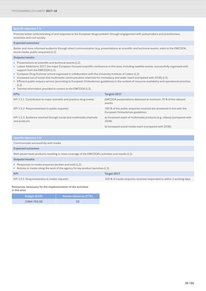Promote better understanding of and response to the European drugs problem through engagement with policymakers and practitioners, scientists and civil society

### Expected outcomes:

Better and more informed audience through direct communication (e.g. presentations at scientific and technical events, visits to the EMCDDA, social media, public enquiries) (L2)

## Outputs/results:

- Presentations at scientific and technical events (L2)
- Lisbon Addictions 2017, the major European-focused scientific conference in this area, including satellite events, successfully organised with support from the EMCDDA (L2)
- European Drug Summer school organised in collaboration with the University Institute of Lisbon (L2)
- Increased use of social and multimedia communication channels for immediacy and wider reach (compared with 2016) (L2)
- Efficient public enquiry service (according to European Ombudsman guidelines) in the context of resource availability and operational priorities (L2)
- Tailored information provided to visitors to the EMCDDA (L3)

| <b>KPIs</b>                                                                        | Targets 2017                                                                                          |
|------------------------------------------------------------------------------------|-------------------------------------------------------------------------------------------------------|
| KPI 1.5.1. Contribution to major scientific and practice drug events               | EMCDDA presentations delivered at minimum 70 % of the relevant<br>events                              |
| KPI 1.5.2. Responsiveness to public requests                                       | 100 % of the public enquiries received are answered in line with the<br>European Ombudsman guidelines |
| KPI 1.5.3. Audience reached through social and multimedia channels<br>and products | a) Increased reach of multimedia products (e.g. videos) (compared with<br>2016)                       |
|                                                                                    | b) Increased social media reach (compared with 2016)                                                  |

## Communicate successfully with media Expected outcomes: Well-paced news products resulting in news coverage of the EMCDDA's activities and results (L2) Outputs/results: ■ Responses to media enquiries (written and oral) (L2) ■ Articles in media citing the work of the agency for key product launches (L2) KPI Target 2017 KPI 1.6.1. Responsiveness to media requests 100 % of media enquiries received responded to within 2 working days

Resources necessary for the implementation of the activities in this area

| <b>Budget (EUR)</b> | Human resources (FTE)' |
|---------------------|------------------------|
| 3904752.55          | 23                     |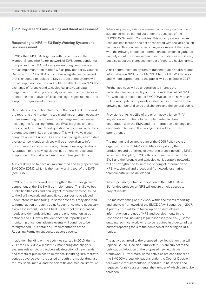# **|** 2.2 Key area 2: Early warning and threat assessment

# Responding to NPS ― EU Early Warning System and risk assessment

In 2017 the EMCDDA, together with its partners in the Member States (the Reitox network of EWS correspondents), Europol and the EMA, will carry on ensuring continuous and robust implementation of the EWS as provided for by Council Decision 2005/387/JHA or by the new legislative framework that is expected to replace it. Key outputs of the system will remain rapid notifications and public health alerts on NPS, the exchange of forensic and toxicological analytical data, longer-term monitoring and analysis of health and social risks, monitoring and analysis of illicit and 'legal highs' markets, and a report on legal developments.

Depending on the entry into force of the new legal framework, the reporting and monitoring tools and instruments necessary for implementing the information exchange mechanism including the Reporting Forms, the EWS progress and final reports, and the Joint Report questionnaires — will need to be automated, interlinked and aligned. This will involve close cooperation with Europol. As a result of having structured data available, new trends analyses will be undertaken to inform the community and, in particular, international organisations. Adaptation to the new legislative instrument will also entail adaptation of the risk assessment operating guidelines.

A key task will be to have an implemented and fully operational EMCDDA EDND, which is the main working tool of the EWS (see CCA A).

In 2017, a new framework to strengthen the toxicovigilance component of the EWS will be implemented. This allows both public health alerts and non-urgent information to be issued to the EWS network and specific substances to be placed under intensive monitoring. In some cases this may also lead to formal action through a Joint Report, and, where necessary a risk assessment. For the EMCDDA to meet the increased needs and demands arising from the phenomenon, at both national and EU levels, the identification, reporting and monitoring of serious adverse events will continue to be strengthened. This entails full implementation of the Reporting Forms on suspected adverse events.

In addition, building on the activities started in 2016, during 2017 the EMCDDA will pilot OSI monitoring and analysis systems relevant to proactive early detection of new trends and threats of public health relevance, including NPS markets, serious adverse events reported through the media, drug user forums, social media, and the scientific and medical literature.

Where requested, a risk assessment on a new psychoactive substance will be carried out under the auspices of the EMCDDA's Scientific Committee. This activity always carries resource implications and risks associated with the lack of such resources. This concern is becoming more relevant than ever with the growing amount of information and evidence gathered not only about the increased number of substances monitored, but also about the increased number of reported health harms.

A risk communication system to transmit public health-related information on NPS by the EMCDDA to the EU EWS Network and, where appropriate, to the public, will be piloted in 2017.

Further activities will be undertaken to improve the understanding and visibility of EU actions in the field of NPS. The web pages related to the EMCDDA's action on new drugs will be kept updated to provide customised information to the growing number of diverse stakeholders and the general public.

Provisions of Article 28c of the pharmacovigilance (PhV) legislation will continue to be implemented in close cooperation with the EMA, and the information exchange and cooperation between the two agencies will be further strengthened.

The multiannual strategic plan of the COSI Policy cycle on organised crime 2014–17 identifies as a priority the production and trafficking of synthetic drugs (including NPS). In line with this plan, in 2017 the coordination between the EWS and the forensic and toxicological laboratory networks will be strengthened to increase sharing of information on NPS. A technical and procedural framework for sharing forensic data will be developed.

Where possible, active participation of the EMCDDA in EU-funded projects on NPS will ensure timely access to project results.

The mainstreaming of NPS work within the overall reporting and analysis framework of the EMCDDA will continue in 2017. A priority here will be to follow up on epidemiological information on the use of NPS and developments in the responses area, including legal responses (see KA 3). Some ongoing technical work will also be required in order to adjust current reporting tools to the demands of reporting on NPS topics.

The activities linked to the proposed new legislation that will replace Council Decision 2005/387/JHA are subject to the publication/adoption of the proposed new legislative framework. Furthermore, some activities are conditional on the EMCDDA's legal obligations under the Council Decision, for example requirements to undertake Joint Reports and requests for risk assessments, the number of which cannot be foreseen.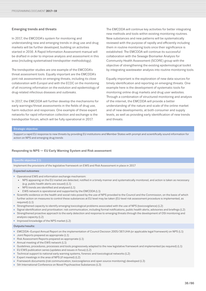# Emerging trends and threats

In 2017, the EMCDDA's system for monitoring and understanding new and emerging trends in drug use and drug markets will be further developed, building on activities started in 2016. A Rapid Information Assessment manual will be drafted in order to improve analysis and assessment in this area (including systematised trendspotter methodology).

The trendspotter studies are one example of the EMCDDA's threat assessment tools. Equally important are the EMCDDA's joint risk assessments on emerging threats, including its close collaboration with Europol and with the ECDC on the monitoring of all incoming information on the evolution and epidemiology of drug-related infectious diseases and outbreaks.

In 2017, the EMCDDA will further develop the mechanisms for early warnings/threat assessments in the fields of drug use, harm reduction and responses. One example of these expert networks for rapid information collection and exchange is the trendspotter forum, which will be fully operational in 2017.

The EMCDDA will continue key activities for better integrating new methods and tools within existing monitoring routines. New substances and new patterns will be systematically reviewed with the purpose of rapidly and efficiently including them in routine monitoring tools once their significance is established. The EMCDDA will continue its successful collaboration with the Sewage Biomarker Analysis for Community Health Assessment (SCORE) group with the objective of strengthening the existing epidemiological toolkit by integrating wastewater analysis into routine monitoring tools.

Equally important is the exploration of new data sources for timely identification and reporting on emerging threats. One example here is the development of systematic tools for monitoring online drug markets and drug user websites. Through a combination of structured monitoring and analysis of the internet, the EMCDDA will provide a better understanding of the nature and scale of the online market and of new developments, at both consumer and supply levels, as well as providing early identification of new trends and threats.

# Strategic objective:

Support a rapid EU response to new threats by providing EU institutions and Member States with prompt and scientifically sound information for action on NPS and emerging drug trends

# Responding to NPS ― EU Early Warning System and Risk assessment

### Specific objective 2.1:

Implement the provisions of the legislative framework on EWS and Risk Assessment in place in 2017

### Expected outcomes:

- Operational EWS and information exchange mechanism:
	- NPS appearing on the EU market are detected, notified in a timely manner and systematically monitored, and action is taken as necessary (e.g. public health alerts are issued) (L1)
	- NPS trends are identified and analysed (L1)
	- EWS network is operational and supported by the EMCDDA (L1)
- Scientific evidence on the health and social risks posed by the use of NPS provided to the Council and the Commission, on the basis of which further action on measures to control these substances at EU level may be taken (EU-level risk assessment procedure is implemented, as required) (L1)
- Strengthened capacity to identify emerging toxicological problems associated with the use of NPS (toxicovigilance) (L2)
- Signal identification and prioritisation: risk communication, including formal notifications, public health alerts, advisories and briefings (L2)
- Strengthened proactive approach to the early detection and response to emerging threats through the development of OSI monitoring and analysis capacity (L2)
- Improved knowledge of the NPS market (L2)

# Outputs/results:

- EMCDDA–Europol Annual Report on the implementation of Council Decision 2005/387/JHA (or applicable legal framework) on NPS (L1)
- Joint Reports prepared as appropriate (L1)
- Risk Assessment Reports prepared as appropriate (L1)
- Annual meeting of the EWS network (L1)
- Guidelines, procedures, processes and tools progressively adapted to the new legislative framework and implemented (as required) (L1)
- EU EWS publication series (updates and issues in focus) (L2)
- Technical support to national early warning systems, forensic and toxicological networks (L2)
- Expert meetings in the area of NPS (if required) (L2)
- Framework documents (risk communication, toxicovigilance and open source monitoring) developed (L3)
- 5th International Conference on Novel Psychoactive Substances (L3)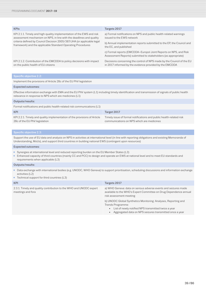| <b>KPIs</b>                                                                                                                                                                                                                                                                           | Targets 2017                                                                                                                       |
|---------------------------------------------------------------------------------------------------------------------------------------------------------------------------------------------------------------------------------------------------------------------------------------|------------------------------------------------------------------------------------------------------------------------------------|
| KPI 2.1.1. Timely and high-quality implementation of the EWS and risk<br>assessment mechanism on NPS, in line with the deadlines and quality<br>criteria defined by Council Decision 2005/387/JHA (or applicable legal<br>framework) and the applicable Standard Operating Procedures | a) Formal notifications on NPS and public health-related warnings<br>issued to the EWS network                                     |
|                                                                                                                                                                                                                                                                                       | b) Annual implementation reports submitted to the EP, the Council and<br>the EC, and published                                     |
|                                                                                                                                                                                                                                                                                       | c) Formal reports (EMCDDA-Europol Joint Reports on NPS, and Risk<br>Assessment Reports) submitted to stakeholders (as appropriate) |
| KPI 2.1.2. Contribution of the EMCDDA to policy decisions with impact<br>on the public health of EU citizens                                                                                                                                                                          | Decisions concerning the control of NPS made by the Council of the EU<br>in 2017 informed by the evidence provided by the EMCDDA   |
|                                                                                                                                                                                                                                                                                       |                                                                                                                                    |

Implement the provisions of Article 28c of the EU PhV legislation

### Expected outcomes:

Effective information exchange with EMA and the EU PhV system (L1) including timely identification and transmission of signals of public health relevance in response to NPS which are medicines (L1)

### Outputs/results:

| Formal notifications and public health-related risk communications (L1)                                    |                                                                                                                  |
|------------------------------------------------------------------------------------------------------------|------------------------------------------------------------------------------------------------------------------|
| KPI                                                                                                        | Target 2017                                                                                                      |
| KPI 2.2.1. Timely and quality implementation of the provisions of Article<br>28c of the EU PhV legislation | Timely issue of formal notifications and public health-related risk<br>communications on NPS which are medicines |

Support the use of EU data and analysis on NPS in activities at international level (in line with reporting obligations and existing Memoranda of Understanding, MoUs), and support third countries in building national EWS (contingent upon resources)

# Expected outcomes:

- Synergies at international level and reduced reporting burden on the EU Member States (L3)
- Enhanced capacity of third countries (mainly CC and PCC) to design and operate an EWS at national level and to meet EU standards and requirements when applicable (L3)

# Outputs/results:

- Data exchange with international bodies (e.g. UNODC, WHO Geneva) to support prioritisation, scheduling discussions and information exchange activities (L2)
- Technical support for third countries (L3)

| KPI                                                                                     | Targets 2017                                                                                                                                                    |
|-----------------------------------------------------------------------------------------|-----------------------------------------------------------------------------------------------------------------------------------------------------------------|
| 2.3.1. Timely and quality contribution to the WHO and UNODC expert<br>meetings and fora | a) WHO Geneva: data on serious adverse events and seizures made<br>available to the WHO's Expert Committee on Drug Dependence annual<br>risk assessment meeting |
|                                                                                         | b) UNODC Global Synthetics Monitoring: Analyses, Reporting and<br>Trends Programme:<br>List of newly notified NPS transmitted twice a year                      |

• Aggregated data on NPS seizures transmitted once a year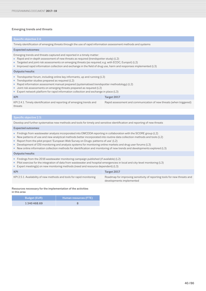# Emerging trends and threats

Timely identification of emerging threats through the use of rapid information assessment methods and systems

### Expected outcomes:

Emerging trends and threats captured and reported in a timely matter:

- Rapid and in-depth assessment of new threats as required (trendspotter study) (L2)
- Targeted and joint risk assessments on emerging threats (as required; e.g. with ECDC, Europol) (L2)
- Improved rapid information collection and exchange in the field of drug use, harm and responses implemented (L3)

### Outputs/results:

- Trendspotter forum, including online key informants, up and running (L3)
- Trendspotter studies prepared as required (L2)
- Rapid information assessment manual prepared (systematised trendspotter methodology) (L2)
- Joint risk assessments on emerging threats prepared as required (L2)
- Expert network platform for rapid information collection and exchange in place (L3)

### KPI Target 2017 KPI 2.4.1. Timely identification and reporting of emerging trends and threats Rapid assessment and communication of new threats (when triggered)

### Specific objective 2.5:

Develop and further systematise new methods and tools for timely and sensitive identification and reporting of new threats

### Expected outcomes:

- Findings from wastewater analysis incorporated into EMCDDA reporting in collaboration with the SCORE group (L2)
- New patterns of use and new analytical methods better incorporated into routine data collection methods and tools (L2)
- Report from the pilot project 'European Web Survey on Drugs: patterns of use' (L2)
- Development of OSI monitoring and analysis systems for monitoring online markets and drug user forums (L3)
- New online information collection methods for identification and monitoring of new trends and developments explored (L3)

### Outputs/results:

- Findings from the 2016 wastewater monitoring campaign published (if available) (L2)
- Pilot exercise for the integration of data from wastewater and hospital emergencies in local and city-level monitoring (L3)
- Expert meeting(s) on new monitoring methods (need and resource dependent) (L3)

# KPI Target 2017 KPI 2.5.1. Availability of new methods and tools for rapid monitoring Roadmap for improving sensitivity of reporting tools for new threats and developments implemented

### Resources necessary for the implementation of the activities in this area

| Budget (EUR) | Human resources (FTE) |
|--------------|-----------------------|
| 1340468.69   |                       |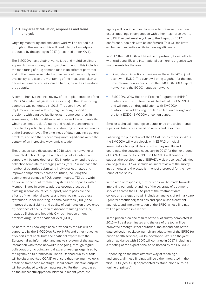# **<sup>|</sup>** 2.3 Key area 3: Situation, responses and trend analysis

Ongoing monitoring and analytical work will be carried out throughout the year and this will feed into the key outputs produced by the agency in 2017 (presented under KA 1).

The EMCDDA has a distinctive, holistic and multidisciplinary approach to monitoring the drugs phenomenon. This includes the monitoring of drug demand (use in its different patterns) and of the harms associated with aspects of use, supply and availability, and also the monitoring of the measures taken to decrease demand and associated harms, as well as to reduce drug supply.

A comprehensive triennial review of the implementation of the EMCDDA epidemiological indicators (KIs) in the 30 reporting countries was conducted in 2015. The overall level of implementation was relatively high, although specific problems with data availability exist in some countries. In some areas, problems still exist with respect to comparability, which can limit the data's utility and result in considerable uncertainty, particularly when constructing numeric estimates at the European level. The timeliness of data remains a general problem, and one that is becoming more significant within the context of an increasingly dynamic situation.

These issues were discussed in 2016 with the networks of nominated national experts and focal points. Continuous support will be provided for all KIs in order to extend the data collection template to emerging areas (for GPS); increase the number of countries submitting individual estimates and improve comparability across countries, including the estimation of cannabis PDU; better integrate TDI data within an overall concept of treatment systems and capacity within Member States in order to address coverage issues still existing in some countries; support, where possible, the efforts of the national experts and focal points to address systematic under-reporting in some countries (DRD); and improve the availability and quality of estimates on prevalence of, incidence of and burden of disease resulting from HIV, hepatitis B virus and hepatitis C virus infection among problem drug users at national level (DRID).

As before, the knowledge base provided by the KIs will be supported by the EMCDDA's Reitox NFPs and other networks of experts that contribute their national expertise to the European drug information and analysis system of the agency. Interaction with these networks is ongoing, through regular collaboration, including annual expert meetings organised by the agency at its premises in Lisbon. Defined quality criteria will be observed (see CCA B) to ensure that maximum value is obtained from these meetings. Rapid communication outputs will be produced to disseminate results. Furthermore, based on the successful approach initiated in recent years, the

agency will continue to explore ways to organise the annual expert meetings in conjunction with other major drug events (e.g. DRID expert meeting close to the 'Hepatitis 2017' conference, see below; to be confirmed). This will facilitate exchange of expertise while increasing efficiency.

In 2017, the EMCDDA will have the opportunity to join efforts with traditional EU and international partners to organise two major events for the area:

- 'Drug-related infectious diseases Hepatitis 2017' joint event with ECDC. The event will bring together for the first time international experts from the EMCDDA DRID expert network and the ECDC hepatitis network.
- 'EMCDDA/WHO Health in Prisons Programme (HIPP)' conference. The conference will be held at the EMCDDA and will focus on drug addiction, with EMCDDA contributions addressing the data collection package and the joint ECDC–EMCDDA prison guidance.

Smaller technical meetings on established or developmental topics will take place (based on needs and resources).

Following the publication of the ESPAD study report in 2016, the EMCDDA will work closely with ESPAD principal investigators to exploit the current survey results and to coordinate the activities necessary in 2017 for the next round of ESPAD planned for 2019. The EMCDDA will continue to support the development of ESPAD's web presence. Activities envisaged in 2017 will include an initial review of the survey instruments and the establishment of a protocol for the new round of the study.

In the area of responses, further steps will be made towards improving our understanding of the coverage of treatment services across the EU. As part of the treatment data collection strategy, this will include an analysis of primary care (general practitioner) facilities and specialised treatment agencies, and implementation of the EFSQ, whose findings will be presented in a report.

In the prison area, the results of the pilot survey completed in 2016 will be disseminated and the use of the tool will be promoted among further countries. The second part of the data collection package, namely an adaptation of the EFSQ for prison health services, will be developed. Work on the joint prison guidance with ECDC will continue in 2017, including at a meeting of the expert panel to be hosted by the EMCDDA.

Depending on the most effective way of reaching our audiences, all these findings will be either integrated in the first EDRR (see KA 1) or presented as stand-alone outputs (online or printed).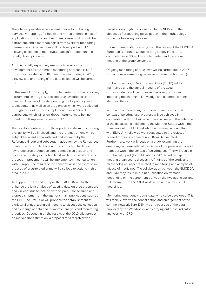The internet provides a convenient means for obtaining services. A mapping of e-health and m-health (mobile health) applications for social and health responses to drugs will be carried out, and a methodological framework for monitoring internet-based interventions will be developed in 2017, allowing collection of more systematic information on this rapidly developing area.

Another rapidly expanding area which requires the development of a systematic monitoring approach is NPS. Effort was invested in 2016 to improve monitoring; in 2017, a review and fine-tuning of the data collected will be carried out.

In the area of drug supply, full implementation of the reporting instruments on drug seizures and drug law offences is planned. A review of the data on drug purity, potency and tablet content as well as on drug prices, which were collected through the pilot exercises implemented in 2016, will be carried out, which will allow these instruments to be finetuned for full implementation in 2017.

The developmental work on the reporting instruments for drug availability will be finalised, and the draft instrument will be subject to consultation with and endorsement by the Reference Group and subsequent adoption by the Reitox focal points. The data collection on drug production facilities (synthetic drug production sites, cannabis cultivation and cocaine secondary extraction labs) will be reviewed and any process improvements will be implemented in consultation with Europol. The results of the conceptualisation exercise in the area of drug-related crime will also lead to actions in this area in 2017.

To support the EC and Europol, the EMCDDA will further enhance the joint analysis of existing data on drug precursors and will continue to include data on precursor seizures and stopped shipments in the agency's main publications such as the EDR. The EMCDDA will propose the establishment of a trilateral annual technical meeting to discuss the collection and exchange of data and to improve analysis and monitoring practices. Depending on the results of the 2016 pilot project on market size estimation, a proposal for a targeted web-

based survey might be presented to the NFPs with the objective of broadening participation in the methodology within the following five years.

The recommendations arising from the review of the EMCDDA European Reference Group on drug supply indicators, completed in 2016, will be implemented and the annual meeting of the group convened.

Ongoing monitoring of drug laws will be carried out in 2017 with a focus on emerging issues (e.g. cannabis, NPS, etc.).

The European Legal Database on Drugs (ELDD) will be maintained and the annual meeting of the Legal Correspondents will be organised, as a way of further improving the sharing of knowledge and expertise among Member States.

In the area of monitoring the misuse of medicines in the context of polydrug use, progress will be achieved in cooperation with our Reitox partners, in line with the outcome of the discussions held among the Member States within the framework of the HDG and where necessary in consultation with EMA. Any follow-up work suggested in the review of benzodiazepines prepared in 2016 will be initiated. Furthermore, work will focus on a study examining the emerging concerns related to misuse of the prescribed opioid tramadol within the context of polydrug use. This will result in a technical report (for publication in 2018) and an expert meeting organised to discuss the findings of the study and methodological aspects related to monitoring and analysis of misuse of medicines. The collaboration between the EMCDDA and EMA may result in a joint publication on tramadol (depending on the agreement between the two agencies), and will inform future EMCDDA work in the area of misuse of medicines.

Monitoring emergency rooms data will also be developed. This will mainly involve the consolidation and enlargement of the sentinel network Euro-DEN; making best use of the data provided by the Workbooks; and carrying out cross-indicator analyses with DRD.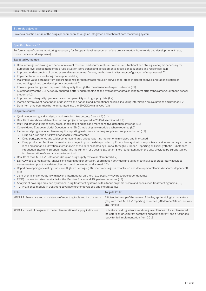# Strategic objective:

Provide a holistic picture of the drugs phenomenon, through an integrated and coherent core monitoring system

### Specific objective 3.1:

Perform state-of-the-art monitoring necessary for European-level assessment of the drugs situation (core trends and developments in use, consequences and responses)

### Expected outcomes:

- Data interrogation, taking into account relevant research and source material, to conduct situational and strategic analysis necessary for European-level assessment of the drugs situation (core trends and developments in use, consequences and responses) (L1)
- Improved understanding of country-level data (contextual factors, methodological issues, configuration of responses) (L2)
- Implementation of monitoring tools optimised (L2)
- Maximised value obtained from expert meetings, through greater focus on surveillance, cross-indicator analysis and rationalisation of methodological and tool development activities (L2)
- Knowledge exchange and improved data quality through the maintenance of expert networks (L2)
- Sustainability of the ESPAD study ensured; better understanding of and availability of data on long-term drug trends among European school students (L2)
- Improvements to quality, granularity and comparability of drug supply data (L2)
- Increasingly relevant description of drug laws and national and international policies, including information on evaluations and impact (L2)
- Data from third countries better integrated into the EMCDDA's analyses (L3)

## Outputs/results:

- Quality monitoring and analytical work to inform key outputs (see KA 1) (L1)
- Results of Workbooks data collection and projects completed in 2016 disseminated (L2)
- Multi-indicator analysis to allow cross-checking of findings and more sensitive detection of trends (L2)
- Consolidated European Model Questionnaire (EMQ), including new modules, where required (L2)
- Incremental progress in implementing the reporting instruments on drug supply and supply reduction (L2):
	- Drug seizures and drug law offences fully implemented
	- Drug purity, potency and tablet content, and drug prices reporting instruments reviewed and fine-tuned
	- Drug production facilities dismantled (contingent upon the data provided by Europol) synthetic drugs sites, cocaine secondary extraction labs and cannabis cultivation sites: analysis of the data collected by Europol through European Reporting on Illicit Synthetic Substances Production Sites and European Reporting Instrument for Cocaine Extraction Sites (contingent upon the data provided by Europol), pilot implementation of cannabis monitoring tool
- Results of the EMCDDA Reference Group on drug supply review implemented (L2)
- ESPAD website maintained, analysis of existing data undertaken, coordination activities (including meeting), list of preparatory activities necessary to support new data collection round developed and agreed (L2)
- Report on mapping of existing studies on Nightlife Settings. (L3)Expert meetings on established and developmental topics (resource dependent) (L3)
- Joint events and/or outputs with EU and international partners (e.g. ECDC, WHO) (resource dependent) (L3)
- EFSQ module for prison available for the Member States and IPA partner countries (L3)
- Analysis of coverage provided by national drug treatment systems, with a focus on primary care and specialised treatment agencies (L3)
- TDI Prevalence module in treatment coverage further developed and integrated (L3)

| <b>KPIs</b>                                                             | Targets 2017                                                                                                                                                                              |
|-------------------------------------------------------------------------|-------------------------------------------------------------------------------------------------------------------------------------------------------------------------------------------|
| KPI 3.1.1. Relevance and consistency of reporting tools and instruments | Efficient follow-up of the review of the key epidemiological indicators<br>(KIs) with the EMCDDA reporting countries (28 Member States, Norway<br>and Turkey)                             |
| KPI 3.1.2. Level of progress in the implementation of supply indicators | Indicators on drug seizures and drug law offences fully implemented;<br>indicators on drug purity, potency and tablet content, and drug prices<br>ready for full implementation from 2018 |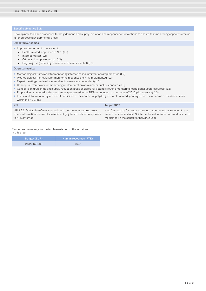Develop new tools and processes for drug demand and supply: situation and responses/interventions to ensure that monitoring capacity remains fit for purpose (developmental areas)

# Expected outcomes:

■ Improved reporting in the areas of:

• Health-related responses to NPS (L2)

- Internet market (L2)
- Crime and supply reduction (L3)
- Polydrug use (including misuse of medicines, alcohol) (L3)

## Outputs/results:

- Methodological framework for monitoring internet-based interventions implemented (L2)
- Methodological framework for monitoring responses to NPS implemented (L2)
- Expert meetings on developmental topics (resource dependent) (L3)
- Conceptual framework for monitoring implementation of minimum quality standards (L3)
- Concepts on drug crime and supply reduction areas explored for potential routine monitoring (conditional upon resources) (L3)
- Proposal for a targeted web-based survey presented to the NFPs (contingent on outcome of 2016 pilot exercise) (L3)
- Framework for monitoring misuse of medicines in the context of polydrug use implemented (contingent on the outcome of the discussions within the HDG) (L3)

# KPI Target 2017

KPI 3.2.1. Availability of new methods and tools to monitor drug areas where information is currently insufficient (e.g. health-related responses to NPS, internet)

New frameworks for drug monitoring implemented as required in the areas of responses to NPS, internet-based interventions and misuse of medicines (in the context of polydrug use)

Resources necessary for the implementation of the activities in this area

| Budget (EUR) | Human resources (FTE) |
|--------------|-----------------------|
| 2626675.89   | 16.9                  |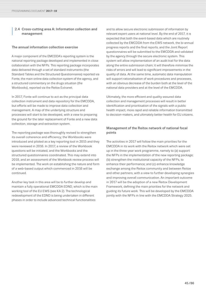# **<sup>|</sup>** 2.4 Cross-cutting area A: Information collection and management

# The annual information collection exercise

A major component of the EMCDDA's reporting system is the national reporting package developed and implemented in close collaboration with the NFPs. This reporting package incorporates data delivered through a set of standard instruments (the Standard Tables and the Structured Questionnaires) reported via Fonte, the main online data collection system of the agency, and a structured commentary on the drugs situation (the Workbooks), reported via the Reitox Extranet.

In 2017, Fonte will continue to act as the principal data collection instrument and data repository for the EMCDDA, but efforts will be made to improve data collection and management. A map of the underlying structure and processes will start to be developed, with a view to preparing the ground for the later replacement of Fonte and a new data collection, storage and extraction system.

The reporting package was thoroughly revised to strengthen its overall coherence and efficiency; the Workbooks were introduced and piloted as a key reporting tool in 2015 and they were reviewed in 2016. In 2017, a review of the Workbook questions will be initiated, and the Workbooks and the structured questionnaires coordinated. This may extend into 2018, and an assessment of the Workbook review process will be implemented. The work on establishing the nature and form of a web-based output which commenced in 2016 will be continued.

Another key task in this area will be to further develop and maintain a fully operational EMCDDA EDND, which is the main working tool of the EU EWS (see KA 2). The technological redevelopment of the EDND is being undertaken in different phases in order to include advanced technical functionalities

and to allow secure electronic submission of information by relevant expert users at national level. By the end of 2017, it is expected that both the event-based data which are routinely collected by the EMCDDA from the EWS network, the bi-annual progress reports and the final reports, and the Joint Report questionnaires will be submitted to the EMCDDA and validated by the agency through the secure electronic system. This system will allow implementation of an audit trail for the data along the entire submission chain; it will therefore minimise the risks of errors and will lead to significant improvements in the quality of data. At the same time, automatic data manipulation will support rationalisation of work procedures and processes. with an obvious decrease of the burden both at the level of the national data providers and at the level of the EMCDDA.

Ultimately, the more efficient and quality-assured data collection and management processes will result in better identification and prioritisation of the signals with a public health impact, more rapid and reliable information transmitted to decision-makers, and ultimately better health for EU citizens.

# Management of the Reitox network of national focal points

The activities in 2017 will follow the main priorities for the EMCDDA in its work with the Reitox network which were set up in the three-year work programme, namely to (a) support the NFPs in the implementation of the new reporting package; (b) strengthen the institutional capacity of the NFPs, to enhance their performance; and (c) enhance knowledge exchange among the Reitox community and between Reitox and other partners, with a view to further developing synergies and improving overall communication. An important outcome in 2017 will be the adoption of a new Reitox Development Framework, defining the main priorities for the network and guiding its future work. This will be developed by the EMCDDA jointly with the NFPs in line with the EMCDDA Strategy 2025.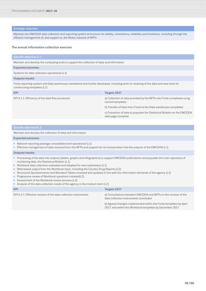# Strategic objective:

Maintain the EMCDDA data collection and reporting system and ensure its validity, consistency, reliability and timeliness, including through the efficient management of, and support to, the Reitox network of NFPs

# The annual information collection exercise

### Specific objective A.1:

Maintain and develop the computing tools to support the collection of data and information

### Expected outcomes:

Systems for data collection operational (L1)

### Outputs/results:

Fonte reporting system and Data warehouse maintained and further developed, including work on cleaning of the data and new tools for constructing templates (L1)

| <b>KPI</b>                                       | Targets 2017                                                                                  |
|--------------------------------------------------|-----------------------------------------------------------------------------------------------|
| KPI A.1.1. Efficiency of the data flow processes | a) Collection of data provided by the NFPs into Fonte completed using<br>current templates    |
|                                                  | b) Transfer of data from Fonte to the Data warehouse completed                                |
|                                                  | c) Extraction of data to populate the Statistical Bulletin on the EMCDDA<br>web page complete |

Maintain and develop the collection of data and information

### Expected outcomes:

- National reporting package consolidated and operational (L1)
- Effective management of data received from the NFPs and support for its incorporation into the outputs of the EMCDDA (L1)

### Outputs/results:

- Processing of the data into outputs (tables, graphs and infographics) to support EMCDDA publications and populate the main repository of monitoring data, the Statistical Bulletin (L1)
- Workbook data collection evaluated and adapted for next submission (L1)
- Web-based output from the Workbook input, including the Country Drug Reports (L2)
- Structured Questionnaires and Standard Tables reviewed and updated in line with the information demands of the agency (L2)
- Progressive review of Workbook questions initiated(L2)
- Assessment of the Workbook review process (L2)
- Analysis of the data collection needs of the agency in the medium term (L2)

| KPI                                                              | Targets 2017                                                                                                                  |
|------------------------------------------------------------------|-------------------------------------------------------------------------------------------------------------------------------|
| KPI A.2.1. Effective revision of the data collection instruments | a) Consultations between EMCDDA and NFPs on the revision of the<br>data collection instruments concluded                      |
|                                                                  | b) Agreed changes implemented within the Fonte templates by April<br>2017, and within the Workbook templates by December 2017 |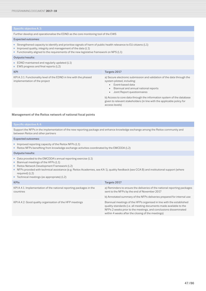Further develop and operationalise the EDND as the core monitoring tool of the EWS

### Expected outcomes:

- Strengthened capacity to identify and prioritise signals of harm of public health relevance to EU citizens (L1)
- Improved quality, integrity and management of the data (L1)
- Functionality aligned to the requirements of the new legislative framework on NPS (L1)

# Outputs/results:

- EDND maintained and regularly updated (L1)
- EWS progress and final reports (L2)

| <b>KPI</b>                                                                                          | Targets 2017                                                                                                                                                                                                              |
|-----------------------------------------------------------------------------------------------------|---------------------------------------------------------------------------------------------------------------------------------------------------------------------------------------------------------------------------|
| KPI A.3.1. Functionality level of the EDND in line with the phased<br>implementation of the project | a) Secure electronic submission and validation of the data through the<br>system piloted, including:<br>Event-based data<br>Biannual and annual national reports<br>$\bullet$<br>Joint Report questionnaires<br>$\bullet$ |
|                                                                                                     | b) Access to core data through the information system of the database<br>given to relevant stakeholders (in line with the applicable policy for<br>access levels)                                                         |

# Management of the Reitox network of national focal points

Support the NFPs in the implementation of the new reporting package and enhance knowledge exchange among the Reitox community and between Reitox and other partners

# Expected outcomes:

- Improved reporting capacity of the Reitox NFPs (L1)
- Reitox NFPs benefiting from knowledge exchange activities coordinated by the EMCDDA (L2)

### Outputs/results:

- Data provided to the EMCDDA's annual reporting exercise (L1)
- Biannual meetings of the HFPs (L1)
- Reitox Network Development Framework (L2)
- NFPs provided with technical assistance (e.g. Reitox Academies, see KA 1), quality feedback (see CCA B) and institutional support (where required) (L2)
- Technical meetings (as appropriate) (L2)

| <b>KPIs</b>                                                                      | Targets 2017                                                                                                                                                                                                                                                         |
|----------------------------------------------------------------------------------|----------------------------------------------------------------------------------------------------------------------------------------------------------------------------------------------------------------------------------------------------------------------|
| KPI A.4.1. Implementation of the national reporting packages in the<br>countries | a) Reminders to ensure the deliveries of the national reporting packages<br>sent to the NFPs by the end of November 2017                                                                                                                                             |
|                                                                                  | b) Annotated summary of the NFPs deliveries prepared for internal use                                                                                                                                                                                                |
| KPI A.4.2. Good quality organisation of the HFP meetings                         | Biannual meetings of the HFPs organised in line with the established<br>quality standards (i.e. all meeting documents made available to the<br>NFPs 2 weeks prior to the meetings, and conclusions disseminated<br>within 4 weeks after the closing of the meetings) |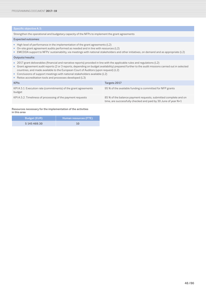Strengthen the operational and budgetary capacity of the NFPs to implement the grant agreements

# Expected outcomes:

- High level of performance in the implementation of the grant agreements (L2)
- On-site grant agreement audits performed as needed and in line with resources (L2)
- EMCDDA support to NFPs' sustainability, via meetings with national stakeholders and other initiatives, on demand and as appropriate (L2)

# Outputs/results:

- 2017 grant deliverables (financial and narrative reports) provided in line with the applicable rules and regulations (L2)
- Grant agreement audit reports (2 or 3 reports, depending on budget availability) prepared further to the audit missions carried out in selected countries, and made available to the European Court of Auditors (upon request) (L2)
- Conclusions of support meetings with national stakeholders available (L2)
- Reitox accreditation tools and processes developed (L3)

| <b>KPIs</b>                                                               | Targets 2017                                                                                                                      |
|---------------------------------------------------------------------------|-----------------------------------------------------------------------------------------------------------------------------------|
| KPI A.5.1. Execution rate (commitments) of the grant agreements<br>budget | 95 % of the available funding is committed for NFP grants                                                                         |
| KPI A.5.2. Timeliness of processing of the payment requests               | 85 % of the balance payment requests, submitted complete and on<br>time, are successfully checked and paid by 30 June of year N+1 |

# Resources necessary for the implementation of the activities in this area

| <b>Budget (EUR)</b> | Human resources (FTE) |
|---------------------|-----------------------|
| 5 145 469.30        | 10                    |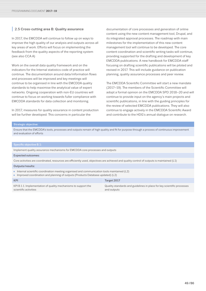# **|** 2.5 Cross-cutting area B: Quality assurance

In 2017, the EMCDDA will continue to follow up on ways to improve the high quality of our analysis and outputs across all key areas of work. Efforts will focus on implementing the feedback from the quality aspects of the reporting system (see also CCA A)

Work on the overall data quality framework and on the indicators for the Internal statistics code of practice will continue. The documentation around data/information flows and processes will be improved and key meetings will continue to be organised in line with the EMCDDA quality standards to help maximise the analytical value of expert networks. Ongoing cooperation with non-EU countries will continue to focus on working towards fuller compliance with EMCDDA standards for data collection and monitoring.

In 2017, measures for quality assurance in content production will be further developed. This concerns in particular the

documentation of core processes and generation of online content using the new content management tool, Drupal, and its integrated approval processes. The roadmap with main milestones for the implementation of this new content management tool will continue to be developed. The core content coordination and scientific writing tasks will continue, providing supported for the drafting and development of key EMCDDA publications. A new handbook for EMCDDA staff focusing on drafting scientific publications will be piloted and revised in 2017. This will include guidance on publication planning, quality assurance processes and peer review.

The EMCDDA Scientific Committee will start a new mandate (2017–19). The members of the Scientific Committee will adopt a formal opinion on the EMCDDA SPD 2018–20 and will continue to provide input on the agency's main projects and scientific publications, in line with the guiding principles for the review of selected EMCDDA publications. They will also continue to engage actively in the EMCDDA Scientific Award and contribute to the HDG's annual dialogue on research.

### Strategic objective:

Ensure that the EMCDDA's tools, processes and outputs remain of high quality and fit for purpose through a process of continuous improvement and evaluation of efforts

# Specific objective B.1:

Implement quality assurance mechanisms for EMCDDA core processes and outputs

### Expected outcomes:

Core activities are coordinated, resources are efficiently used, objectives are achieved and quality control of outputs is maintained (L1)

# Outputs/results:

- Internal scientific coordination meeting organised and communication tools maintained (L2)
- Improved coordination and planning of outputs (Products Database updated) (L2)

| KPI                                                            | Target 2017                                                            |
|----------------------------------------------------------------|------------------------------------------------------------------------|
| KPI B.1.1. Implementation of quality mechanisms to support the | Quality standards and guidelines in place for key scientific processes |
| scientific activities                                          | and outputs                                                            |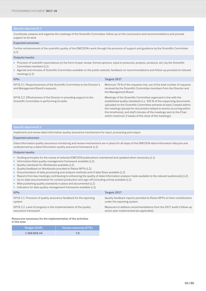Coordinate, prepare and organise the meetings of the Scientific Committee, follow up on the conclusions and recommendations and provide support to its work

# Expected outcomes:

Further enhancement of the scientific quality of the EMCDDA's work through the provision of support and guidance by the Scientific Committee  $(L1)$ 

# Outputs/results:

- Provision of scientific input/advice (in the form of peer review, formal opinions, input to protocols, projects, products, etc.) by the Scientific Committee members (L1)
- Agenda and minutes of Scientific Committee available on the public website; feedback on recommendations and follow-up provided at relevant meetings (L2)

| <b>KPIs</b>                                                                                                          | Targets 2017                                                                                                                                                                                                                                                                                                                                                                                                               |
|----------------------------------------------------------------------------------------------------------------------|----------------------------------------------------------------------------------------------------------------------------------------------------------------------------------------------------------------------------------------------------------------------------------------------------------------------------------------------------------------------------------------------------------------------------|
| KPI B.2.1. Responsiveness of the Scientific Committee to the Director's<br>and Management Board's requests           | Minimum 70 % of the requests met, out of the total number of requests<br>received by the Scientific Committee members from the Director and<br>the Management Board                                                                                                                                                                                                                                                        |
| KPI B.2.2. Effectiveness of the Director in providing support to the<br>Scientific Committee in performing its tasks | Meetings of the Scientific Committee organised in line with the<br>established quality standards (i.e. 100 % of the supporting documents<br>uploaded on the Scientific Committee extranet at least 2 weeks before<br>the meetings (except for documents related to events occurring within<br>this timeframe), and draft minutes of the meetings sent to the Chair<br>within maximum 2 weeks of the close of the meetings) |

### Specific objective B.3:

Implement and review data/information quality assurance mechanisms for input, processing and output

### Expected outcomes:

Data/information quality assurance monitoring and review mechanisms are in place for all steps of the EMCDDA data/information lifecycle and underpinned by a data/information quality assurance framework (L2)

### Outputs/results:

- Guiding principles for the review of selected EMCDDA publications maintained and updated when necessary (L1)
- Information/data quality management framework available (L2)
- Quality standards for Workbooks available (L2)
- Quality feedback on Workbooks provided to Reitox NFPs (L2)
- Documentation of data processing and analysis methods and of data flows available (L2)
- Reports from key meetings contributing to enhancing the quality of data/information analysis made available to the relevant audience(s) (L2)
- Up-to-date documentation for content production and sign-off (including online) available (L2)
- Web publishing quality standards in place and documented (L2)
- Indicators for data quality management framework available (L2)

| <b>KPIs</b>                                                          | Targets 2017                                                            |
|----------------------------------------------------------------------|-------------------------------------------------------------------------|
| KPI B.3.1. Provision of quality assurance feedback for the reporting | Quality feedback reports provided to Reitox NFPs on their contributions |
| system                                                               | under the reporting system                                              |
| KPI B.3.2. Level of progress in the implementation of the quality    | Measures to address recommendations from the 2017 audit's follow-up     |
| assurance framework                                                  | action plan implemented (as applicable)                                 |

Resources necessary for the implementation of the activities in this area

| <b>Budget (EUR)</b> | Human resources (FTE) |
|---------------------|-----------------------|
| 1366859.44          | 7.9                   |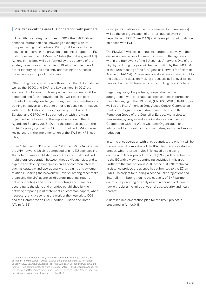# **|** 2.6 Cross-cutting area C: Cooperation with partners

In line with its strategic priorities, in 2017 the EMCDDA will enhance information and knowledge exchange with its European and global partners. Priority will be given to the activities concerning the provision of technical support to EU institutions and the EU Member States (for details, see KA 1). Actions in this area will be informed by the outcome of the strategic exercise carried out in 2016 with the objective of better identifying and efficiently addressing the needs of these two key groups of customers.

Other EU agencies, in particular those from the JHA cluster, as well as the ECDC and EMA, are key partners. In 2017, the successful collaboration developed in previous years will be continued and further developed. This will result in joint outputs, knowledge exchange through technical meetings and training initiatives, and input to other joint activities. Initiatives with the JHA cluster partners (especially with Europol, Eurojust and CEPOL) will be carried out, with the main objective being to support the implementation of the EU Agenda on Security 2015–20 and the priorities set up in the 2014–17 policy cycle of the COSI. Europol and EMA are also key partners in the implementation of the EWS on NPS (see KA 2).

From 1 January to 31 December 2017, the EMCDDA will chair the JHA network, which is composed of nine EU agencies (1). The network was established in 2006 to foster bilateral and multilateral cooperation between these JHA agencies, and to explore and develop synergies in areas of common interest such as strategic and operational work, training and external relations. Chairing the network will involve, among other tasks, organising the JHA agencies' directors' meeting, routine network meetings and other sub meetings and seminars according to the plans and priorities established by the network; preparing joint statements or common papers, when necessary; and presenting the work of the network to COSI and the Committee on Civil Liberties, Justice and Home Affairs (LIBE).

Other joint initiatives (subject to agreement and resources) will be the co-organisation of an international event on hepatitis with ECDC (see KA 3) and developing joint guidance on prison with ECDC.

The EMCDDA will also continue to contribute actively to the discussion on issues of common interest to the agencies, within the framework of the EU agencies' network. One of the highlights during the year will be the hosting by the EMCDDA of the 10th meeting of the EU Agencies Network for Scientific Advice (EU-ANSA). Cross-agency and evidence-based input to the policy- and decision-making processes at EU level will be provided within the framework of the JHA agencies' network.

Regarding our global partners, cooperation will be strengthened with international organisations, in particular those belonging to the UN family (UNODC, WHO, UNAIDS), as well as the Inter-American Drug Abuse Control Commission (part of the Organization of American States), and the Pompidou Group of the Council of Europe, with a view to maximising synergies and avoiding duplication of effort. Cooperation with the World Customs Organization and Interpol will be pursued in the area of drug supply and supply reduction.

In terms of cooperation with third countries, the priority will be the successful completion of the IPA 5 technical assistance project, which started in 2015, followed by a closing conference. A new project proposal (IPA 6) will be submitted to the EC with a view to continuing activities in this area. Further to the finalisation in 2016 of the first ENP technical assistance project, the agency has submitted to the EC an EMCDDA project for funding a second ENP project entitled 'Inter-LINK — Strengthening the capacity of ENP partner countries by creating an analysis and response platform to tackle the dynamic links between drugs, security and health threats'.

A detailed implementation plan for the IPA 5 project is presented in Annex XIII.

<sup>(1)</sup> The European Union Agency for Law Enforcement Training (CEPOL), the European Asylum Support Office (EASO), the European Institute for Gender Equality (EIGE), Eurojust, Europol, FRA, the European Border and Coast Guard Agency – replacing Frontex as from 6 October 2016 — the European Agency for the Operational Management of Large-Scale IT Systems in the Area of Freedom, Security and Justice (eu-LISA) and the EMCDDA.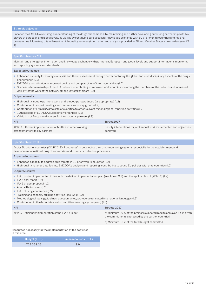# Strategic objective:

Enhance the EMCDDA's strategic understanding of the drugs phenomenon, by maintaining and further developing our strong partnership with key players at European and global levels, as well as by continuing our successful knowledge exchange with EU priority third countries and regional programmes. Ultimately, this will result in high-quality services (information and analysis) provided to EU and Member States stakeholders (see KA 1).

Maintain and strengthen information and knowledge exchange with partners at European and global levels and support international monitoring and reporting systems and standards

### Expected outcomes:

- Enhanced capacity for strategic analysis and threat assessment through better capturing the global and multidisciplinary aspects of the drugs phenomenon (L2)
- EMCDDA's contribution to improved quality and comparability of international data (L2)
- Successful chairmanship of the JHA network, contributing to improved work coordination among the members of the network and increased visibility of the work of the network among key stakeholders (L2)

# Outputs/results:

- High-quality input to partners' work, and joint outputs produced (as appropriate) (L2)
- Contribution to expert meetings and technical/advisory groups (L2)
- Contribution of EMCDDA data sets or expertise to other relevant regional/global reporting activities (L2)
- 10th meeting of EU-ANSA successfully organised (L2)
- Validation of European data sets for international partners (L3)

| <b>KPI</b>                                                  | Target 2017                                                             |
|-------------------------------------------------------------|-------------------------------------------------------------------------|
| KPI C.1. Efficient implementation of MoUs and other working | Priority interventions for joint annual work implemented and objectives |
| arrangements with key partners                              | achieved                                                                |

Assist EU priority countries (CC, PCC, ENP countries) in developing their drug-monitoring systems, especially for the establishment and development of national drug observatories and core data collection processes

Expected outcomes:

- Enhanced capacity to address drug threats in EU priority third countries (L2)
- High-quality national data fed into EMCDDA's analysis and reporting, contributing to sound EU policies with third countries (L2)

### Outputs/results:

- IPA 5 project implemented in line with the defined implementation plan (see Annex XIII) and the applicable KPI (KPI C.2) (L2)
- IPA 5 final report (L2)
- IPA 6 project proposal (L2)
- Annual Reitox week (L2)
- IPA 5 closing conference (L2)
- Training and capacity building activities (see KA 1) (L2)
- Methodological tools (guidelines, questionnaires, protocols) translated into national languages (L3)
- Contribution to third countries' sub-committee meetings (on request) (L3)

| <b>KPI</b>                                             | Targets 2017                                                                                                                    |
|--------------------------------------------------------|---------------------------------------------------------------------------------------------------------------------------------|
| KPI C.2. Efficient implementation of the IPA 5 project | a) Minimum 80 % of the project's expected results achieved (in line with<br>the commitments expressed by the partner countries) |
|                                                        | b) Minimum 85 % of the total budget committed                                                                                   |
|                                                        |                                                                                                                                 |

Resources necessary for the implementation of the activities in this area

| <b>Budget (EUR)</b> | Human resources (FTE) |
|---------------------|-----------------------|
| 722068.26           | 3.9                   |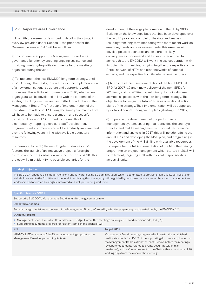# **|** 2.7 Corporate area Governance

In line with the elements described in detail in the strategic overview provided under Section II, the priorities for the Governance area in 2017 will be as follows:

a) To continue to support the Management Board in its governance function by ensuring ongoing assistance and providing timely high-quality documents for the meetings organised during the year.

b) To implement the new EMCDDA long-term strategy, until 2025. Among other tasks, this will involve the implementation of a new organisational structure and appropriate work processes. The activity will commence in 2016, when a new organigram will be developed in line with the outcome of the strategic thinking exercise and submitted for adoption to the Management Board. The first year of implementation of the new structure will be 2017. During the same year, much effort will have to be made to ensure a smooth and successful transition. Also in 2017, informed by the results of a competency-mapping exercise, a staff development programme will commence and will be gradually implemented over the following years in line with available budgetary resources.

Furthermore, for 2017, the new long-term strategy 2025 features the launch of an innovative project: a foresight exercise on the drugs situation with the horizon of 2030. This project will aim at identifying possible scenarios for the

development of the drugs phenomenon in the EU by 2030. Building on the knowledge base that has been developed over the last 25 years and combining the data and analysis resulting from long-term monitoring with more recent work on emerging trends and risk assessments, this exercise will develop possible scenarios and explore the likely consequences for demand and for supply reduction. To achieve this, the EMCDDA will work in close cooperation with its Scientific Committee, bringing together the expertise of the Reitox network of NFPs and other networks of national experts, and the expertise from its international partners.

c) To ensure efficient implementation of the first EMCDDA SPD for 2017–19 and timely delivery of the next SPDs for 2018–20, and for 2019–20 (preliminary draft), in alignment, as much as possible, with the new long-term strategy. The objective is to design the future SPDs as operational action plans of the strategy. Their implementation will be supported by detailed annual management plans (starting with 2017).

d) To pursue the development of the performance management system, ensuring that it provides the agency's Director and middle management with sound performance information and analysis. In 2017, this will include refining the annual KPIs and developing the M&E plan, and progressing in the development of the MIS (in line with available resources). To prepare for the full implementation of the MIS, the training programme on project management which started in 2016 will be rolled out, targeting staff with relevant responsibilities across all units.

# Strategic objective:

The EMCDDA functions as a modern, efficient and forward-looking EU administration, which is committed to providing high-quality services to its stakeholders and to the EU citizens in general; in achieving this, the agency will be guided by good governance, steered by sound management and leadership and operated by a highly motivated and well-performing workforce.

| <b>Specific objective GOV.1:</b>                                                                                                                                                       |                                                                                                                                                                                                                                                                                                                                                                                                           |  |
|----------------------------------------------------------------------------------------------------------------------------------------------------------------------------------------|-----------------------------------------------------------------------------------------------------------------------------------------------------------------------------------------------------------------------------------------------------------------------------------------------------------------------------------------------------------------------------------------------------------|--|
| Support the EMCDDA's Management Board in fulfilling its governance role                                                                                                                |                                                                                                                                                                                                                                                                                                                                                                                                           |  |
| <b>Expected outcomes:</b>                                                                                                                                                              |                                                                                                                                                                                                                                                                                                                                                                                                           |  |
| Sound strategic decisions at the level of the Management Board, informed by effective preparatory work carried out by the EMCDDA (L1)                                                  |                                                                                                                                                                                                                                                                                                                                                                                                           |  |
| Outputs/results:                                                                                                                                                                       |                                                                                                                                                                                                                                                                                                                                                                                                           |  |
| • Management Board, Executive Committee and Budget Committee meetings duly organised and decisions adopted (L1)<br>Supporting documents prepared for relevant items on the agenda (L2) |                                                                                                                                                                                                                                                                                                                                                                                                           |  |
| <b>KPI</b>                                                                                                                                                                             | Target 2017                                                                                                                                                                                                                                                                                                                                                                                               |  |
| KPI GOV.1. Effectiveness of the Director in providing support to the<br>Management Board for performing its tasks                                                                      | Management Board meetings organised in line with the established<br>quality standards (i.e. 100 % of the supporting documents uploaded on<br>the Management Board extranet at least 2 weeks before the meetings<br>(except for documents related to events occurring within this<br>timeframe), and draft minutes sent to the Chair within a maximum of 20<br>working days from the close of the meetings |  |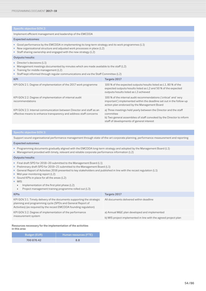Implement efficient management and leadership of the EMCDDA

### Expected outcomes:

- Good performance by the EMCDDA in implementing its long-term strategy and its work programmes (L1)
- New organisational structure and adjusted work processes in place (L2)
- Staff sharing ownership and engaged with the new strategy (L2)

# Outputs/results:

- Director's decisions (L1)
- Management meetings documented by minutes which are made available to the staff (L2)
- Training for middle management (L2)
- Staff kept informed through regular communications and via the Staff Committee (L2)

| <b>KPI</b>                                                                                                                                 | Targets 2017                                                                                                                                                                                        |
|--------------------------------------------------------------------------------------------------------------------------------------------|-----------------------------------------------------------------------------------------------------------------------------------------------------------------------------------------------------|
| KPI GOV.2.1. Degree of implementation of the 2017 work programme                                                                           | 100 % of the expected outputs/results listed as L1, 80 % of the<br>expected outputs/results listed as L2 and 50 % of the expected<br>outputs/results listed as L3 achieved                          |
| KPI GOV.2.2. Degree of implementation of internal audit<br>recommendations                                                                 | 100 % of the internal audit recommendations ('critical' and 'very<br>important') implemented within the deadline set out in the follow-up<br>action plan endorsed by the Management Board           |
| KPI GOV.2.3. Internal communication between Director and staff as an<br>effective means to enhance transparency and address staff concerns | a) Three meetings held yearly between the Director and the staff<br>committee<br>b) Two general assemblies of staff convoked by the Director to inform<br>staff of developments of general interest |

Support sound organisational performance management through state-of-the-art corporate planning, performance measurement and reporting

### Expected outcomes:

- Programming documents gradually aligned with the EMCDDA long-term strategy and adopted by the Management Board (L1)
- Management provided with timely, relevant and reliable corporate performance information (L2)

# Outputs/results:

- Final draft SPD for 2018–20 submitted to the Management Board (L1)
- Preliminary draft SPD for 2019-21 submitted to the Management Board (L1)
- General Report of Activities 2016 presented to key stakeholders and published in line with the recast regulation (L1)
- Mid-year monitoring report (L2)
- Sound KPIs in place for all the areas (L2)
- MIS:
	- Implementation of the first pilot phase (L2)
	- Project management training programme rolled out (L3)

| <b>KPIs</b>                                                                                                                                                                                                | Targets 2017                                                    |
|------------------------------------------------------------------------------------------------------------------------------------------------------------------------------------------------------------|-----------------------------------------------------------------|
| KPI GOV.3.1. Timely delivery of the documents supporting the strategic<br>planning and programming cycle (SPDs and General Report of<br>Activities) (as required by the recast EMCDDA founding regulation) | All documents delivered within deadline                         |
| KPI GOV.3.2. Degree of implementation of the performance<br>measurement system                                                                                                                             | a) Annual M&E plan developed and implemented                    |
|                                                                                                                                                                                                            | b) MIS project implemented in line with the agreed project plan |

### Resources necessary for the implementation of the activities in this area

| <b>Budget (EUR)</b> | Human resources (FTE), |
|---------------------|------------------------|
| 700 870.42          | 8.8                    |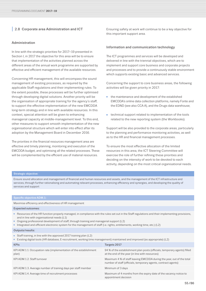# **|** 2.8 Corporate area Administration and ICT

# Administration

In line with the strategic priorities for 2017–19 presented in Section I, in 2017 the objective for this area will be to ensure that implementation of the activities planned across the different areas of the annual work programme are supported by effective and efficient management of the available resources.

Concerning HR management, this will encompass the sound management of existing processes, as required by the applicable Staff regulations and their implementing rules. To the extent possible, these processes will be further optimised through developing digital solutions. Another priority will be the organisation of appropriate training for the agency's staff, to support the effective implementation of the new EMCDDA long-term strategy and in line with available resources. In this context, special attention will be given to enhancing managerial capacity at middle-management level. To this end, other measures to support smooth implementation of the new organisational structure which will enter into effect after its adoption by the Management Board in December 2016.

The priorities in the financial resources management area are effective and timely planning, monitoring and execution of the EMCDDA budget, and optimising all the related processes. These will be complemented by the efficient use of material resources.

Ensuring safety at work will continue to be a key objective for this important support area.

# Information and communication technology

The ICT programmes and services will be developed and delivered in line with the triennial objectives, which are to implement and support core business and corporate projects and processes and to provide a continuously stable environment which supports existing basic and advanced services.

Concerning the support to core business areas, the following activities will be given priority in 2017:

- the maintenance and development of the established EMCDDA's online data collection platforms, namely Fonte and the EDND (see also CCA A), and the Drugs data warehouse;
- technical support related to implementation of the tools related to the new reporting system (the Workbooks).

Support will be also provided to the corporate areas, particularly to the planning and performance monitoring activities, as well as to the HR and financial management processes.

To ensure the most effective allocation of the limited resources in this area, the ICT Steering Committee will exercise the role of further refining these priorities and deciding on the intensity of work to be devoted to each activity, depending on the most critical organisational needs.

# Strategic objective:

Ensure sound allocation and management of financial and human resources and assets, and the management of the ICT infrastructure and services, through further rationalising and automating relevant processes, enhancing efficiency and synergies, and developing the quality of services and support

Maximise efficiency and effectiveness of HR management

### Expected outcomes:

- Resources of the HR function properly managed, in compliance with the rules set out in the Staff regulations and their implementing provisions, and in line with organisational needs (L1)
- Ongoing professional development of staff, through training and managerial support (L2)
- Integrated and efficient electronic system for the management of staff (i.e. rights, entitlements, working time, etc.) (L2)

# Outputs/results:

- Staff training, in line with the approved 2017 training plan (L2)
- Existing digital tools (HR database, E-recruitment, working time management) maintained and improved (as appropriate) (L2)

| <b>KPIs</b>                                                                | Targets 2017                                                                                                                            |
|----------------------------------------------------------------------------|-----------------------------------------------------------------------------------------------------------------------------------------|
| KPI ADM.1.1. Occupation rate (implementation of the establishment<br>plan) | 94 % of the establishment plan posts (officials, temporary agents) filled<br>at the end of the year (in line with resources)            |
| KPI ADM.1.2. Staff turnover                                                | Maximum 4 % of staff leaving EMCDDA during the year, out of the total<br>number of staff (officials, temporary agents, contract agents) |
| KPI ADM.1.3. Average number of training days per staff member              | Minimum of 3 days                                                                                                                       |
| KPI ADM.1.4. Average time of recruitment processes                         | Maximum of 4 months from the expiry date of the vacancy notice to<br>appointment decision                                               |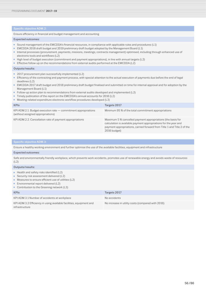Ensure efficiency in financial and budget management and accounting

## Expected outcomes:

- Sound management of the EMCDDA's financial resources, in compliance with applicable rules and procedures (L1)
- EMCDDA 2018 draft budget and 2019 preliminary draft budget adopted by the Management Board (L1)
- Internal processes (procurement, payments, missions, meetings, contracts management) optimised, including through enhanced use of electronic tools and workflows (L2)
- High level of budget execution (commitment and payment appropriations), in line with annual targets (L2)
- Effective follow-up on the recommendations from external audits performed at the EMCDDA (L2)

# Outputs/results:

- 2017 procurement plan successfully implemented (L2)
- Efficiency of the contracting and payment process, with special attention to the actual execution of payments due before the end of legal deadlines (L2)
- EMCDDA 2017 draft budget and 2018 preliminary draft budget finalised and submitted on time for internal approval and for adoption by the Management Board (L1)
- Follow-up action plan to recommendations from external audits developed and implemented (L2)
- Timely publication of the report on the EMCDDA's annual accounts for 2016 (L2)
- Meeting-related expenditure electronic workflow procedures developed (L3)

| <b>KPIs</b>                                                                                             | Targets 2017                                                                                                                                                                                                               |
|---------------------------------------------------------------------------------------------------------|----------------------------------------------------------------------------------------------------------------------------------------------------------------------------------------------------------------------------|
| $KPI$ ADM.2.1. Budget execution rate $-$ commitment appropriations<br>(without assigned appropriations) | Minimum 95 % of the total commitment appropriations                                                                                                                                                                        |
| KPI ADM.2.2. Cancellation rate of payment appropriations                                                | Maximum 5 % cancelled payment appropriations (the basis for<br>calculation is available payment appropriations for the year and<br>payment appropriations, carried forward from Title 1 and Title 2 of the<br>2016 budget) |

Ensure a healthy working environment and further optimise the use of the available facilities, equipment and infrastructure

# Expected outcomes:

Safe and environmentally friendly workplace, which prevents work accidents, promotes use of renewable energy and avoids waste of resources  $(L2)$ 

### Outputs/results:

- Health and safety risks identified (L2)
- Security risk assessment delivered (L2)
- Measures to ensure efficient use of utilities (L2)
- Environmental report delivered (L2)
- Contribution to the Greening network (L3)

| <b>KPIs</b>                                                                           | Targets 2017                                      |
|---------------------------------------------------------------------------------------|---------------------------------------------------|
| KPI ADM.3.1 Number of accidents at workplace                                          | No accidents                                      |
| KPI ADM.3.2 Efficiency in using available facilities, equipment and<br>infrastructure | No increase in utility costs (compared with 2016) |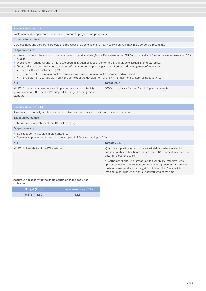Implement and support core business and corporate projects and processes

### Expected outcomes:

Core business and corporate projects and processes rely on efficient ICT services which help maximise corporate results (L2)

### Outputs/results:

- Infrastructure for the annual drugs data collection and analysis (Fonte, Data warehouse, EDND) functional and further developed (see also CCA A) (L1)
- Web system functional and further developed (migration of special contents, plan, upgrade of Drupal architecture) (L2)
- Tools and processes developed to support efficient corporate planning and monitoring, and management of resources:
	- MIS: software customised (L2)
	- Elements of HR management system reviewed, leave-management system up and running (L2)

| E-recruitment upgrade planned in the context of the development of the HR management system, as adequate (L3)                                |                                                      |  |  |  |  |  |
|----------------------------------------------------------------------------------------------------------------------------------------------|------------------------------------------------------|--|--|--|--|--|
| <b>KPI</b>                                                                                                                                   | Target 2017                                          |  |  |  |  |  |
| KPI ICT.1. Project management and implementation accountability<br>(compliance with the EMCDDA's adopted ICT project management<br>standard) | 100 % compliance for the L1 and L2 priority projects |  |  |  |  |  |

Provide a continuously stable environment which supports existing basic and advanced services

## Expected outcomes:

Optimal level of operability of the ICT systems (L2)

### Outputs/results:

- Business continuity plan implemented (L1)
- Services implemented in line with the adopted ICT Service catalogue (L2)

| KPI                                        | Targets 2017                                                                                                                                                                                                                                                               |
|--------------------------------------------|----------------------------------------------------------------------------------------------------------------------------------------------------------------------------------------------------------------------------------------------------------------------------|
| KPI ICT.2. Availability of the ICT systems | a) Office supporting infrastructure availability: system availability<br>superior to 95 %, office hours (maximum of 103 hours of accumulated<br>down time over the year)                                                                                                   |
|                                            | b) Corporate supporting infrastructure availability (websites, web<br>applications, Fonte, databases, email, security): system runs on a 24/7<br>basis with an overall annual target of minimum 99 % availability<br>(maximum of 88 hours of annual accumulated down time) |
|                                            |                                                                                                                                                                                                                                                                            |

Resources necessary for the implementation of the activities in this area

| <b>Budget (EUR)</b> | Human resources (FTE) |
|---------------------|-----------------------|
| 5 376 742.89        | 32.5                  |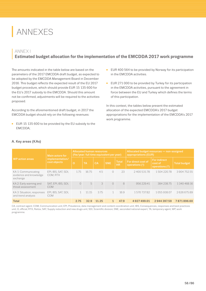# ANNEXES

# **<sup>|</sup>** ANNEX I **Estimated budget allocation for the implementation of the EMCDDA 2017 work programme**

The amounts indicated in the table below are based on the parameters of the 2017 EMCDDA draft budget, as expected to be adopted by the EMCDDA Management Board in December 2016. This budget reflects the expected result of the EU 2017 budget procedure, which should provide EUR 15 135 600 for the EU's 2017 subsidy to the EMCDDA. Should this amount not be confirmed, adjustments will be required to the activities proposed.

According to the aforementioned draft budget, in 2017 the EMCDDA budget should rely on the following revenues:

■ EUR 15 135 600 to be provided by the EU subsidy to the EMCDDA;

- EUR 400 564 to be provided by Norway for its participation in the EMCDDA activities.
- EUR 271 000 to be provided by Turkey for its participation in the EMCDDA activities, pursuant to the agreement in force between the EU and Turkey which defines the terms of this participation.

In this context, the tables below present the estimated allocation of the expected EMCDDA's 2017 budget appropriations for the implementation of the EMCDDA's 2017 work programme.

|                                                           | <b>Main actors for</b>          | <b>Allocated human resources</b><br>(fte/year: full time equivalent per year) |           |                                                      |            |      | Allocated budget resources – non-assigned<br>appropriations (EUR) |                                                    |                     |  |
|-----------------------------------------------------------|---------------------------------|-------------------------------------------------------------------------------|-----------|------------------------------------------------------|------------|------|-------------------------------------------------------------------|----------------------------------------------------|---------------------|--|
| <b>WP</b> action areas                                    | implementation/<br>cost objects | $\Omega$                                                                      | <b>TA</b> | <b>Total</b><br><b>SNE</b><br><b>CA</b><br><b>HR</b> |            |      | For direct cost of<br>operations $(1)$                            | <b>For indirect</b><br>cost of<br>operations $(2)$ | <b>Total budget</b> |  |
| KA 1: Communicating<br>evidence and knowledge<br>exchange | EPI, IBS, SAT, SDI,<br>COM, RTX | 1.75                                                                          | 16.75     | 4.5                                                  | $\bigcirc$ | 23   | 240053178                                                         | 1504220.78                                         | 390475255           |  |
| KA 2: Early warning and<br>threat assessment              | SAT, EPI, IBS, SDI,<br>COM      | $\bigcirc$                                                                    | 5         | 3                                                    | $\bigcirc$ | 8    | 956229.41                                                         | 384 238 75                                         | 1340468.16          |  |
| KA 3: Situation, responses<br>and trend analysis          | EPI, IBS, SAT, SDI,<br>COM      |                                                                               | 11.15     | 3.75                                                 |            | 16.9 | 157073782                                                         | 105593807                                          | 2626675.89          |  |
| <b>Total</b>                                              |                                 | 2.75                                                                          | 32.9      | 11.25                                                |            | 47.9 | 4927499.01                                                        | 2944397.59                                         | 7871896.60          |  |

# A. Key areas (KAs)

CA, contract agent; COM, Communication unit; EPI, Prevalence, data management and content coordination unit; IBS, Consequences, responses and best practices unit; O, official; RTX, Reitox; SAT, Supply reduction and new drugs unit; SDI, Scientific division; SNE, seconded national expert; TA, temporary agent; WP, work programme.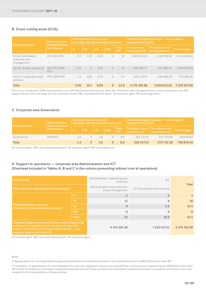# B. Cross-cutting areas (CCA)

| <b>WP</b> action areas                             | Main actors for<br>implementation/ | <b>Allocated human resources</b><br>(fte/year: full time equivalent per year) |           |           |            |                           | Allocated budget resources - non-assigned<br>appropriations (EUR) |                                          |              |  |
|----------------------------------------------------|------------------------------------|-------------------------------------------------------------------------------|-----------|-----------|------------|---------------------------|-------------------------------------------------------------------|------------------------------------------|--------------|--|
|                                                    | cost objects                       | $\overline{O}$                                                                | <b>TA</b> | <b>CA</b> | <b>SNE</b> | <b>Total</b><br><b>HR</b> | For direct cost<br>of operations $(1)$                            | For indirect cost<br>of operations $(2)$ | Total budget |  |
| CCA A: Information<br>collection and<br>management | EPI, SAT, RTX                      | 0.5                                                                           | 3.25      | 6.25      | $\bigcirc$ | 10 <sup>1</sup>           | 390291124                                                         | 1 242 558.06                             | 5 145 469 30 |  |
| CCA B: Quality assurance                           | SDI, EPI, COM,<br><b>RTX</b>       | 1.25                                                                          | 5         | 1.65      | $\bigcirc$ | 7.9                       | 845 493 77                                                        | 521 365.67                               | 1366859.44   |  |
| CCA C: Cooperation with<br>partners                | RTX, DIR/EXO                       | 1.3                                                                           | 1.85      | 0.75      | $\bigcirc$ | 3.9                       | 426379.97                                                         | 295688.29                                | 722068.26    |  |
| <b>Total</b>                                       |                                    | 3.05                                                                          | 10.1      | 8.65      | $\Omega$   | 21.8                      | 5 174 784.98                                                      | 2059612.02                               | 7 234 397.00 |  |

CCA, Cross-cutting area; COM, Communication unit; DIR/EXO Directorate/Executive office; EPI, Prevalence, data management and content coordination unit; SAT, Supply reduction and new drugs unit; SDI, Scientific division; SNE, seconded national expert; TA, temporary agent; WP, work programme.

# C. Corporate area Governance

| WP action area | <b>Main actors for</b><br>implementation/ | Allocated human resources<br>(fte/year: full time equivalent per year) |           |           |            |                         | Allocated budget resources - non-assigned<br>appropriations (EUR)                                        |                     |              |  |
|----------------|-------------------------------------------|------------------------------------------------------------------------|-----------|-----------|------------|-------------------------|----------------------------------------------------------------------------------------------------------|---------------------|--------------|--|
|                | cost objects                              |                                                                        | <b>TA</b> | <b>CA</b> | <b>SNE</b> | Total<br>H <sub>R</sub> | $\parallel$ For direct cost of $\parallel$ For indirect cost $\parallel$<br>operations $\overline{(^1)}$ | of operations $(2)$ | Total budget |  |
| Governance     | DIR/FXO                                   | 12                                                                     | щ         | 26        |            | 8.8                     | 328 137.14                                                                                               | 372 733.28          | 700 870.42   |  |
| <b>Total</b>   |                                           | 1.2 <sub>1</sub>                                                       |           | 26        |            | 8.8                     | 328 137.14                                                                                               | 372733.28           | 700 870.42   |  |

CA, contract agent; SNE, seconded national expert; TA, temporary agent; WP, work programme.

# D. Support to operations — corporate area Administration and ICT (Overhead included in Tables A, B and C in the column presenting indirect cost of operations)

| <b>Action areas</b>                                                                                                                                                                                            |              | Administration: supporting core<br><b>business</b>                                 | ICT                 |            |  |
|----------------------------------------------------------------------------------------------------------------------------------------------------------------------------------------------------------------|--------------|------------------------------------------------------------------------------------|---------------------|------------|--|
| Main actors for implementation/cost objects                                                                                                                                                                    |              | Administration and resources/<br>ICT (equipment and services)<br>assets management |                     | Total      |  |
| <b>Allocated human resources</b><br>(fte/year: full time equivalent per year)                                                                                                                                  | $\circ$      | 3                                                                                  | $\Omega$            | 3          |  |
|                                                                                                                                                                                                                | <b>TA</b>    | 11                                                                                 | 8                   | 19         |  |
|                                                                                                                                                                                                                | <b>CA</b>    | 8                                                                                  | 2.5                 | 10.5       |  |
|                                                                                                                                                                                                                | <b>SNE</b>   | $\Omega$                                                                           | $\mathbf{0}$        | $\Omega$   |  |
|                                                                                                                                                                                                                | <b>Total</b> | 22                                                                                 | 10.5                | 32.5       |  |
| Allocated budget resources for direct cost of supporting<br>activities to be distributed to operations (2) (see the<br>column 'For indirect cost of operations' above) - non-<br>assigned appropriations (EUR) |              | 4 144 325.38                                                                       | 1 2 3 2 4 1 7 . 5 1 | 5376742.89 |  |

CA, contract agent; SNE, seconded national expert; TA, temporary agent.

Notes:

(1) Appropriations for cost/expenditure for operational activities and staff directly involved in the implementation of the EMCDDA mission/task/WP.

(2) Overheads, i.e. appropriations for cost/expenditure for activities, equipment, infrastructure and staff that indirectly aim at implementing the EMCDDA mission/task/ WP, as their immediate aim is to support operational activities and staff. These overheads are distributed to operational activities in proportion of the human resources assigned for the implementation of these activities.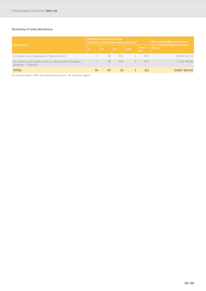# Summary of total allocations

|                                                                                            |         | <b>Allocated human resources</b> | (fte/year: full time equivalent per year) | Allocated budget resources - |                           |                                      |  |  |
|--------------------------------------------------------------------------------------------|---------|----------------------------------|-------------------------------------------|------------------------------|---------------------------|--------------------------------------|--|--|
| <b>Operations</b>                                                                          | $\circ$ | TA                               | <b>CA</b>                                 | <b>SNE</b>                   | <b>Total</b><br><b>HR</b> | non-assigned appropriations<br>(EUR) |  |  |
| For direct cost of operations (Tables A+B+C)                                               |         | 48                               | 22.5                                      |                              | 78.5                      | 10 430 421.13                        |  |  |
| For indirect cost of operations (i.e. direct costs of support<br>$\arctivities$ — Table D) |         | 19                               | 10.5                                      |                              | 32.5                      | 537674289                            |  |  |
| <b>TOTAL</b>                                                                               | 10      | 67                               | 33                                        |                              | 111                       | 15 807 164.02                        |  |  |

CA, contract agent; SNE, seconded national expert; TA, temporary agent.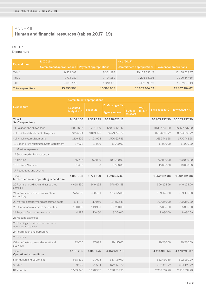# **<sup>|</sup>** ANNEX II **Human and financial resources (tables 2017–19)**

# TABLE 1 Expenditure

| <b>Expenditure</b>       | N(2016)                                            |            | $N+1(2017)$                                        |                   |  |  |
|--------------------------|----------------------------------------------------|------------|----------------------------------------------------|-------------------|--|--|
|                          | Commitment appropriations   Payment appropriations |            | Commitment appropriations   Payment appropriations |                   |  |  |
| Title 1                  | 9321199                                            | 9321199    | 10 128 023.17                                      | 10 128 023.17     |  |  |
| Title 2                  | 1 724 289                                          | 1724289    | 1226 547.66                                        | 1226547.66        |  |  |
| Title 3                  | 4 348 475                                          | 4 348 475  | 4 452 593 19                                       | 4 4 5 2 5 9 3 1 9 |  |  |
| <b>Total expenditure</b> | 15 393 963                                         | 15 393 963 | 15 807 164.02                                      | 15 807 164.02     |  |  |

|                                                               | <b>Commitment appropriations</b> |                 |                       |                    |            |                      |                      |  |  |  |  |
|---------------------------------------------------------------|----------------------------------|-----------------|-----------------------|--------------------|------------|----------------------|----------------------|--|--|--|--|
| <b>Expenditure</b>                                            |                                  |                 | Draft budget N+1      |                    | <b>VAR</b> |                      |                      |  |  |  |  |
|                                                               | <b>Executed</b><br>budget N-1    | <b>Budget N</b> | <b>Agency request</b> | Budget<br>forecast | $N+1/N$    | <b>Envisaged N+2</b> | <b>Envisaged N+3</b> |  |  |  |  |
| Title 1<br><b>Staff expenditure</b>                           | 9 159 160                        | 9 3 2 1 1 9 9   | 10 128 023.17         |                    |            | 10 465 237.30        | 10 565 237.30        |  |  |  |  |
| 11 Salaries and allowances                                    | 9024996                          | 9 204 199       | 10 000 423.17         |                    |            | 10 337 637.30        | 10 427 637.30        |  |  |  |  |
| - of which establishment plan posts                           | 7814694                          | 8013195         | 8479795.72            |                    |            | 8674895.72           | 8724895.72           |  |  |  |  |
| - of which external personnel                                 | 1210302                          | 1 191 004       | 1520627.46            |                    |            | 1662741.58           | 1702741.58           |  |  |  |  |
| 12 Expenditure relating to Staff recruitment                  | 37028                            | 27000           | 11 000.00             |                    |            | 11 000.00            | 11000.00             |  |  |  |  |
| 13 Mission expenses                                           |                                  |                 |                       |                    |            |                      |                      |  |  |  |  |
| 14 Socio-medical infrastructure                               |                                  |                 |                       |                    |            |                      |                      |  |  |  |  |
| 15 Training                                                   | 65736                            | 90 000          | 100 000.00            |                    |            | 100 000.00           | 100 000.00           |  |  |  |  |
| 16 External Services                                          | 31400                            | $\circ$         | 16 600.00             |                    |            | 16 600.00            | 16 600.00            |  |  |  |  |
| 17 Receptions and events                                      |                                  |                 |                       |                    |            |                      |                      |  |  |  |  |
| Title 2<br>Infrastructure and operating expenditure           | 4855783                          | 1724 109        | 1226547.66            |                    |            | 1252194.36           | 1292194.36           |  |  |  |  |
| 20 Rental of buildings and associated<br>costs(3)             | 4 0 18 3 5 0                     | 949 132         | 578 674.58            |                    |            | 600 193.26           | 640 193.26           |  |  |  |  |
| 21 Information and communication<br>technology                | 575683                           | 458 571         | 408 475.00            |                    |            | 409 475.00           | 409 475.00           |  |  |  |  |
| 22 Movable property and associated costs                      | 134 713                          | 119960          | 104 972.48            |                    |            | 109 360.00           | 109 360.00           |  |  |  |  |
| 23 Current administrative expenditure                         | 100 005                          | 148 953         | 97 250.00             |                    |            | 95 805.50            | 95 805.50            |  |  |  |  |
| 24 Postage/telecommunications                                 | 4982                             | 10 400          | 8 000.00              |                    |            | 8080.00              | 8080.00              |  |  |  |  |
| 25 Meeting expenses                                           |                                  |                 |                       |                    |            |                      |                      |  |  |  |  |
| 26 Running costs in connection with<br>operational activities |                                  |                 |                       |                    |            |                      |                      |  |  |  |  |
| 27 Information and publishing                                 |                                  |                 |                       |                    |            |                      |                      |  |  |  |  |
| 28 Studies                                                    |                                  |                 |                       |                    |            |                      |                      |  |  |  |  |
| Other infrastructure and operational<br>activities            | 22050                            | 37093           | 29 175.60             |                    |            | 29 280.60            | 29.280.60            |  |  |  |  |
| Title 3<br>Operational expenditure                            | 4 138 265                        | 4348475         | 4452593.19            |                    |            | 4414903.54           | 4473293.37           |  |  |  |  |
| Information and publishing                                    | 558832                           | 701625          | 587 150.00            |                    |            | 552 460.35           | 592 150.00           |  |  |  |  |
| <b>Studies</b>                                                | 469 222                          | 421504          | 672 423.72            |                    |            | 672 423.72           | 681 123.72           |  |  |  |  |
| RTX grants                                                    | 2069945                          | 2 2 2 8 5 3 7   | 2 2 2 5 3 7 . 2 6     |                    |            | 2 2 2 5 3 7 . 2 6    | 2 2 2 5 3 7 . 2 6    |  |  |  |  |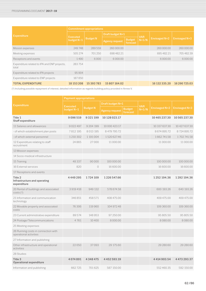|                                                       | <b>Commitment appropriations</b> |                 |                  |                           |            |               |                      |  |  |  |  |
|-------------------------------------------------------|----------------------------------|-----------------|------------------|---------------------------|------------|---------------|----------------------|--|--|--|--|
| <b>Expenditure</b>                                    | <b>Executed</b>                  |                 | Draft budget N+1 |                           | <b>VAR</b> |               | <b>Envisaged N+3</b> |  |  |  |  |
|                                                       | budget N-1                       | <b>Budget N</b> | Agency request   | <b>Budget</b><br>forecast | $N+1/N$    | Envisaged N+2 |                      |  |  |  |  |
| Mission expenses                                      | 249748                           | 289559          | 260,000,00       |                           |            | 260,000,00    | 260,000,00           |  |  |  |  |
| Meeting expenses                                      | 505 274                          | 701 250         | 698 482.21       |                           |            | 695482.21     | 705 482 39           |  |  |  |  |
| Receptions and events                                 | 1490                             | 6000            | 6000.00          |                           |            | 6 000.00      | 6 0 0 0 . 0 0        |  |  |  |  |
| Expenditure related to IPA and ENP projects,<br>total | 283754                           |                 |                  |                           |            |               |                      |  |  |  |  |
| Expenditure related to IPA projects                   | 95904                            |                 |                  |                           |            |               |                      |  |  |  |  |
| Expenditure related to ENP projects                   | 187850                           |                 |                  |                           |            |               |                      |  |  |  |  |
| <b>TOTAL EXPENDITURE</b>                              | 18 153 208                       | 15 393 783      | 15807164.02      |                           |            | 16 132 335.20 | 16 290 725.03        |  |  |  |  |

(3) Including possible repayment of interest; detailed information as regards building policy provided in Annex V.

|                                                               | <b>Payment appropriations</b>   |                 |                  |                    |                       |                      |                      |  |  |  |  |
|---------------------------------------------------------------|---------------------------------|-----------------|------------------|--------------------|-----------------------|----------------------|----------------------|--|--|--|--|
| <b>Expenditure</b>                                            |                                 |                 | Draft budget N+1 |                    |                       |                      |                      |  |  |  |  |
|                                                               | <b>Executed</b><br>budget $N-1$ | <b>Budget N</b> | Agency request   | Budget<br>forecast | <b>VAR</b><br>$N+1/N$ | <b>Envisaged N+2</b> | <b>Envisaged N+3</b> |  |  |  |  |
| Title 1<br><b>Staff expenditure</b>                           | 9096519                         | 9321199         | 10 128 023.17    |                    |                       | 10 465 237.30        | 10 565 237.30        |  |  |  |  |
| 11 Salaries and allowances                                    | 9022497                         | 9 2 0 4 1 9 9   | 10 000 423.17    |                    |                       | 10 337 637.30        | 10 427 637.30        |  |  |  |  |
| - of which establishment plan posts                           | 7812195                         | 8013195         | 8 479 795.72     |                    |                       | 8674895.72           | 8724895.72           |  |  |  |  |
| - of which external personnel                                 | 1210302                         | 1 191 004       | 1520627.46       |                    |                       | 1662741.58           | 1702741.58           |  |  |  |  |
| 12 Expenditure relating to staff<br>recruitment               | 24865                           | 27000           | 11000.00         |                    |                       | 11 000.00            | 11 000.00            |  |  |  |  |
| 13 Mission expenses                                           |                                 |                 |                  |                    |                       |                      |                      |  |  |  |  |
| 14 Socio-medical infrastructure                               |                                 |                 |                  |                    |                       |                      |                      |  |  |  |  |
| 15 Training                                                   | 48 337                          | 90 000          | 100 000.00       |                    |                       | 100 000.00           | 100 000.00           |  |  |  |  |
| 16 External services                                          | 820                             | $\circ$         | 16 600.00        |                    |                       | 16 600.00            | 16 600.00            |  |  |  |  |
| 17 Receptions and events                                      |                                 |                 |                  |                    |                       |                      |                      |  |  |  |  |
| Title 2<br>Infrastructure and operating<br>expenditure        | 4449295                         | 1724 109        | 1226547.66       |                    |                       | 1252194.36           | 1292194.36           |  |  |  |  |
| 20 Rental of buildings and associated<br>costs(3)             | 3919418                         | 949 132         | 578 674.58       |                    |                       | 600 193.26           | 640 193.26           |  |  |  |  |
| 21 Information and communication<br>technology                | 346851                          | 458 571         | 408 475.00       |                    |                       | 409 475.00           | 409 475.00           |  |  |  |  |
| 22 Movable property and associated<br>costs                   | 76 306                          | 119 960         | 104 972.48       |                    |                       | 109 360.00           | 109 360.00           |  |  |  |  |
| 23 Current administrative expenditure                         | 89574                           | 148 953         | 97 250.00        |                    |                       | 95 805.50            | 95 805.50            |  |  |  |  |
| 24 Postage/Telecommunications                                 | 4761                            | 10400           | 8000.00          |                    |                       | 8080.00              | 8080.00              |  |  |  |  |
| 25 Meeting expenses                                           |                                 |                 |                  |                    |                       |                      |                      |  |  |  |  |
| 26 Running costs in connection with<br>operational activities |                                 |                 |                  |                    |                       |                      |                      |  |  |  |  |
| 27 Information and publishing                                 |                                 |                 |                  |                    |                       |                      |                      |  |  |  |  |
| Other infrastructure and operational<br>activities            | 22050                           | 37093           | 29 175.60        |                    |                       | 29 280.60            | 29 280.60            |  |  |  |  |
| 28 Studies                                                    |                                 |                 |                  |                    |                       |                      |                      |  |  |  |  |
| Title 3<br><b>Operational expenditure</b>                     | 4074891                         | 4348475         | 4452593.19       |                    |                       | 4414903.54           | 4473293.37           |  |  |  |  |
| Information and publishing                                    | 662725                          | 701625          | 587 150.00       |                    |                       | 552 460.35           | 592 150.00           |  |  |  |  |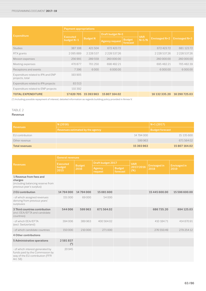|                                                       | <b>Payment appropriations</b> |                 |                       |                           |            |                      |                   |
|-------------------------------------------------------|-------------------------------|-----------------|-----------------------|---------------------------|------------|----------------------|-------------------|
| <b>Expenditure</b>                                    | <b>Executed</b>               |                 | Draft budget N+1      |                           | <b>VAR</b> |                      |                   |
|                                                       | budget $N-1$                  | <b>Budget N</b> | <b>Agency request</b> | <b>Budget</b><br>forecast | $N+1/N$    | <b>Envisaged N+2</b> | Envisaged N+3     |
| <b>Studies</b>                                        | 387 108                       | 421504          | 672 423.72            |                           |            | 672 423.72           | 681 123.72        |
| RTX grants                                            | 2095889                       | 2 2 2 8 5 3 7   | 2 2 2 8 5 3 7 . 2 6   |                           |            | 2 2 2 5 3 7 . 2 6    | 2 2 2 5 3 7 . 2 6 |
| Mission expenses                                      | 256991                        | 289 559         | 260 000.00            |                           |            | 260 000.00           | 260 000.00        |
| Meeting expenses                                      | 470 877                       | 701250          | 698 482.21            |                           |            | 695 482.21           | 705 482.39        |
| Receptions and events                                 | 7396                          | 6.000           | 6000.00               |                           |            | 6000.00              | 6000.00           |
| Expenditure related to IPA and ENP<br>projects, total | 193 905                       |                 |                       |                           |            |                      |                   |
| Expenditure related to IPA projects                   | 83513                         |                 |                       |                           |            |                      |                   |
| Expenditure related to ENP projects                   | 110 392                       |                 |                       |                           |            |                      |                   |
| <b>TOTAL EXPENDITURE</b>                              | 17620705                      | 15 393 963      | 15 807 164.02         |                           |            | 16 132 335.20        | 16 290 725.03     |

(3) Including possible repayment of interest; detailed information as regards building policy provided in Annex V.

# TABLE 2

# Revenue

|                       | N(2016)                          | $N+1(2017)$            |  |  |
|-----------------------|----------------------------------|------------------------|--|--|
| l Revenues i          | Revenues estimated by the agency | <b>Budget forecast</b> |  |  |
| EU contribution       | 14 794 000                       | 15 135 600             |  |  |
| Other revenue         | 599963                           | 671564.02              |  |  |
| <b>Total revenues</b> | 15 393 963                       | 15 807 164.02          |  |  |

|                                                                                                                    | <b>General revenues</b> |               |                   |                           |                     |                     |                     |
|--------------------------------------------------------------------------------------------------------------------|-------------------------|---------------|-------------------|---------------------------|---------------------|---------------------|---------------------|
| <b>Revenues</b>                                                                                                    | <b>Executed</b>         | <b>Budget</b> | Draft budget 2017 |                           | <b>VAR</b>          | <b>Envisaged in</b> | <b>Envisaged in</b> |
|                                                                                                                    | budget<br>2015          | 2016          | Agency<br>request | <b>Budget</b><br>forecast | 2017/2016<br>$(\%)$ | 2018                | 2019                |
| 1 Revenue from fees and<br>charges<br>(including balancing reserve from<br>previous year's surplus)                |                         |               |                   |                           |                     |                     |                     |
| 2 EU contribution                                                                                                  | 14794000                | 14 794 000    | 15081600          |                           |                     | 15 445 600.00       | 15 596 600.00       |
| - of which assigned revenues<br>deriving from previous years'<br>surpluses                                         | 151000                  | 69000         | 54 000            |                           |                     |                     |                     |
| 3 Third countries contribution<br>(incl. EEA/EFTA and candidate<br>countries)                                      | 544006                  | 599963        | 671564.02         |                           |                     | 686735.20           | 694 125.03          |
| - of which FFA/FFTA<br>(excl. Switzerland)                                                                         | 394 006                 | 389963        | 400 564.02        |                           |                     | 410 184.71          | 414 870.91          |
| - of which candidate countries                                                                                     | 150000                  | 210,000       | 271000            |                           |                     | 276 550.49          | 279 254 12          |
| 4 Other contributions                                                                                              |                         |               |                   |                           |                     |                     |                     |
| 5 Administrative operations                                                                                        | 2581837<br>(4)          |               |                   |                           |                     |                     |                     |
| - of which interest generated by<br>funds paid by the Commission by<br>way of the EU contribution (FFR<br>Art. 58) | 20945                   |               |                   |                           |                     |                     |                     |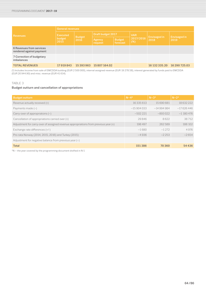|                                                      | <b>General revenues</b> |                       |                   |                           |                  |                      |                             |  |  |  |  |
|------------------------------------------------------|-------------------------|-----------------------|-------------------|---------------------------|------------------|----------------------|-----------------------------|--|--|--|--|
| <b>Revenues</b>                                      | <b>Executed</b>         |                       | Draft budget 2017 |                           | <b>VAR</b>       |                      |                             |  |  |  |  |
|                                                      | budget<br>2015          | <b>Budget</b><br>2016 | Agency<br>request | <b>Budget</b><br>forecast | 2017/2016<br>(%) | Envisaged in<br>2018 | <b>Envisaged in</b><br>2019 |  |  |  |  |
| 6 Revenues from services<br>rendered against payment |                         |                       |                   |                           |                  |                      |                             |  |  |  |  |
| 7 Correction of budgetary<br>imbalances              |                         |                       |                   |                           |                  |                      |                             |  |  |  |  |
| <b>TOTAL REVENUES</b>                                | 17919843                | 15 393 963            | 15807164.02       |                           |                  | 16 132 335.20        | 16 290 725.03               |  |  |  |  |

(4) Includes Income from sale of EMCDDA building (EUR 2 500 000), internal assigned revenue (EUR 19 278.58), interest generated by funds paid to EMCDDA (EUR 20 944.90) and misc. revenue (EUR 41 614).

# TABLE 3

# Budget outturn and cancellation of appropriations

| <b>Budget outturn</b>                                                               | $N - 4*$    | $N - 3*$    | $N - 2*$    |
|-------------------------------------------------------------------------------------|-------------|-------------|-------------|
| Revenue actually received (+)                                                       | 16 335 613  | 15690681    | 18632222    |
| Payments made $(-)$                                                                 | $-15904033$ | $-14994984$ | $-17626446$ |
| Carry-over of appropriations $(-)$                                                  | $-502221$   | $-893022$   | $-1180476$  |
| Cancellation of appropriations carried over (+)                                     | 29846       | 8622        | 38712       |
| Adjustment for carry-over of assigned revenue appropriations from previous year (+) | 198 497     | 262589      | 188 102     |
| Exchange rate differences (+/-)                                                     | $-1680$     | $-1272$     | 4976        |
| Pro-rata Norway (2014, 2015, 2016) and Turkey (2015)                                | $-4936$     | $-2253$     | $-2654$     |
| Adjustment for negative balance from previous year $(-)$                            |             |             |             |
| <b>Total</b>                                                                        | 151386      | 70360       | 54436       |

\*N – the year covered by the programming document drafted in N-1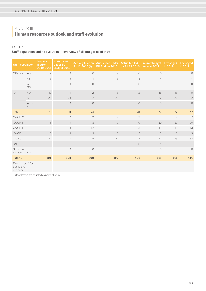# **<sup>|</sup>** ANNEX III **Human resources outlook and staff evolution**

# TABLE 1

Staff population and its evolution — overview of all categories of staff

| <b>Staff population</b>                         |                   | Actually<br>filled on<br>31.12.2014 | <b>Authorised</b><br>under EU<br>Budget 2015 | <b>Actually filled on</b><br>31.12.2015(5) | <b>Authorised under</b><br>EU Budget 2016 | <b>Actually filled</b><br>on 31.12.2016 | In draft budget<br>for year 2017 | <b>Envisaged</b><br>in 2018 | <b>Envisaged</b><br>in 2019 |
|-------------------------------------------------|-------------------|-------------------------------------|----------------------------------------------|--------------------------------------------|-------------------------------------------|-----------------------------------------|----------------------------------|-----------------------------|-----------------------------|
| <b>Officials</b>                                | AD                | $\overline{7}$                      | 8                                            | 6                                          | $\overline{7}$                            | 6                                       | 6                                | 6                           | 6                           |
|                                                 | <b>AST</b>        | 5                                   | 5                                            | $\overline{4}$                             | 5                                         | 3                                       | $\overline{4}$                   | $\overline{4}$              | $\overline{4}$              |
|                                                 | AST/<br><b>SC</b> | $\circ$                             | $\bigcirc$                                   | $\circ$                                    | $\bigcirc$                                | $\circlearrowright$                     | $\bigcirc$                       | $\bigcirc$                  | $\bigcirc$                  |
| <b>TA</b>                                       | AD                | 42                                  | 44                                           | 42                                         | 45                                        | 42                                      | 45                               | 45                          | 45                          |
|                                                 | <b>AST</b>        | 22                                  | 23                                           | 22                                         | 22                                        | 22                                      | 22                               | 22                          | 22                          |
|                                                 | AST/<br>SC        | $\circ$                             | $\circlearrowright$                          | $\circ$                                    | $\circ$                                   | $\bigcirc$                              | $\circlearrowright$              | $\circ$                     | $\circ$                     |
| <b>Total</b>                                    |                   | 76                                  | 80                                           | 74                                         | 79                                        | 73                                      | 77                               | 77                          | 77                          |
| CA GF IV                                        |                   | $\circ$                             | $\overline{2}$                               | $\overline{2}$                             | $\overline{2}$                            | 3                                       | $\overline{7}$                   | $\overline{7}$              | $\overline{7}$              |
| CA GF III                                       |                   | $\,8\,$                             | $\hbox{S}$                                   | 8                                          | $\mathcal{G}$                             | $\mathcal{G}% _{0}$                     | 10                               | 10                          | 10                          |
| CA GF II                                        |                   | 13                                  | 13                                           | 12                                         | 13                                        | 13                                      | 13                               | 13                          | 13                          |
| CA GF I                                         |                   | 3                                   | 3                                            | 3                                          | 3                                         | $\ensuremath{\mathsf{3}}$               | 3                                | 3                           | 3                           |
| <b>Total CA</b>                                 |                   | 24                                  | 27                                           | 25                                         | 27                                        | 28                                      | 33                               | 33                          | 33                          |
| SNE                                             |                   | $\mathbf{1}$                        | $\mathbf{1}$                                 | $\mathbf 1$                                | $\mathbf{1}$                              | $\circ$                                 | $\mathbf{1}$                     | $\mathbf{1}$                | $\mathbf{1}$                |
| Structural<br>service providers                 |                   | $\circ$                             | $\circ$                                      | $\circ$                                    | $\circ$                                   |                                         | $\overline{O}$                   | $\circ$                     | $\circ$                     |
| <b>TOTAL</b>                                    |                   | 101                                 | 108                                          | 100                                        | 107                                       | 101                                     | 111                              | 111                         | 111                         |
| External staff for<br>occasional<br>replacement |                   |                                     |                                              |                                            |                                           |                                         |                                  |                             |                             |

(5) Offer letters are counted as posts filled in.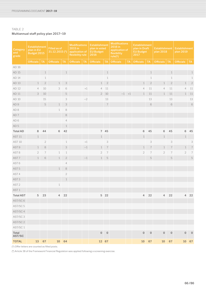# TABLE 2 Multiannual staff policy plan 2017–19

| Category<br>and<br>grade | <b>Establishment</b><br>plan in EU<br>Budget 2015 |                |                  | <b>Filled as of</b><br>31.12.2015 (5)               |                  | <b>Modifications</b><br>2015 in<br>application of<br>flexibility rule<br>2016 |                  | <b>Establishment</b><br>plan in voted<br><b>EU Budget</b> |                  | <b>Modifications</b><br><b>Establishment</b><br>2016 in<br>plan in Draft<br>application of<br><b>EU Budget</b><br>flexibility<br>2017<br>rule <sub>(6)</sub> |                     |                     | <b>Establishment</b><br>plan 2018 |                          | <b>Establishment</b><br>plan 2019 |                          |
|--------------------------|---------------------------------------------------|----------------|------------------|-----------------------------------------------------|------------------|-------------------------------------------------------------------------------|------------------|-----------------------------------------------------------|------------------|--------------------------------------------------------------------------------------------------------------------------------------------------------------|---------------------|---------------------|-----------------------------------|--------------------------|-----------------------------------|--------------------------|
|                          | <b>Officials</b>                                  | <b>TA</b>      | <b>Officials</b> | <b>TA</b>                                           | <b>Officials</b> | <b>TA</b>                                                                     | <b>Officials</b> | <b>TA</b>                                                 | <b>Officials</b> | <b>TA</b>                                                                                                                                                    | <b>Officials</b>    | <b>TA</b>           | <b>Officials</b>                  | <b>TA</b>                | <b>Officials</b>                  | <b>TA</b>                |
| AD 16                    |                                                   |                |                  |                                                     |                  |                                                                               |                  |                                                           |                  |                                                                                                                                                              |                     |                     |                                   |                          |                                   |                          |
| AD 15                    |                                                   | $\mathbf 1$    |                  | $\mathbf 1$                                         |                  |                                                                               |                  | $\mathbf 1$                                               |                  |                                                                                                                                                              |                     | $\mathbf 1$         |                                   | $\,1\,$                  |                                   | $\mathbf 1$              |
| AD 14                    |                                                   | 1              |                  |                                                     |                  |                                                                               |                  | $\mathbf 1$                                               |                  |                                                                                                                                                              |                     | $\mathbf 1$         |                                   | $\mathbf{1}$             |                                   | $\mathbf 1$              |
| AD 13                    | 1                                                 | $\overline{2}$ | $1\,$            | $\ensuremath{\mathsf{3}}$                           |                  |                                                                               | $\mathbf{1}$     | $\sqrt{2}$                                                |                  |                                                                                                                                                              | $\mathbf 1$         | $\sqrt{2}$          | $\,1\,$                           | $\sqrt{2}$               | $\mathbf 1$                       | $\sqrt{2}$               |
| AD 12                    | $\overline{4}$                                    | $10\,$         | 3                | $\mathbb{G}% _{C}^{\ast }=\mathbb{G}_{C}^{\ast }$ 6 |                  | $\bf{+1}$                                                                     | $\overline{4}$   | $11\,$                                                    |                  |                                                                                                                                                              | $\overline{4}$      | 11                  | $\overline{4}$                    | 11                       | $\overline{4}$                    | 11                       |
| AD 11                    | 3                                                 | $10\,$         |                  | $\mathbb S$                                         |                  |                                                                               | $\overline{2}$   | $10\,$                                                    |                  | $-1 +1$                                                                                                                                                      | $\mathbf 1$         | 11                  | $\mathbf 1$                       | 11                       | $\mathbf 1$                       | 11                       |
| AD 10                    |                                                   | 15             |                  | 3                                                   |                  | $-2$                                                                          |                  | 13                                                        |                  |                                                                                                                                                              |                     | 13                  |                                   | 13                       |                                   | 13                       |
| AD 9                     |                                                   | $\mathsf S$    | $\mathbf{1}$     | $\ensuremath{\mathsf{3}}$                           |                  |                                                                               |                  | $\overline{\phantom{a}}$                                  |                  |                                                                                                                                                              |                     | 6                   |                                   | 6                        |                                   | $\,6\,$                  |
| AD <sub>8</sub>          |                                                   |                | $\mathbf 1$      | $\rm 8$                                             |                  |                                                                               |                  |                                                           |                  |                                                                                                                                                              |                     |                     |                                   |                          |                                   |                          |
| AD <sub>7</sub>          |                                                   |                |                  | $\rm{S}$                                            |                  |                                                                               |                  |                                                           |                  |                                                                                                                                                              |                     |                     |                                   |                          |                                   |                          |
| AD6                      |                                                   |                |                  | $\overline{4}$                                      |                  |                                                                               |                  |                                                           |                  |                                                                                                                                                              |                     |                     |                                   |                          |                                   |                          |
| AD <sub>5</sub>          |                                                   |                |                  | $1\,$                                               |                  |                                                                               |                  |                                                           |                  |                                                                                                                                                              |                     |                     |                                   |                          |                                   |                          |
| <b>Total AD</b>          | 8                                                 | 44             | 6                | 42                                                  |                  |                                                                               |                  | 7 45                                                      |                  |                                                                                                                                                              | $\,6\,$             | 45                  | 6                                 | 45                       | 6                                 | 45                       |
| <b>AST 11</b>            | 1                                                 |                |                  |                                                     |                  |                                                                               | 1                |                                                           |                  |                                                                                                                                                              | 1                   |                     | $\mathbf{1}$                      |                          | $\mathbf 1$                       |                          |
| <b>AST 10</b>            |                                                   | $\sqrt{2}$     |                  | $\mathbf 1$                                         |                  | $\rm{+1}$                                                                     |                  | $\ensuremath{\mathsf{3}}$                                 |                  |                                                                                                                                                              |                     | 3                   |                                   | 3                        |                                   | 3                        |
| AST 9                    | $\mathbf{1}$                                      | $\rm 8$        |                  | 3                                                   |                  | $-1\,$                                                                        | 1                | $\overline{\phantom{a}}$                                  |                  |                                                                                                                                                              | $\mathbf 1$         | $\overline{7}$      | 1                                 | $\overline{\mathcal{I}}$ | $\mathbf 1$                       | $\overline{\phantom{a}}$ |
| AST8                     | $\overline{2}$                                    | 7              | $\mathbf 1$      | $\mathbf 1$                                         |                  |                                                                               | $\overline{2}$   | $\overline{\phantom{a}}$                                  |                  |                                                                                                                                                              | $\overline{2}$      | 7                   | $\sqrt{2}$                        | $\overline{\phantom{a}}$ | $\sqrt{2}$                        | $\overline{7}$           |
| AST <sub>7</sub>         | 1                                                 | 6              | $\mathbf 1$      | $\sqrt{2}$                                          |                  | $-1\,$                                                                        | 1                | $\mathbb S$                                               |                  |                                                                                                                                                              |                     | 5                   |                                   | 5                        |                                   | $\mathsf S$              |
| AST6                     |                                                   |                |                  | $\overline{4}$                                      |                  |                                                                               |                  |                                                           |                  |                                                                                                                                                              |                     |                     |                                   |                          |                                   |                          |
| AST <sub>5</sub>         |                                                   |                | $\mathbf{1}$     | $\rm 8$                                             |                  |                                                                               |                  |                                                           |                  |                                                                                                                                                              |                     |                     |                                   |                          |                                   |                          |
| AST 4                    |                                                   |                |                  | $\overline{2}$                                      |                  |                                                                               |                  |                                                           |                  |                                                                                                                                                              |                     |                     |                                   |                          |                                   |                          |
| AST <sub>3</sub>         |                                                   |                |                  | $\,1$                                               |                  |                                                                               |                  |                                                           |                  |                                                                                                                                                              |                     |                     |                                   |                          |                                   |                          |
| AST <sub>2</sub>         |                                                   |                | $\,1\,$          |                                                     |                  |                                                                               |                  |                                                           |                  |                                                                                                                                                              |                     |                     |                                   |                          |                                   |                          |
| AST 1                    |                                                   |                |                  |                                                     |                  |                                                                               |                  |                                                           |                  |                                                                                                                                                              |                     |                     |                                   |                          |                                   |                          |
| <b>Total AST</b>         | $\overline{c}$                                    | 23             | 4                | 22                                                  |                  |                                                                               |                  | 5 22                                                      |                  |                                                                                                                                                              | 4                   | 22                  | 4                                 | 22                       | 4                                 | 22                       |
| AST/SC6                  |                                                   |                |                  |                                                     |                  |                                                                               |                  |                                                           |                  |                                                                                                                                                              |                     |                     |                                   |                          |                                   |                          |
| AST/SC 5                 |                                                   |                |                  |                                                     |                  |                                                                               |                  |                                                           |                  |                                                                                                                                                              |                     |                     |                                   |                          |                                   |                          |
| AST/SC 4                 |                                                   |                |                  |                                                     |                  |                                                                               |                  |                                                           |                  |                                                                                                                                                              |                     |                     |                                   |                          |                                   |                          |
| AST/SC3                  |                                                   |                |                  |                                                     |                  |                                                                               |                  |                                                           |                  |                                                                                                                                                              |                     |                     |                                   |                          |                                   |                          |
| AST/SC 2                 |                                                   |                |                  |                                                     |                  |                                                                               |                  |                                                           |                  |                                                                                                                                                              |                     |                     |                                   |                          |                                   |                          |
| AST/SC 1                 |                                                   |                |                  |                                                     |                  |                                                                               |                  |                                                           |                  |                                                                                                                                                              |                     |                     |                                   |                          |                                   |                          |
| Total<br>AST/SC          |                                                   |                |                  |                                                     |                  |                                                                               | $\circ$          | $\mathsf{O}\xspace$                                       |                  |                                                                                                                                                              | $\mathsf{O}\xspace$ | $\mathsf{O}\xspace$ | $\mathsf{O}\xspace$               | $\mathsf{O}\xspace$      | $\mathsf{O}\xspace$               | $\mathsf{O}$             |
| <b>TOTAL</b>             | 13                                                | 67             | 10               | 64                                                  |                  |                                                                               |                  | 12 67                                                     |                  |                                                                                                                                                              | 10                  | 67                  | $10\,$                            | 67                       |                                   | 10 67                    |

(5) Offer letters are counted as filled posts.

(6) Article 38 of the Framework Financial Regulation was applied following a screening exercise.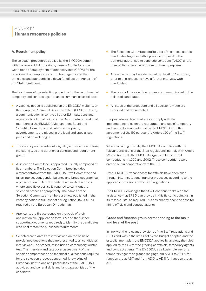# **<sup>|</sup>** ANNEX IV **Human resources policies**

# A. Recruitment policy

The selection procedures applied by the EMCDDA comply with the relevant EU provisions, namely Article 12 of the Conditions of employment of other servants (CEOS) for the recruitment of temporary and contract agents and the principles and standards laid down for officials in Annex III of the Staff regulations.

The key phases of the selection procedure for the recruitment of temporary and contract agents can be summarised as follows:

- A vacancy notice is published on the EMCDDA website, on the European Personnel Selection Office (EPSO) website, a communication is sent to all other EU institutions and agencies, to all focal points of the Reitox network and to all members of the EMCDDA Management Board and Scientific Committee and, where appropriate, advertisements are placed in the local and specialised press and on web pages.
- The vacancy notice sets out eligibility and selection criteria, indicating type and duration of contract and recruitment grade.
- A Selection Committee is appointed, usually composed of five members. The Selection Committee includes a representative from the EMCDDA Staff Committee and takes into account gender balance and broad geographical representation. External members are invited in cases where specific expertise is required to carry out the selection process appropriately. The names of the Selection Committee members are now published in the vacancy notice in full respect of Regulation 45/2001 as required by the European Ombudsman.
- Applicants are first screened on the basis of their application file (application form, CV and the further supporting documents required) to identify the candidates who best match the published requirements.
- Selected candidates are interviewed on the basis of pre-defined questions that are presented to all candidates interviewed. The procedure includes a compulsory written test. The interview and test cover assessment of the specific competences and technical qualifications required for the selection process concerned; knowledge of European institutions and particularly of the EMCDDA's activities; and general skills and language abilities of the candidate.
- The Selection Committee drafts a list of the most suitable candidates together with a possible proposal to the authority authorised to conclude contracts (AHCC) and/or to establish a reserve list for recruitment purposes.
- A reserve list may be established by the AHCC, who can, prior to this, choose to have a further interview with candidates.
- The result of the selection process is communicated to the selected candidates.
- All steps of the procedure and all decisions made are reported and documented.

The procedures described above comply with the implementing rules on the recruitment and use of temporary and contract agents adopted by the EMCDDA with the agreement of the EC pursuant to Article 110 of the Staff regulations.

When recruiting officials, the EMCDDA complies with the relevant provisions of the Staff regulations, namely with Article 29 and Annex III. The EMCDDA organised two internal competitions in 1999 and 2002. These competitions were carried out in cooperation with the EC.

Other EMCDDA vacant posts for officials have been filled through interinstitutional transfer processes according to the applicable provisions of the Staff regulations.

The EMCDDA envisages that it will continue to draw on the assistance that EPSO can provide in this field, including using its reserve lists, as required. This has already been the case for hiring officials and contract agents.

# Grade and function group corresponding to the tasks and level of the post

In line with the relevant provisions of the Staff regulations and CEOS and within the limits set by the budget adopted and the establishment plan, the EMCDDA applies by analogy the rules applied by the EC for the grading of officials, temporary agents and contract agents. The EMCDDA, as a basic rule, recruits temporary agents at grades ranging from AST 1 to AST 4 for function group AST and from AD 5 to AD 8 for function group AD.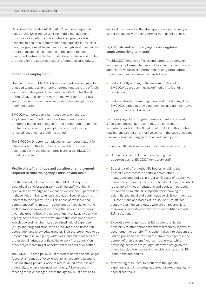Recruitment at grades AD 9 to AD 11, and in exceptional cases at AD 12, is limited to filling middle management positions or to particular cases where a higher grade is essential to ensure a recruitment of high quality. In the latter case, the grade must be justified by the high level of expertise required, the specific conditions of the labour market concerned and/or by the fact that a lower grade would not be attractive for the target population of potential candidates.

# Duration of employment

Upon recruitment, EMCDDA temporary and contract agents engaged to address long-term or permanent tasks are offered a contract of five years. In accordance with Articles 8 and 85 of the CEOS, this contract may be renewed for further five years. In case of second renewal, agents are engaged for an indefinite period.

EMCDDA temporary and contract agents on short-term employment recruited to address time-bound tasks or temporary needs are engaged for the period required to fulfil the tasks concerned. In principle, the contract may be renewed just once for a definite period.

The EMCDDA Director is employed as a temporary agent for a five-year term, this term being renewable. This is in accordance with the relevant provisions of the EMCDDA founding regulation.

# Profile of staff, and type and duration of employment required to fulfil the agency's mission and tasks

For the majority of its activities, the EMCDDA requires scientifically and/or technically qualified staff with highly specialised knowledge and extensive experience – particularly in those fields linked to its core activities. Specialisation is inherent to the agency. The EU skill base of available and competent staff is limited. In some areas of activity only one staff member is involved in running the service. Furthermore, given the ground-breaking nature of many of its activities, the agency needs to cultivate a workforce that combines sector knowledge and insight in its specialised field of expertise (drugs and drug addiction) with a track record of innovation, cooperation and knowledge transfer. Staff therefore need to be prepared to nurture agency-wide skills, and must possess the professional latitude and flexibility to work 'horizontally' on other projects that might benefit from their area of expertise.

The EMCDDA's staff policy must therefore rise to the challenges faced by all 'centres of excellence': to attract strong talent, to build on strong previous work, to retain valued expertise and, ultimately, to ensure business continuity. A key aspect in meeting these challenges is that the agency must have at its

disposal the means to offer staff appropriate job security and career prospects, with a long-term or permanent outlook.

# (a) Officials and temporary agents on long-term employment (long-term staff)

The EMCDDA employs officials and temporary agents on long-term employment to carry out its scientific, technical and administrative tasks of a permanent or long-term nature. These tasks can be summarised as follows:

- tasks directly relating to the implementation of the EMCDDA's core activities as defined by its founding regulation;
- tasks relating to the management and functioning of the EMCDDA, aimed at providing technical and administrative support to its core business.

Temporary agents on long-term employment are offered a five-year contract at the time they are contracted. In accordance with Articles 8 and 85 of the CEOS, this contract may be renewed for a further five years. In the case of second renewal, agents are engaged for an indefinite period.

The use of officials is necessary for a number of reasons:

- Retaining proven talent and enhancing career opportunities for EMCDDA temporary staff.
- Sourcing skills from other EU bodies: enabling the possibility for transfers of officials from other EU institutions and bodies, in order to fill posts of a sensitive character or requiring specific professional expertise which is available in these institutions and bodies. In particular, the option of an official is important for sourcing the scientific, technical and administrative skills common to all EU institutions and bodies; it is also useful to attract suitably qualified candidates who are on reserve lists following successful completion of competitions at other EU institutions.
- Expertise exchange to other EU bodies: that is, the possibility to offer options for external mobility, by way of secondment or transfer. This option takes into account the limited possibilities provided for temporary agents in the context of their current fixed-term contracts, while providing incentives to younger staff who are given the chance to plan their career in the wider context of all EU institutions and bodies.
- Maximising resources: to profit from the specific experience and knowledge acquired for executing highly specialised tasks.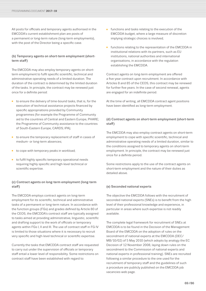All posts for officials and temporary agents authorised in the EMCDDA's current establishment plan are posts of a permanent or long-term nature (long-term employments), with the post of the Director being a specific case.

# (b) Temporary agents on short-term employment (shortterm staff)

The EMCDDA may also employ temporary agents on shortterm employment to fulfil specific scientific, technical and administrative operating needs of a limited duration. The duration of the contract is determined by the limited duration of the tasks. In principle, the contract may be renewed just once for a definite period:

- to ensure the delivery of time-bound tasks, that is, for the execution of technical assistance projects financed by specific appropriations provided by Community programmes (for example the Programme of Community aid to the countries of Central and Eastern Europe, PHARE; the Programme of Community assistance to the countries of South-Eastern Europe, CARDS; IPA);
- to ensure the temporary replacement of staff in cases of medium- or long-term absences;
- to cope with temporary peaks in workload;
- to fulfil highly specific temporary operational needs requiring highly specific and high-level technical or scientific expertise.

# (c) Contract agents on long-term employment (long-term staff)

The EMCDDA employs contract agents on long-term employment for its scientific, technical and administrative tasks of a permanent or long-term nature. In accordance with the function groups (FGs) and grades defined by Article 80 of the CEOS, the EMCDDA's contract staff are typically assigned to tasks aimed at providing administrative, linguistic, scientific and drafting support to the work of officials or temporary agents within FGs I, II and III. The use of contract staff in FG IV is limited to those situations where it is necessary to recruit very specific and high-level technical or scientific expertise.

Currently the tasks that EMCDDA contract staff are requested to carry out under the supervision of officials or temporary staff entail a lower level of responsibility. Some restrictions on contract staff have been established with regard to:

- functions and tasks relating to the execution of the EMCDDA budget, where a large measure of discretion implying strategic choices is involved;
- functions relating to the representation of the EMCDDA in institutional relations with its partners, such as EU institutions, national authorities and international organisations, in accordance with the regulation establishing the EMCDDA.

Contract agents on long-term employment are offered a five-year contract upon recruitment. In accordance with Articles 8 and 85 of the CEOS, this contract may be renewed for further five years. In the case of second renewal, agents are engaged for an indefinite period.

At the time of writing, all EMCDDA contract agent positions have been identified as long-term employment.

# (d) Contract agents on short-term employment (short-term staff)

The EMCDDA may also employ contract agents on short-term employment to cope with specific scientific, technical and administrative operating needs of a limited duration, similar to the conditions assigned to temporary agents on short-term employment. In principle, the contract may be renewed just once for a definite period.

Some restrictions apply to the use of the contract agents on short-term employment and the nature of their duties as detailed above.

# (e) Seconded national experts

The objective the EMCDDA follows with the recruitment of seconded national experts (SNEs) is to benefit from the high level of their professional knowledge and experience, in particular in areas where such expertise is not readily available.

The complete legal framework for recruitment of SNEs at EMCDDA is to be found in the Decision of the Management Board of the EMCDDA on the adoption of rules on the secondment of national experts at the EMCDDA (DEC/ MB/10/02) of 5 May 2010 (which adopts by analogy the EC Decision of 12 November 2008, laying down rules on the secondment to the Commission of national experts and national experts in professional training). SNEs are recruited following a similar procedure to the one used for the recruitment of temporary staff and the guidelines of such a procedure are publicly published on the EMCDDA job vacancies web page.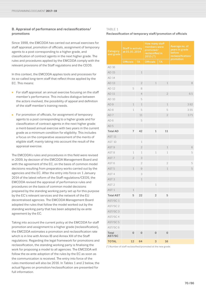# B. Appraisal of performance and reclassifications/ promotions

Since 1998, the EMCDDA has carried out annual exercises for staff appraisal, promotion of officials, assignment of temporary agents to a post corresponding to a higher grade, and classification of contract agents in the next higher grade. The rules and procedures applied by the EMCDDA comply with the relevant provisions of the Staff regulations and the CEOS.

In this context, the EMCDDA applies tools and processes for its so-called long-term staff that reflect those applied by the EC. This means:

- For staff appraisal: an annual exercise focusing on the staff member's performance. This includes dialogue between the actors involved, the possibility of appeal and definition of the staff member's training needs.
- For promotion of officials, for assignment of temporary agents to a post corresponding to a higher grade and for classification of contract agents in the next higher grade: a merit-based annual exercise with two years in the current grade as a minimum condition for eligibility. This includes a focus on the comparative assessment of the merits of eligible staff, mainly taking into account the result of the appraisal exercise.

The EMCDDA's rules and procedures in this field were revised in 2009, by decision of the EMCDDA Management Board and with the agreement of the EC, on the basis of common model decisions resulting from preparatory works carried out by the agencies and the EC. After the entry into force on 1 January 2014 of the latest reform of the Staff regulations/CEOS, the EMCDDA revised the appraisal of performance rules and procedures on the basis of common model decisions prepared by the standing working party set up for this purpose by the EC's relevant services and the network of the EU decentralised agencies. The EMCDDA Management Board adopted the rules that follow the model worked out by the standing working party that has been adopted by ex-ante agreement by the EC.

Taking into account the current policy at the EMCDDA for staff promotion and assignment to a higher grade (reclassification), the EMCDDA estimates a promotion and reclassification rate which is in line with Annex IB and Annex XIII of the Staff regulations. Regarding the legal framework for promotions and reclassification, the standing working party is finalising the work for proposing a model to all agencies. The EMCDDA will follow the ex-ante adoption of the rules by the EC as soon as the communication is received. The entry into force of the rules mentioned will also be 2016. In Tables 1 and 2 below, the actual figures on promotion/reclassification are presented for full information.

# TABLE 1

# Reclassification of temporary staff/promotion of officials

| <b>Category</b><br>and grade | <b>Staff in activity</b><br>at 01.01.2014 |                | How many staff<br>members were<br>promoted/<br>reclassified in<br>2015 (*) |                     | Average no. of<br>years in grade<br>before<br>reclassification/<br>promotion |  |
|------------------------------|-------------------------------------------|----------------|----------------------------------------------------------------------------|---------------------|------------------------------------------------------------------------------|--|
|                              | Officials                                 | <b>TA</b>      | <b>Officials</b>                                                           | <b>TA</b>           |                                                                              |  |
| AD 16                        |                                           |                |                                                                            |                     |                                                                              |  |
| AD 15                        |                                           | $1\,$          |                                                                            |                     |                                                                              |  |
| AD 14                        |                                           |                |                                                                            |                     |                                                                              |  |
| AD 13                        |                                           | $\sqrt{2}$     | 1                                                                          | $\mathbf 1$         | 8                                                                            |  |
| AD 12                        | 5                                         | 8              |                                                                            |                     |                                                                              |  |
| AD 11                        |                                           | $\overline{4}$ |                                                                            | $\sqrt{2}$          | 6.5                                                                          |  |
| AD 10                        |                                           | 5              |                                                                            |                     |                                                                              |  |
| AD <sub>9</sub>              | $\mathbf 1$                               | $\mathbf{1}$   |                                                                            | $\mathbf 1$         | 3.92                                                                         |  |
| AD <sub>8</sub>              | $\mathbf 1$                               | 5              |                                                                            | 5                   | 3.55                                                                         |  |
| AD <sub>7</sub>              |                                           | 11             |                                                                            | $\sqrt{2}$          | 3.71                                                                         |  |
| AD <sub>6</sub>              |                                           | 5              |                                                                            |                     |                                                                              |  |
| AD <sub>5</sub>              |                                           |                |                                                                            |                     |                                                                              |  |
| <b>Total AD</b>              | $\overline{7}$                            | 42             | $\mathbf 1$                                                                | 11                  |                                                                              |  |
| AST <sub>11</sub>            |                                           |                |                                                                            |                     |                                                                              |  |
| <b>AST 10</b>                |                                           | $\,1\,$        |                                                                            |                     |                                                                              |  |
| AST <sub>9</sub>             |                                           | $\overline{2}$ |                                                                            | $\mathbf 1$         | $\mathbb{G}% _{C}^{\ast }=\mathbb{G}_{C}^{\ast }$ 6                          |  |
| AST <sub>8</sub>             | 1                                         | 1              | $\mathbf 1$                                                                | 1                   | 5                                                                            |  |
| AST <sub>7</sub>             | $\mathbf{2}$                              | 3              |                                                                            |                     |                                                                              |  |
| AST6                         |                                           | $\mathbf{2}$   |                                                                            | $\mathbf{2}$        | 5                                                                            |  |
| AST <sub>5</sub>             | $\mathbf 1$                               | $\Theta$       |                                                                            | $\mathbf 1$         | 5                                                                            |  |
| AST <sub>4</sub>             |                                           | 3              |                                                                            |                     |                                                                              |  |
| AST <sub>3</sub>             |                                           | $\mathbf 1$    |                                                                            |                     |                                                                              |  |
| AST <sub>2</sub>             |                                           |                | $\mathbf 1$                                                                |                     |                                                                              |  |
| AST <sub>1</sub>             | $\mathbf 1$                               |                |                                                                            |                     |                                                                              |  |
| <b>Total AST</b>             | 5                                         | 22             | $\overline{2}$                                                             | 5                   |                                                                              |  |
| AST/SC1                      |                                           |                |                                                                            |                     |                                                                              |  |
| AST/SC 2                     |                                           |                |                                                                            |                     |                                                                              |  |
| AST/SC3                      |                                           |                |                                                                            |                     |                                                                              |  |
| AST/SC 4                     |                                           |                |                                                                            |                     |                                                                              |  |
| AST/SC 5                     |                                           |                |                                                                            |                     |                                                                              |  |
| AST/SC6                      |                                           |                |                                                                            |                     |                                                                              |  |
| Total<br>AST/SC              | 0                                         | $\mathbf 0$    | $\mathbf 0$                                                                | $\mathsf{O}\xspace$ |                                                                              |  |
| <b>TOTAL</b>                 | 12                                        | 64             | 3                                                                          | 16                  |                                                                              |  |

(\*) Number of staff reclassified/promoted at the new grade.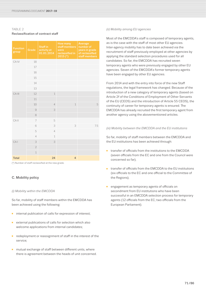# TABLE<sub>2</sub> Reclassification of contract staff

| <b>Function</b><br>group | Grade          | <b>Staff in</b><br>activity at<br>01.01.2014 | <b>How many</b><br>staff members<br>were<br>reclassified in<br>$2015$ (*) | Average<br>number of<br>years in grade<br>of reclassified<br>staff members |
|--------------------------|----------------|----------------------------------------------|---------------------------------------------------------------------------|----------------------------------------------------------------------------|
| CA IV                    | 18             |                                              |                                                                           |                                                                            |
|                          | 17             |                                              |                                                                           |                                                                            |
|                          | 16             |                                              |                                                                           |                                                                            |
|                          | 15             |                                              |                                                                           |                                                                            |
|                          | 14             |                                              |                                                                           |                                                                            |
|                          | 13             |                                              |                                                                           |                                                                            |
| CA III                   | 12             | $\mathbf{1}$                                 |                                                                           |                                                                            |
|                          | 11             |                                              |                                                                           |                                                                            |
|                          | 10             | $\overline{4}$                               | $\mathbf{1}$                                                              | 5                                                                          |
|                          | $\mathcal{G}$  | 3                                            |                                                                           |                                                                            |
|                          | 8              |                                              |                                                                           |                                                                            |
| CA <sub>II</sub>         | 7              | 5                                            |                                                                           |                                                                            |
|                          | 6              | 3                                            | 3                                                                         | 7.5                                                                        |
|                          | 5              | $\overline{4}$                               |                                                                           |                                                                            |
|                          | $\overline{4}$ | $\mathbf{1}$                                 |                                                                           |                                                                            |
| CA <sub>I</sub>          | 3              | 3                                            |                                                                           |                                                                            |
|                          | $\overline{2}$ |                                              |                                                                           |                                                                            |
|                          | $\mathbf{1}$   |                                              |                                                                           |                                                                            |
| <b>Total</b>             |                | 24                                           | $\overline{4}$                                                            |                                                                            |

(\*) Number of staff reclassified at the new grade.

# C. Mobility policy

# *(i) Mobility within the EMCDDA*

So far, mobility of staff members within the EMCDDA has been achieved using the following:

- internal publication of calls for expression of interest:
- external publications of calls for selection which also welcome applications from internal candidates;
- redeployment or reassignment of staff in the interest of the service;
- mutual exchange of staff between different units, where there is agreement between the heads of unit concerned.

# *(ii) Mobility among EU agencies*

Most of the EMCDDA's staff is composed of temporary agents, as is the case with the staff of most other EU agencies. Inter-agency mobility has to date been achieved via the recruitment of staff previously employed at other agencies by applying the standard selection procedures used for all candidates. So far, the EMCDDA has recruited seven temporary agents who were previously engaged by other EU agencies. Seven of the EMCDDA's former temporary agents have been engaged by other EU agencies.

From 2014 and with the entry into force of the new Staff regulations, the legal framework has changed. Because of the introduction of a new category of temporary agents (based on Article 2f of the Conditions of Employment of Other Servants of the EU (CEOS) and the introduction of Article 55 CEOS), the continuity of career for temporary agents is ensured. The EMCDDA has already recruited the first temporary agent from another agency using the abovementioned articles.

# *(iii) Mobility between the EMCDDA and the EU institutions*

So far, mobility of staff members between the EMCDDA and the EU institutions has been achieved through:

- transfer of officials from the institutions to the EMCDDA (seven officials from the EC and one from the Council were concerned so far);
- transfer of officials from the EMCDDA to the EU institutions (six officials to the EC and one official to the Committee of the Regions);
- engagement as temporary agents of officials on secondment from EU institutions who have been successful in an EMCDDA selection process for temporary agents (12 officials from the EC; two officials from the European Parliament).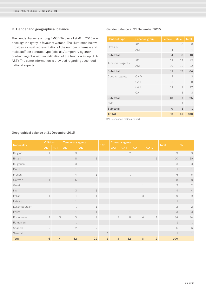# D. Gender and geographical balance

The gender balance among EMCDDA overall staff in 2015 was once again slightly in favour of women. The illustration below provides a visual representation of the number of female and male staff per contract type (officials/temporary agents/ contract agents) with an indication of the function group (AD/ AST). The same information is provided regarding seconded national experts.

# Gender balance at 31 December 2015

| <b>Contract type</b> | <b>Function group</b> | Female         | <b>Male</b>    | <b>Total</b>   |
|----------------------|-----------------------|----------------|----------------|----------------|
|                      | AD                    |                | 6              | 6              |
| Officials            | <b>AST</b>            | 4              |                | $\overline{4}$ |
| Sub-total            |                       | $\overline{4}$ | 6              | 10             |
|                      | AD                    | 21             | 21             | 42             |
| Temporary agents     | <b>AST</b>            | 10             | 12             | 22             |
| Sub-total            |                       | 31             | 33             | 64             |
| Contract agents      | CA IV                 | $\overline{2}$ |                | $\overline{2}$ |
|                      | CA III                | 5              | 3              | 8              |
|                      | $CA$ II               | 11             | 1              | 12             |
|                      | CAI                   |                | 3              | 3              |
| Sub-total            |                       | 18             | $\overline{7}$ | 25             |
| <b>SNE</b>           |                       |                | 1              | 1              |
| Sub-total            |                       | $\mathbf 0$    | 1              | 1              |
| <b>TOTAL</b>         |                       | 53             | 47             | 100            |

SNE, seconded national expert.

| <b>Nationality</b> | <b>Officials</b> |                | Temporary agents          |                     |              | <b>Contract agents</b> |                |                |                |                     |                                                     |
|--------------------|------------------|----------------|---------------------------|---------------------|--------------|------------------------|----------------|----------------|----------------|---------------------|-----------------------------------------------------|
|                    | <b>AD</b>        | <b>AST</b>     | <b>AD</b>                 | <b>AST</b>          | <b>SNE</b>   | <b>CAI</b>             | <b>CAII</b>    | <b>CA III</b>  | <b>CAIV</b>    | <b>Total</b>        | $\%$                                                |
| Belgian            | 1                |                | 3                         | 3                   |              |                        | $\overline{2}$ |                |                | $\mathcal{G}% _{0}$ | $\mathcal G$                                        |
| <b>British</b>     |                  |                | $\,$ $\,$                 | 1                   |              |                        |                |                | $\,1\,$        | 10                  | 10                                                  |
| Bulgarian          |                  |                | 3                         |                     |              |                        |                |                |                | 3                   | 3                                                   |
| Dutch              |                  |                | $\mathbf 1$               |                     |              |                        |                |                |                | 1                   | 1                                                   |
| French             |                  |                | $\overline{4}$            | $\mathbf 1$         |              |                        | $\mathbf{1}$   |                |                | 6                   | 6                                                   |
| German             | $\mathbf 1$      |                | $\mathbf 5$               | $\overline{2}$      |              |                        |                |                |                | $\,$ 8 $\,$         | $\rm 8$                                             |
| Greek              |                  | $\mathbf{1}$   |                           |                     |              |                        |                | $\mathbf{1}$   |                | $\overline{2}$      | $\sqrt{2}$                                          |
| Irish              |                  |                | $\ensuremath{\mathsf{3}}$ | $\mathbf 1$         |              |                        |                |                |                | $4 -$               | $\overline{4}$                                      |
| Italian            | $\mathbf{1}$     |                | $\overline{4}$            | $\mathbf{1}$        |              |                        |                | 3              |                | $\mathcal{G}% _{0}$ | $\mathcal{G}% _{0}$                                 |
| Latvian            |                  |                | $1\,$                     |                     |              |                        |                |                |                | 1                   | $\mathbf 1$                                         |
| Luxembourgish      |                  |                | $\mathbf 1$               | 1                   |              |                        |                |                |                | $\overline{2}$      | $\overline{2}$                                      |
| Polish             |                  |                | $\,1\,$                   | $\mathbf{1}$        |              |                        | $\mathbf 1$    |                |                | 3                   | 3                                                   |
| Portuguese         | $\mathbf{1}$     | 3              | 5                         | $\mathcal{G}% _{0}$ |              | 3                      | 8              | $\overline{4}$ | $\mathbf{1}$   | 34                  | 34                                                  |
| Romanian           |                  |                | $1\,$                     |                     |              |                        |                |                |                | 1                   | 1                                                   |
| Spanish            | $\overline{2}$   |                | $\overline{2}$            | $\overline{2}$      |              |                        |                |                |                | 6                   | $\mathbb{G}% _{C}^{\ast }=\mathbb{G}_{C}^{\ast }$ 6 |
| Swedish            |                  |                |                           |                     | $\mathbf{1}$ |                        |                |                |                | $\mathbf 1$         | $\mathbf 1$                                         |
| <b>Total</b>       | 6                | $\overline{4}$ | 42                        | 22                  | $\mathbf{1}$ | $\sqrt{3}$             | 12             | $\,8\,$        | $\overline{2}$ | 100                 |                                                     |

# Geographical balance at 31 December 2015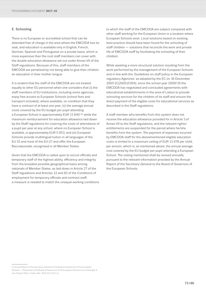#### E. Schooling

There is no European or accredited school that can be attended free of charge in the area where the EMCDDA has its seat, and education is available only in English, French, German, Spanish and Portuguese on a private basis, which is more expensive than the cost staff members can cover with the double education allowance set out under Annex VII of the Staff regulations. Because of this, staff members of the EMCDDA are penalised by not being able to give their children an education in their mother tongue.

It is evident that the staff of the EMCDDA are not treated equally to other EU personnel when one considers that (i) the staff members of EU institutions, including some agencies, enjoy free access to European Schools (school fees and transport included), where available, on condition that they have a contract of at least one year; (ii) the average annual costs covered by the EU budget per pupil attending a European School is approximately EUR 11 840<sup>(2)</sup> while the maximum reimbursement for education allowance laid down by the Staff regulations for covering the costs of attendance of a pupil per year at any school, where no European School is available, is approximately EUR 5 953; and (iii) European Schools provide multilingual tuition in all languages of the EU-15 and most of the EU-27 and offer the European Baccalaureate, recognised in all Member States.

Given that the EMCDDA is called upon to recruit officials and temporary staff of the highest ability, efficiency and integrity from the broadest possible geographical basis among nationals of Member States, as laid down in Article 27 of the Staff regulations and Articles 12 and 82 of the Conditions of employment for temporary officials and contract staff, a measure is needed to match the unequal working conditions

to which the staff of the EMCDDA are subject compared with other staff working for the European Union in a location where European Schools exist. Local solutions based on existing best practice should have been found for the schooling of staff children — solutions that reconcile the work and private life of EMCDDA staff by facilitating the schooling of their children.

While awaiting a more structural solution resulting from the work performed by the management of the European Schools and in line with the 'Guidelines on staff policy in the European regulatory Agencies' as adopted by the EC on 16 December 2005 (C(2005)5304), since the school year 2009/10 the EMCDDA has negotiated and concluded agreements with educational establishments in the area of Lisbon to provide schooling services for the children of its staff and ensure the direct payment of the eligible costs for educational services as described in the Staff regulations.

A staff member who benefits from this system does not receive the education allowance provided for in Article 3 of Annex VII to the Staff regulations, and the relevant rights/ entitlements are suspended for the period where he/she benefits from the system. The payment of expenses incurred by EMCDDA staff for the abovementioned eligible education costs is limited to a maximum ceiling of EUR 11 076 per child, per annum, which is, as mentioned above, the annual average cost covered by the EU budget per pupil attending a European School. The ceiling mentioned shall be revised annually pursuant to the relevant information provided by the Annual Report of the Secretary-General to the Board of Governors of the European Schools.

<sup>(2)</sup> Annual Report of the Secretary-General to the Board of Governors of the European Schools — Presented to the Board of Governors of the European Schools at its meeting 8, 9 and 10 April 2014, in Sofia. Ref.: 2014-01-D-23-fr-2.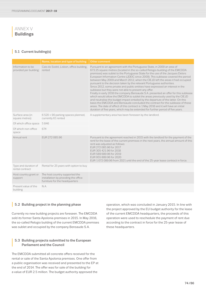# **<sup>|</sup>** ANNEX V **Buildings**

### **|** 5.1 Current building(s)

|                                             | Name, location and type of building                                                                      | <b>Other comment</b>                                                                                                                                                                                                                                                                                                                                                                                                                                                                                                                                                                                                                                                                                                                                                                                                                                                                                                                                                                                                                                                                                                                                            |
|---------------------------------------------|----------------------------------------------------------------------------------------------------------|-----------------------------------------------------------------------------------------------------------------------------------------------------------------------------------------------------------------------------------------------------------------------------------------------------------------------------------------------------------------------------------------------------------------------------------------------------------------------------------------------------------------------------------------------------------------------------------------------------------------------------------------------------------------------------------------------------------------------------------------------------------------------------------------------------------------------------------------------------------------------------------------------------------------------------------------------------------------------------------------------------------------------------------------------------------------------------------------------------------------------------------------------------------------|
| Information to be<br>provided per building: | Cais do Sodré, Lisbon, office building,<br>rented                                                        | Pursuant to an agreement with the Portuguese State, in 2009 an area of<br>673.25 square metres (located in the so-called Relogio building of the EMCDDA<br>premises) was sublet to the Portuguese State for the use of the Jacques Delors<br>European Information Centre (JDEIC since 2009). This sublease covered the period<br>between May 2009 and March 2012, when the CIEJD left the areas it had occupied<br>pursuant to the decision taken by the relevant Portuguese authorities.<br>Since 2012, some private and public entities have expressed an interest in the<br>sublease but they were not able to present any offer.<br>Finally in early 2016 the company Bensaude S.A. presented an offer for this sublease<br>which would allow the EMCDDA to sublet the areas previously used by the CIEJD<br>and neutralise the budget impact entailed by the departure of the latter. On this<br>basis the EMCDDA and Bensaude concluded the contract for the sublease of these<br>areas. The date of effect of this contract is 1 May 2016 and it will have an initial<br>duration of five years, which may be extended for further period of five years. |
| Surface area (in<br>square metres)          | 6520 + 90 parking spaces planned,<br>currently 61 rented                                                 | A supplementary area has been foreseen by the landlord.                                                                                                                                                                                                                                                                                                                                                                                                                                                                                                                                                                                                                                                                                                                                                                                                                                                                                                                                                                                                                                                                                                         |
| Of which office space                       | 5846                                                                                                     |                                                                                                                                                                                                                                                                                                                                                                                                                                                                                                                                                                                                                                                                                                                                                                                                                                                                                                                                                                                                                                                                                                                                                                 |
| Of which non-office<br>space                | 674                                                                                                      |                                                                                                                                                                                                                                                                                                                                                                                                                                                                                                                                                                                                                                                                                                                                                                                                                                                                                                                                                                                                                                                                                                                                                                 |
| Annual rent                                 | EUR 272 085.96                                                                                           | Pursuant to the agreement reached in 2015 with the landlord for the payment of the<br>rent for the lease of the current premises in the next years, the annual amount of this<br>rent was adjusted as follows:<br>EUR 272 085.96 for 2017<br>EUR 305 421.96 for 2018<br>EUR 589 689.96 for 2019<br>EUR 955 889.96 for 2020<br>EUR 1072 089.96 from 2021 until the end of the 25-year lease contract in force.                                                                                                                                                                                                                                                                                                                                                                                                                                                                                                                                                                                                                                                                                                                                                   |
| Type and duration of<br>rental contract     | Rental for 25 years with option to buy                                                                   |                                                                                                                                                                                                                                                                                                                                                                                                                                                                                                                                                                                                                                                                                                                                                                                                                                                                                                                                                                                                                                                                                                                                                                 |
| Host country grant or<br>support            | The host country supported the<br>installation by providing the office<br>furniture for the headquarters |                                                                                                                                                                                                                                                                                                                                                                                                                                                                                                                                                                                                                                                                                                                                                                                                                                                                                                                                                                                                                                                                                                                                                                 |
| Present value of the<br>building            | N.A.                                                                                                     |                                                                                                                                                                                                                                                                                                                                                                                                                                                                                                                                                                                                                                                                                                                                                                                                                                                                                                                                                                                                                                                                                                                                                                 |

#### **|** 5.2 Building project in the planning phase

Currently no new building projects are foreseen. The EMCDDA sold its former Santa Apolonia premises in 2015. In May 2016, the so-called Relogio building of the current EMCDDA premises was sublet and occupied by the company Bensaude S.A.

### **<sup>|</sup>** 5.3 Building projects submitted to the European Parliament and the Council

The EMCDDA submitted all concrete offers received for the rental or sale of the Santa Apolonia premises. One offer from a public organisation was received and presented to the EP at the end of 2014. The offer was for sale of the building for a value of EUR 2.5 million. The budget authority approved the

operation, which was concluded in January 2015. In line with the project approved by the EU budget authority for the lease of the current EMCDDA headquarters, the proceeds of this operation were used to reschedule the payment of rent due according to the contract in force for the 25-year lease of these headquarters.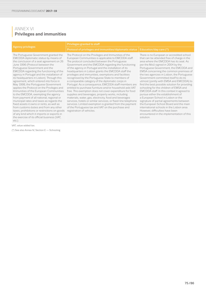# **<sup>|</sup>** ANNEX VI **Privileges and immunities**

The Portuguese Government granted the EMCDDA diplomatic status by means of the conclusion of a seat agreement on 26 June 1996 (Protocol between the Portuguese Government and the EMCDDA regarding the functioning of the agency in Portugal and the installation of its headquarters in Lisbon). Through this agreement, which entered into force in May 1998, the Portuguese Government applies the Protocol on the Privileges and Immunities of the European Communities to the EMCDDA, exempting the agency from payment of all national, regional or municipal rates and taxes as regards the fixed assets it owns or rents, as well as from customs duties and from any other taxes, prohibitions or restrictions on goods of any kind which it imports or exports in the exercise of its official business (VAT, etc.).

The Protocol on the Privileges and Immunities of the European Communities is applicable to EMCDDA staff. The protocol concluded between the Portuguese Government and the EMCDDA regarding the functioning of the agency in Portugal and the installation of its headquarters in Lisbon grants the EMCDDA staff the privileges and immunities, exemptions and facilities recognised by the Portuguese State to members of a comparable category of the diplomatic corps in Portugal. As a consequence, EMCDDA staff members are entitled to purchase furniture and/or household aids VAT free. This exemption does not cover expenditure for food supplies and beverages, property works, including materials, water, gas, electricity, food and beverages services, hotels or similar services, or fixed-line telephone services. Limited exemption is granted from the payment of the Portuguese tax and VAT on the purchase and registration of vehicles.

There is no European or accredited school that can be attended free of charge in the area where the EMCDDA has its seat. As per the MoU signed in 2004 by the Portuguese Government, the EMCDDA and EMSA concerning the common premises of the two agencies in Lisbon, the Portuguese Government committed itself to do its utmost (jointly with EMSA and EMCDDA) to find the best possible solution for providing schooling for the children of EMSA and EMCDDA staff. In this context it agreed to pursue either the establishment of a European School in Lisbon or the signature of partial agreements between the European School Board and the main international schools in the Lisbon area. However, difficulties have been encountered in the implementation of this solution.

VAT, value-added tax.

(\*) See also Annex IV, Section E — Schooling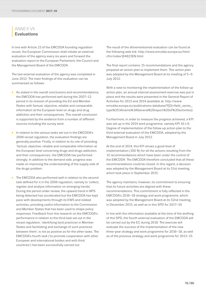## **<sup>|</sup>** ANNEX VII **Evaluations**

In line with Article 23 of the EMCDDA founding regulation recast, the European Commission shall initiate an external evaluation of the agency every six years and forward the evaluation report to the European Parliament, the Council and the Management Board of the EMCDDA.

The last external evaluation of the agency was completed in June 2012. The main findings of this evaluation can be summarised as follows:

- As stated in the overall conclusions and recommendations, the EMCDDA has performed well during the 2007–12 period in its mission of providing the EU and Member States with factual, objective, reliable and comparable information at the European level on drugs and drug addiction and their consequences. This overall conclusion is supported by the evidence from a number of different sources including the survey work.
- In relation to the various tasks set out in the EMCDDA's 2006 recast regulation, the evaluation findings are generally positive. Firstly, in relation to its role of providing 'factual, objective, reliable and comparable information at the European level concerning drugs and drugs addiction, and their consequences', the EMCDDA has performed strongly. In addition to the demand side, progress was made on improving the understanding of the supply side of the drugs problem.
- The EMCDDA also performed well in relation to the second task defined for it in the 2006 regulation, namely to 'collect, register and analyse information on emerging trends'. During the period under review, the upward trend in NPS being detected has accelerated but the EMCDDA has kept pace with developments through its EWS and related activities, providing useful information to the Commission and Member States that has been used to shape policy responses. Feedback from the research on the EMCDDA's performance in relation to the third task set out in the recast regulation, 'identifying best practices in Member States and facilitating and exchange of such practices between them', is not as positive as for the other tasks. The EMCDDA's fourth task ('to promote cooperation with other European and international bodies and with third countries') has been successfully carried out.

The result of the aforementioned evaluation can be found at the following web link: [http://www.emcdda.europa.eu/html.](http://www.emcdda.europa.eu/html.cfm/index184823EN.html) [cfm/index184823EN.html](http://www.emcdda.europa.eu/html.cfm/index184823EN.html)

The final report contains 15 recommendations and the agency prepared an action plan to implement them. This action plan was adopted by the Management Board at its meeting of 5–6 July 2012.

With a view to monitoring the implementation of the follow-up action plan, an annual internal assessment exercise was put in place and the results were presented in the General Report of Activities for 2013 and 2014 (available at: [http://www.](http://www.emcdda.europa.eu/publications-database?f%5b0%5d=field_series_type%253Aname%3AGeneral%20report%20of%20activities) [emcdda.europa.eu/publications-database?f\[0\]=field\\_series\\_](http://www.emcdda.europa.eu/publications-database?f%5b0%5d=field_series_type%253Aname%3AGeneral%20report%20of%20activities) [type%253Aname%3AGeneral%20report%20of%20activities\)](http://www.emcdda.europa.eu/publications-database?f%5b0%5d=field_series_type%253Aname%3AGeneral%20report%20of%20activities).

Furthermore, in order to measure the progress achieved, a KPI was set up in the 2014 work programme, namely KPI 10.1.6: Degree of implementation of the follow-up action plan to the third external evaluation of the EMCDDA, adopted by the Management Board in July 2012.

At the end of 2014, this KPI shows a good level of implementation (100 %) for all the actions resulting from the 15 recommendations which have been under the control of the EMCDDA. The EMCDDA therefore concluded that all these recommendations could be closed. In this regard, a decision was adopted by the Management Board at its 51st meeting, which took place in September 2015.

The agency maintains, however, its commitment to ensuring that its future activities are aligned with these recommendations. This commitment is fully reflected in the EMCDDA's 2016–18 strategy and work programme, which was adopted by the Management Board at its 52nd meeting, in December 2015, as well as in this SPD for 2017–19.

In line with the information available at the time of the drafting of this SPD, the fourth external evaluation of the EMCDDA will be carried out by the EC during 2018. The exercise will evaluate the success of the implementation of the new three-year strategy and work programme for 2016–18, as well as of the previous strategy and work programme for 2013–15.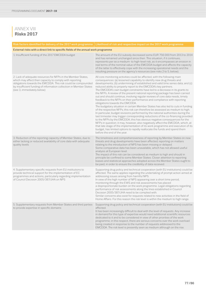# **<sup>|</sup>** ANNEX VIII **Risks 2017**

|                                                                                                                                                                                                                                                                                               | Risk factors identified for delivery of the 2017 work programme   Likelihood of risk and respective impact on the 2017 work programme                                                                                                                                                                                                                                                                                                                                                                                                                                                                                                                                                                                                                                                                                                                                                                                                                                                                                                                                                                                                                                                                                                                                                                                                                                                     |  |  |  |  |
|-----------------------------------------------------------------------------------------------------------------------------------------------------------------------------------------------------------------------------------------------------------------------------------------------|-------------------------------------------------------------------------------------------------------------------------------------------------------------------------------------------------------------------------------------------------------------------------------------------------------------------------------------------------------------------------------------------------------------------------------------------------------------------------------------------------------------------------------------------------------------------------------------------------------------------------------------------------------------------------------------------------------------------------------------------------------------------------------------------------------------------------------------------------------------------------------------------------------------------------------------------------------------------------------------------------------------------------------------------------------------------------------------------------------------------------------------------------------------------------------------------------------------------------------------------------------------------------------------------------------------------------------------------------------------------------------------------|--|--|--|--|
| External risks with a direct link to specific fields of the annual work programme                                                                                                                                                                                                             |                                                                                                                                                                                                                                                                                                                                                                                                                                                                                                                                                                                                                                                                                                                                                                                                                                                                                                                                                                                                                                                                                                                                                                                                                                                                                                                                                                                           |  |  |  |  |
| 1. Insufficient funding of the 2017 EMCDDA budget                                                                                                                                                                                                                                             | The amount of the EU subsidy decreased some EUR 756 000 from 2013 to 2014<br>and has remained unchanged since then. This situation, if it continues,<br>represents per se a medium- to high-level risk, as it encompasses an erosion in<br>real terms of the nominal value of the EMCDDA budget and affects the capacity<br>of the latter to effectively cope with the increasing operational needs and the<br>resulting pressure on the agency's resources (see risks 2 to 5, below).                                                                                                                                                                                                                                                                                                                                                                                                                                                                                                                                                                                                                                                                                                                                                                                                                                                                                                    |  |  |  |  |
| 2. Lack of adequate resources for NFPs in the Member States,<br>which may affect their capacity to comply with reporting<br>obligations towards the EMCDDA. This risk could be compounded<br>by insufficient funding of information collection in Member States<br>(see 3, immediately below) | All core monitoring activities could be affected, with the following main<br>consequences: (a) lessened capability to identify new drug threats and<br>developments; (b) undermining of established and valid time series data; and (c)<br>reduced ability to properly report to the EMCDDA's key partners.<br>The EMCDDA's own budget constraints have led to a decrease in its grants to<br>the NFPs. A review of the present national reporting package has been carried<br>out and should continue, involving regular reviews of core data needs, timely<br>feedback to the NFPs on their performance and compliance with reporting<br>obligations towards the EMCDDA.<br>The budgetary situation in certain Member States has also led to cuts in funding<br>of the respective NFPs; this risk can therefore be assessed as medium to high.<br>In particular, budget revisions performed by the national authorities during the<br>last trimester may trigger corresponding reductions of the co-financing provided<br>to the NFPs by the EMCDDA; this has obvious negative consequences for the<br>NFPs in question; it may, however, also negatively affect the EMCDDA, which, at<br>that late stage of the implementation of its work programme and execution of its<br>budget, has limited options to rapidly reallocate the funds and spend them<br>before the end of the year. |  |  |  |  |
| 3. Reduction of the reporting capacity of Member States, due to<br>either lacking or reduced availability of core data with adequate<br>quality levels                                                                                                                                        | The timeliness and comprehensiveness of reporting by Member States on new<br>threats and drug developments have been affected; reporting on matters<br>relating to the introduction of NPS has been missing or delayed.<br>Some comparative data has been unavailable, which has not allowed useful<br>analysis at European level.<br>The impact of this risk can be considered as medium to high and should in<br>principle be confined to some Member States. Closer attention to reporting<br>biases and statistical approaches adopted across the Member States ought to<br>be paid, in order to ensure the credibility of data received.                                                                                                                                                                                                                                                                                                                                                                                                                                                                                                                                                                                                                                                                                                                                             |  |  |  |  |
| 4. Supplementary specific requests from EU institutions to<br>provide technical support for the implementation of EC<br>programmes and actions, particularly regarding implementation<br>of Council Decision 2005/387/JHA on NPS                                                              | Supporting drug policy and technical cooperation (with EU institutions) could be<br>affected. The same applies regarding the undertaking of prompt action aimed at<br>addressing issues arising from harmful NPS.<br>In view of the high number of NPS appearing over a short time period,<br>monitoring through the EWS and risk assessments has placed<br>a disproportionate burden on the work programme. Legal obligations regarding<br>performance of risk assessments along the lines established in Council<br>Decision 2005/387/JHA need to be complied with.<br>Similar concerns also exist for requests related to new activities in the field of<br>Home Affairs. For this reason the risk level is within the medium to high range.                                                                                                                                                                                                                                                                                                                                                                                                                                                                                                                                                                                                                                           |  |  |  |  |
| 5. Supplementary requests from Member States and third parties<br>to provide expertise in specific domains                                                                                                                                                                                    | Supporting drug policy and technical cooperation (with EU institutions) could be<br>affected.<br>It has been increasingly difficult to deal with the level of requests. Any increase<br>in demand for this type of expertise would need additional scientific resources<br>dedicated to it and to be considered in view of other priorities of the work<br>programme; in this respect, there are serious concerns over the work overload<br>being created in response to the number of requests addressed to the<br>EMCDDA. The risk level is presently seen as medium although on the rise.                                                                                                                                                                                                                                                                                                                                                                                                                                                                                                                                                                                                                                                                                                                                                                                              |  |  |  |  |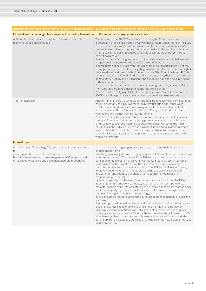|                                                                                                                                                                                                                                                | Risk factors identified for delivery of the 2017 work programme   Likelihood of risk and respective impact on the 2017 work programme                                                                                                                                                                                                                                                                                                                                                                                                                                                                                                                                                                                                                                                                                                                                                                                                                                                                                                                                                                                                                                                                                                                                                                                                                                                                                                                                                                                                                                                                                                                                                        |  |  |  |
|------------------------------------------------------------------------------------------------------------------------------------------------------------------------------------------------------------------------------------------------|----------------------------------------------------------------------------------------------------------------------------------------------------------------------------------------------------------------------------------------------------------------------------------------------------------------------------------------------------------------------------------------------------------------------------------------------------------------------------------------------------------------------------------------------------------------------------------------------------------------------------------------------------------------------------------------------------------------------------------------------------------------------------------------------------------------------------------------------------------------------------------------------------------------------------------------------------------------------------------------------------------------------------------------------------------------------------------------------------------------------------------------------------------------------------------------------------------------------------------------------------------------------------------------------------------------------------------------------------------------------------------------------------------------------------------------------------------------------------------------------------------------------------------------------------------------------------------------------------------------------------------------------------------------------------------------------|--|--|--|
| External events that might have an impact on the implementation of the annual work programme as a whole                                                                                                                                        |                                                                                                                                                                                                                                                                                                                                                                                                                                                                                                                                                                                                                                                                                                                                                                                                                                                                                                                                                                                                                                                                                                                                                                                                                                                                                                                                                                                                                                                                                                                                                                                                                                                                                              |  |  |  |
| 6. Natural catastrophes: earthquakes (leading to possible<br>tsunamis), landslides or floods                                                                                                                                                   | The location of the EMCDDA facilities, bordering the Tagus river, raises<br>a potential risk of being affected by any of these natural catastrophes. The likely<br>consequences of a major earthquake are hardly predictable and appropriate<br>measures would have to be taken in order to deal with the resulting damages.<br>A landslide of the building caused by earthquakes, although not very likely,<br>cannot be ruled out.<br>As regards Tagus flooding, some information available leads us to believe that<br>the potential risk here would be low. On the other hand, it is conceivable that<br>a combination of heavy rain with Tagus high tides could cause flooding of the<br>underground car park. Further mitigating measures to deal with this risk ought to<br>be agreed with and taken by the Administration of the Port of Lisbon (APL), the<br>entity that owns the Cais do Sodré building. Letters along these lines have been<br>sent to the APL on multiple occasions and a meeting has been held, but so far<br>without concrete results.<br>A very comprehensive insurance contract covering, inter alia, adverse effects<br>from earthquakes, landslides and floods has been signed.<br>A business continuity plan (BCP) for the agency as a whole was approved in<br>2013: this will help mitigate these risks and respective consequences.                                                                                                                                                                                                                                                                                                                    |  |  |  |
| 7. Terrorist attacks                                                                                                                                                                                                                           | Any activity of the EMCDDA could be affected. Recent events in some European<br>countries (notably the 13 November 2015 terrorist attacks in Paris), while<br>isolated, raise serious issues concerning possible collateral effects of ISIS<br>activities both in North Africa and the Middle East (notably, radicalisation of<br>youngsters and further home-grown terrorism).<br>A series of mitigating measures have been taken, notably adequate insurance<br>policies of premises; reinforced building protection against bomb blasts and<br>small calibre bullets; and scanning of suspicious mail. Moreover, the main<br>entrances at the EMCDDA premises have been redesigned in order to create<br>a second barrier to possible intruders; the immediate entrance area to the<br>garage will be upgraded in order to prevent or deter entrance by a vehicle of<br>would-be terrorists.                                                                                                                                                                                                                                                                                                                                                                                                                                                                                                                                                                                                                                                                                                                                                                                              |  |  |  |
| <b>Internal risks</b>                                                                                                                                                                                                                          |                                                                                                                                                                                                                                                                                                                                                                                                                                                                                                                                                                                                                                                                                                                                                                                                                                                                                                                                                                                                                                                                                                                                                                                                                                                                                                                                                                                                                                                                                                                                                                                                                                                                                              |  |  |  |
| 8.1 Information Technology (IT) governance risks, notably linked<br>to:<br>a) suboptimal investment decisions in IT;<br>b) certain weaknesses in the management of IT projects; and<br>c) inadequate licensing and asset management procedures | A vast number of mitigating measures to deal with these risks have been<br>implemented, namely:<br>a) setting up of a register with a categorisation of ICT investments; elaboration of<br>a detailed report on ICT activities from 2010 onwards; setting up of a project<br>catalogue for ICT; creation of an ICT Investments Steering Committee which<br>reviews and control investments in the area; implementation of a project<br>portfolio management process; adoption of the 2013-15 ICT strategic plan;<br>improved documentation of procedures leading to decisions taken on IT<br>investments; and setting up of shared high-speed internet access (in<br>cooperation with EMSA);<br>b) setting up of the ICT Advisory Committee; participation of the EMCDDA in<br>interinstitutional framework contracts; adoption of a 'turnkey' approach to<br>projects; definition and implementation of a project management methodology<br>for ICT managed projects; and implementation of a project management<br>framework using an enhanced methodology;<br>c) use of suitable tools in supporting sound asset management and reliability of<br>licensing.<br>A wide range of additional measures and actions is expected to further reduce<br>existing risks levels to tolerable levels: (a) implementation of a framework<br>targeting investment optimisation; (b) aligning of perspectives and strategy<br>covering elements such as the 'cloud' with the overall strategy finalised in 2016;<br>(c) enhancing planning and control of license and assets utilisation; and (d)<br>setting up the ICT Services Catalogue on the basis of the new Service Request<br>Management Tool. |  |  |  |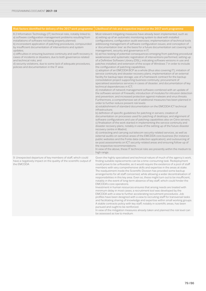| Risk factors identified for delivery of the 2017 work programme                                                                                                                                                                                                                                                                                                                                                                                                                                                                                                                                                                  | Likelihood of risk and respective impact on the 2017 work programme                                                                                                                                                                                                                                                                                                                                                                                                                                                                                                                                                                                                                                                                                                                                                                                                                                                                                                                                                                                                                                                                                                                                                                                                                                                                                                                                                                                                                                                                                                                                                                                                                                                                                                                                                                                                                                                                                                                                                                                                                                                                                                                                                                                                                                                                                                                                                                                                                                                                                                                                                                                                                                    |
|----------------------------------------------------------------------------------------------------------------------------------------------------------------------------------------------------------------------------------------------------------------------------------------------------------------------------------------------------------------------------------------------------------------------------------------------------------------------------------------------------------------------------------------------------------------------------------------------------------------------------------|--------------------------------------------------------------------------------------------------------------------------------------------------------------------------------------------------------------------------------------------------------------------------------------------------------------------------------------------------------------------------------------------------------------------------------------------------------------------------------------------------------------------------------------------------------------------------------------------------------------------------------------------------------------------------------------------------------------------------------------------------------------------------------------------------------------------------------------------------------------------------------------------------------------------------------------------------------------------------------------------------------------------------------------------------------------------------------------------------------------------------------------------------------------------------------------------------------------------------------------------------------------------------------------------------------------------------------------------------------------------------------------------------------------------------------------------------------------------------------------------------------------------------------------------------------------------------------------------------------------------------------------------------------------------------------------------------------------------------------------------------------------------------------------------------------------------------------------------------------------------------------------------------------------------------------------------------------------------------------------------------------------------------------------------------------------------------------------------------------------------------------------------------------------------------------------------------------------------------------------------------------------------------------------------------------------------------------------------------------------------------------------------------------------------------------------------------------------------------------------------------------------------------------------------------------------------------------------------------------------------------------------------------------------------------------------------------------|
| 8.2 Information Technology (IT) technical risks, notably linked to:<br>a) software configuration management problems resulting from<br>installations of software not being properly planned;<br>b) inconsistent application of patching procedures, compounded<br>by insufficient documentation of interventions and system<br>updates;<br>c) difficulties in ensuring business continuity and swift recovery in<br>cases of incidents or disasters, due to both governance-related<br>and technical risks; and<br>d) security violations, due to some lack of adequate procedures,<br>policies and documentation in the IT area | Most relevant mitigating measures have already been implemented, such as:<br>a) setting up of an automatic monitoring system to deal with installed<br>configurations; configuration audit exercises; implementation of technical tools<br>addressing management of software configuration issues; and conception of<br>a 'documentation tree' as the basis for a future documentation set covering risk<br>management, security and governance in IT;<br>b) ad hoc testing of potential consequences emerging from patching procedural<br>weaknesses and systematic registration of interventions performed; setting up<br>of a Definitive Software Library (DSL), indicating software versions in use and<br>patches installed; and extension of the scope of Windows 7 in order to include<br>the configuration of patching capabilities;<br>c) adoption of an EMCDDA BCP as a whole (thus also covering IT); initiation of<br>service continuity and disaster recovery plans; implementation of an external<br>facility for backup tape storage; use of a framework contract for the backup<br>consolidation project supporting business continuity; procurement of<br>specialised assistance services in cases of disaster; and documentation of key<br>technical dependencies in ICT;<br>d) installation of network management software combined with an update of<br>the software version of Firewalls; introduction of modules for intrusion detection<br>and prevention; and increased protection against malware and virus threats.<br>Furthermore, a comprehensive set of additional measures has been planned in<br>order to further reduce present risk levels:<br>a) establishment of standard documentation on the EMCDDA ICT technical<br>infrastructure;<br>b) definition of specific guidelines for patching in servers; creation of<br>documentation on processes used for patching of desktops; and alignment of<br>software configurations and use of patching capabilities also on Citrix servers;<br>c) finalisation of the work started in implementing the service continuity and<br>disaster recovery plans, notably in view of the setting up of the future disaster<br>recovery centre in Madrid;<br>d) contracting and carrying out telecom security-related services, as well as<br>external audits on sensitive areas of the EMCDDA core business (for instance<br>public websites and the Fonte data collection application); and outsourcing of<br>ex-post assessments on ICT security-related areas and ensuring follow-up of<br>the respective recommendations.<br>In view of the above, these IT technical risks are presently within the medium to<br>high range. |
| 9. Unexpected departure of key members of staff, which could<br>have a negatively impact on the quality of the scientific output of<br>the EMCDDA                                                                                                                                                                                                                                                                                                                                                                                                                                                                                | Given the highly specialised and technical nature of much of the agency's work,<br>finding suitable replacements can be a time-consuming task. Redeployment<br>could prove to be unfeasible, as it would require the existence of a pool of staff<br>members with very comprehensive skills and expertise in the areas at stake.<br>The readjustment inside the Scientific Division has provided some backup<br>arrangements for all staff concerned, while allowing a wider decentralisation of<br>responsibilities in this key area. Even so, these might turn out to be insufficient,<br>notably in the event of long-term absence of key staff, which could hinder the<br>EMCDDA's core operations.<br>Investment in human resources ensures that arising needs are treated with<br>minimum delay in most cases; a recruitment tool was developed by the<br>EMCDDA with a view to further accelerating recruitment procedures. Job<br>profiles have been designed with a view to recruiting staff for transversal tasks<br>and facilitating sharing of knowledge and expertise within small working groups.<br>A stable contracts policy with key staff, notably in scientific areas, has been<br>pursued and ought to be reinforced.<br>In view of the mitigation measures already taken and planned the risk level can<br>be assessed as low to medium.                                                                                                                                                                                                                                                                                                                                                                                                                                                                                                                                                                                                                                                                                                                                                                                                                                                                                                                                                                                                                                                                                                                                                                                                                                                                                                                                          |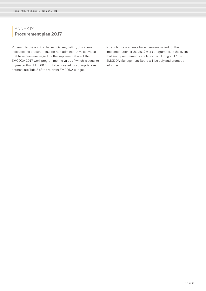# **<sup>|</sup>** ANNEX IX **Procurement plan 2017**

Pursuant to the applicable financial regulation, this annex indicates the procurements for non-administrative activities that have been envisaged for the implementation of the EMCDDA 2017 work programme the value of which is equal to or greater than EUR 60 000, to be covered by appropriations entered into Title 3 of the relevant EMCDDA budget.

No such procurements have been envisaged for the implementation of the 2017 work programme. In the event that such procurements are launched during 2017 the EMCDDA Management Board will be duly and promptly informed.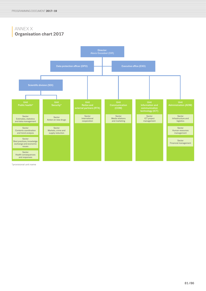# **<sup>|</sup>** ANNEX X **Organisation chart 2017**



\*provisional unit name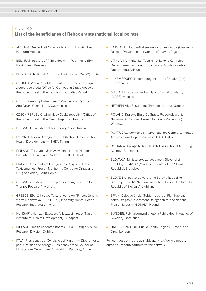## **<sup>|</sup>** ANNEX XI **List of the beneficiaries of Reitox grants (national focal points)**

- AUSTRIA: Gesundheit Österreich GmbH (Austrian Health Institute), Vienna.
- BELGIUM: Institute of Public Health Patrimoine (IPH-Patrimoine), Brussels.
- BULGARIA: National Centre for Addictions (NCA BG), Sofia.
- CROATIA: Vlada Republike Hrvatske Ured za suzbijanje zlouporabe droga (Office for Combating Drugs Abuse of the Government of the Republic of Croatia), Zagreb.
- CYPRUS: Antinapkωtiko Σymboyλio Kyπpoy (Cyprus Anti-Drugs Council — CAC), Nicosia.
- CZECH REPUBLIC: Úřad vlády České republiky (Office of the Government of the Czech Republic), Prague.
- DENMARK: Danish Health Authority, Copenhagen.
- ESTONIA: Tervise Arengu Instituut (National Institute for Health Development — NIHD), Tallinn.
- FINLAND: Terveyden Ja Hyvinvoinnin Laitos (National Institute for Health and Welfare — THL), Helsinki.
- FRANCE: Observatoire Français des Drogues et des Toxicomanies (French Monitoring Centre for Drugs and Drug Addiction), Saint-Denis.
- GERMANY: Institut für Therapieforschung (Institute for Therapy Research), Munich.
- GREECE: Εθνικό Κέντρο Τεκμηρίωσης και Πληροφόρησης για τα Ναρκωτικά — ΕΚΤΕΠΝ (University Mental Health Research Institute), Athens.
- HUNGARY: Nemzeti Egészségfejlesztési Intézet (National Institute for Health Development), Budapest.
- IRELAND: Health Research Board (HRB) Drugs Misuse Research Division, Dublin.
- ITALY: Presidenza del Consiglio dei Ministri Dipartimento per le Politiche Antidroga (Presidency of the Council of Ministers — Department for Antidrug Policies), Rome.
- LATVIA: Slimību profilakses un kontroles centra (Centre for Disease Prevention and Control of Latvia), Riga.
- LITHUANIA: Narkotikų, Tabako ir Alkoholio Kontrolés Departhamentas (Drug, Tobacco and Alcohol Control Department), Vilnius.
- LUXEMBOURG: Luxembourg Institute of Health (LIH), Luxembourg.
- MALTA: Ministry for the Family and Social Solidarity (MFSS), Valletta.
- NETHERLANDS: Stichting Trimbos Instituut, Utrecht.
- POLAND: Krajowe Biuro Do Spraw Przeciwdziałania Narkomanii (National Bureau for Drugs Prevention), Warsaw.
- PORTUGAL: Serviço de Intervenção nos Comportamentos Aditivos e nas Dependências (SICAD), Lisbon.
- ROMANIA: Agentia Natională Antidrog (National Anti-drug Agency), Bucharest.
- SLOVAKIA: Ministerstvo zdravotníctva Slovenskej republiky — MZ SR (Ministry of Health of the Slovak Republic), Bratislava.
- SLOVENIA: Inštitut za Varovanje Zdravja Republike Slovenije — NIJZ (National Institute of Public Health of the Republic of Slovenia), Ljubljana.
- SPAIN: Delegación del Gobierno para el Plan Nacional sobre Drogas (Government Delegation for the National Plan on Drugs — GDNPD), Madrid.
- SWEDEN: Folkhälsomyndigheten (Public Health Agency of Sweden), Östersund.
- UNITED KINGDOM: Public Health England, Alcohol and Drug, London.

Full contact details are available at: [http://www.emcdda.](http://www.emcdda.europa.eu/about/partners/reitox-network) [europa.eu/about/partners/reitox-network](http://www.emcdda.europa.eu/about/partners/reitox-network)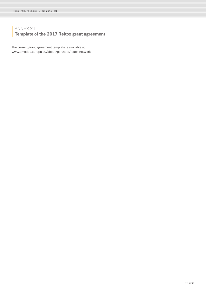# **<sup>|</sup>** ANNEX XII **Template of the 2017 Reitox grant agreement**

The current grant agreement template is available at: [www.emcdda.europa.eu/about/partners/reitox-network](http://www.emcdda.europa.eu/about/partners/reitox-network)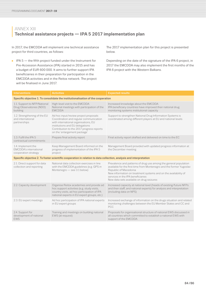# **<sup>|</sup>** ANNEX XIII **Technical assistance projects — IPA 5 2017 implementation plan**

In 2017, the EMCDDA will implement one technical assistance project for third countries, as follows:

■ IPA 5 — the fifth project funded under the Instrument for Pre-Accession Assistance (IPA) started in 2015 and has a budget of EUR 600 000. It aims to further support IPA beneficiaries in their preparation for participation in the EMCDDA activities and in the Reitox network. The project will be finalised in June 2017.

The 2017 implementation plan for this project is presented below.

Depending on the date of the signature of the IPA 6 project, in 2017 the EMCDDA may also implement the first months of the IPA 6 project with the Western Balkans.

| <b>Interventions</b>                                                             | <b>Activities</b>                                                                                                                                                                                                                       | <b>Expected results</b>                                                                                                                                                                                                                                                                                               |  |  |  |
|----------------------------------------------------------------------------------|-----------------------------------------------------------------------------------------------------------------------------------------------------------------------------------------------------------------------------------------|-----------------------------------------------------------------------------------------------------------------------------------------------------------------------------------------------------------------------------------------------------------------------------------------------------------------------|--|--|--|
| Specific objective 1. To consolidate the institutionalisation of the cooperation |                                                                                                                                                                                                                                         |                                                                                                                                                                                                                                                                                                                       |  |  |  |
| 1.1. Support to NFP/National<br>Drug Observatories (NDO)<br>building             | High-level visit to the EMCDDA<br>National meetings with participation of the<br><b>EMCDDA</b>                                                                                                                                          | Increased knowledge about the EMCDDA<br>IPA beneficiary countries have improved their national drug<br>monitoring systems institutional capacity                                                                                                                                                                      |  |  |  |
| 1.2. Strengthening of the EU<br>and international<br>partnerships                | Ad hoc input/review project proposals<br>Coordination and regular communication<br>with international organisations, EU<br>institutions and EU delegations<br>Contribution to the 2017 progress reports<br>on the 'enlargement package' | Support to strengthen National Drug Information Systems is<br>coordinated among different players at EU and national levels                                                                                                                                                                                           |  |  |  |
| 1.3. Fulfil the IPA 5<br>contractual commitments                                 | Prepare final activity report                                                                                                                                                                                                           | Final activity report drafted and delivered on time to the EC                                                                                                                                                                                                                                                         |  |  |  |
| 1.4. Implement the<br><b>EMCDDA's international</b><br>cooperation strategy      | Keep Management Board informed on the<br>progress of implementation of the IPA 5<br>project                                                                                                                                             | Management Board provided with updated progress information at<br>the December meeting                                                                                                                                                                                                                                |  |  |  |
|                                                                                  | Specific objective 2. To foster scientific cooperation in relation to data collection, analysis and interpretation                                                                                                                      |                                                                                                                                                                                                                                                                                                                       |  |  |  |
| 2.1. Direct support for data<br>collection and reporting                         | National data collection exercises in line<br>with the EMCDDA guidelines (e.g. GPS in<br>Montenegro - see 3.1 below)                                                                                                                    | Prevalence and patterns of drug use among the general population<br>available for the first time from Montenegro and the former Yugoslav<br>Republic of Macedonia<br>New information on treatment systems and on the availability of<br>services in the IPA beneficiaries<br>New data sets available on drug seizures |  |  |  |
| 2.2. Capacity development                                                        | Organise Reitox academies and provide ad<br>hoc support activities (e.g. study visits,<br>country visits, ad hoc participation of IPA<br>national experts in EU expert groups, etc.)                                                    | Increased capacity at national level (heads of existing/future NFPs<br>and their staff, and national experts) for analysis and interpretation<br>(including data on NPS)                                                                                                                                              |  |  |  |
| 2.3. EU expert meetings                                                          | Ad hoc participation of IPA national experts<br>in EU expert groups                                                                                                                                                                     | Increased exchange of information on the drugs situation and related<br>monitoring challenges between the EU Member States and CC and<br>PCC                                                                                                                                                                          |  |  |  |
| 2.4. Support for<br>development of national<br><b>EWS</b>                        | Training and meetings on building national<br>EWS (at request)                                                                                                                                                                          | Proposals for organisational structure of national EWS discussed in<br>all countries which committed to establish a national EWS with<br>support of the EMCDDA                                                                                                                                                        |  |  |  |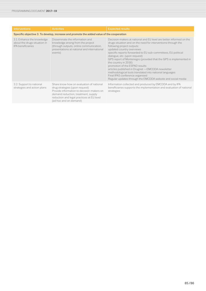| <b>Interventions</b>                                                                      | <b>Activities</b>                                                                                                                                                                                                                     | <b>Expected results</b>                                                                                                                                                                                                                                                                                                                                                                                                                                                                                                                                                                                                                           |  |  |  |
|-------------------------------------------------------------------------------------------|---------------------------------------------------------------------------------------------------------------------------------------------------------------------------------------------------------------------------------------|---------------------------------------------------------------------------------------------------------------------------------------------------------------------------------------------------------------------------------------------------------------------------------------------------------------------------------------------------------------------------------------------------------------------------------------------------------------------------------------------------------------------------------------------------------------------------------------------------------------------------------------------------|--|--|--|
| Specific objective 3. To develop, increase and promote the added value of the cooperation |                                                                                                                                                                                                                                       |                                                                                                                                                                                                                                                                                                                                                                                                                                                                                                                                                                                                                                                   |  |  |  |
| 3.1. Enhance the knowledge<br>about the drugs situation in<br>IPA beneficiaries           | Disseminate the information and<br>knowledge arising from the project<br>(through outputs, online communication,<br>presentations at national and international<br>events)                                                            | Decision-makers at national and EU level are better informed on the<br>drugs situation and on the need for interventions through the<br>following project outputs:<br>updated country overviews<br>specific reports forwarded to EU sub-committees, EU political<br>dialogue, etc. (upon request)<br>GPS report of Montenegro (provided that the GPS is implemented in<br>the country in 2016)<br>promotion of the ESPAD results<br>articles published in Drugnet -EMCDDA newsletter<br>methodological tools translated into national languages<br>Final IPA5 conference organised<br>Regular updates through the EMCDDA website and social media |  |  |  |
| 3.2. Support to national<br>strategies and action plans                                   | Share know-how on evaluation of national<br>drug strategies (upon request)<br>Provide information to decision-makers on<br>demand reduction, treatment, supply<br>reduction and legal practices at EU level<br>(ad hoc and on demand) | Information collected and produced by EMCDDA and by IPA<br>beneficiaries supports the implementation and evaluation of national<br>strategies                                                                                                                                                                                                                                                                                                                                                                                                                                                                                                     |  |  |  |